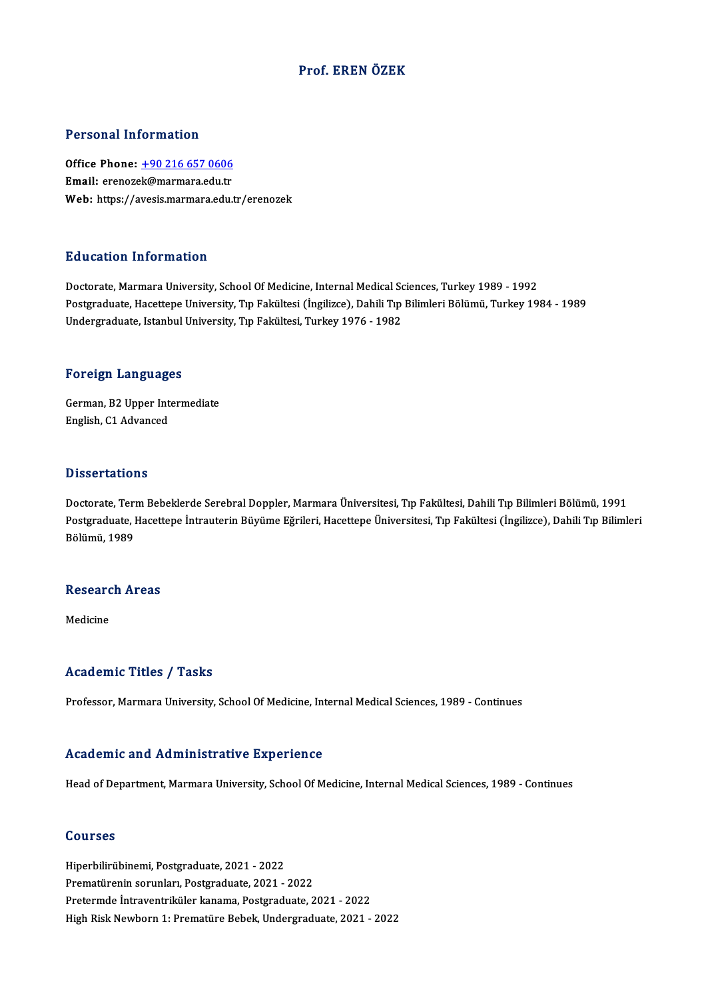### Prof. EREN ÖZEK

### Personal Information

Personal Information<br>Office Phone: <u>+90 216 657 0606</u><br>Email: erenerak@marmare.cdu.tr Processia enformation<br>Office Phone: <u>+90 216 657 0606</u><br>Email: erenoze[k@marmara.edu.tr](tel:+90 216 657 0606) Email: erenozek@marmara.edu.tr<br>Web: https://avesis.marmara.edu.tr/erenozek

### Education Information

Doctorate, Marmara University, School Of Medicine, Internal Medical Sciences, Turkey 1989 - 1992 Pu u outron'nner mideron<br>Doctorate, Marmara University, School Of Medicine, Internal Medical Sciences, Turkey 1989 - 1992<br>Postgraduate, Hacettepe University, Tıp Fakültesi (İngilizce), Dahili Tıp Bilimleri Bölümü, Turkey 1 Doctorate, Marmara University, School Of Medicine, Internal Medical Sc<br>Postgraduate, Hacettepe University, Tıp Fakültesi (İngilizce), Dahili Tıp<br>Undergraduate, Istanbul University, Tıp Fakültesi, Turkey 1976 - 1982 Undergraduate, Istanbul University, Tıp Fakültesi, Turkey 1976 - 1982<br>Foreign Languages

German,B2Upper Intermediate English, C1 Advanced

#### **Dissertations**

Doctorate, Term Bebeklerde Serebral Doppler, Marmara Üniversitesi, Tıp Fakültesi, Dahili Tıp Bilimleri Bölümü, 1991 D'isses tatrens<br>Doctorate, Term Bebeklerde Serebral Doppler, Marmara Üniversitesi, Tıp Fakültesi, Dahili Tıp Bilimleri Bölümü, 1991<br>Pölümü, 1999 Doctorate, Teri<br>Postgraduate, l<br>Bölümü, 1989

# Bolumu, 1989<br>Research Areas <mark>Researc</mark><br>Medicine

# Academic Titles / Tasks

Professor, Marmara University, School Of Medicine, Internal Medical Sciences, 1989 - Continues

### Academic and Administrative Experience

Head of Department, Marmara University, School Of Medicine, Internal Medical Sciences, 1989 - Continues

### Courses

Hiperbilirübinemi,Postgraduate,2021 -2022 Prematürenin sorunları, Postgraduate, 2021 - 2022 Pretermde İntraventriküler kanama,Postgraduate,2021 -2022 High Risk Newborn 1: Prematüre Bebek, Undergraduate, 2021 - 2022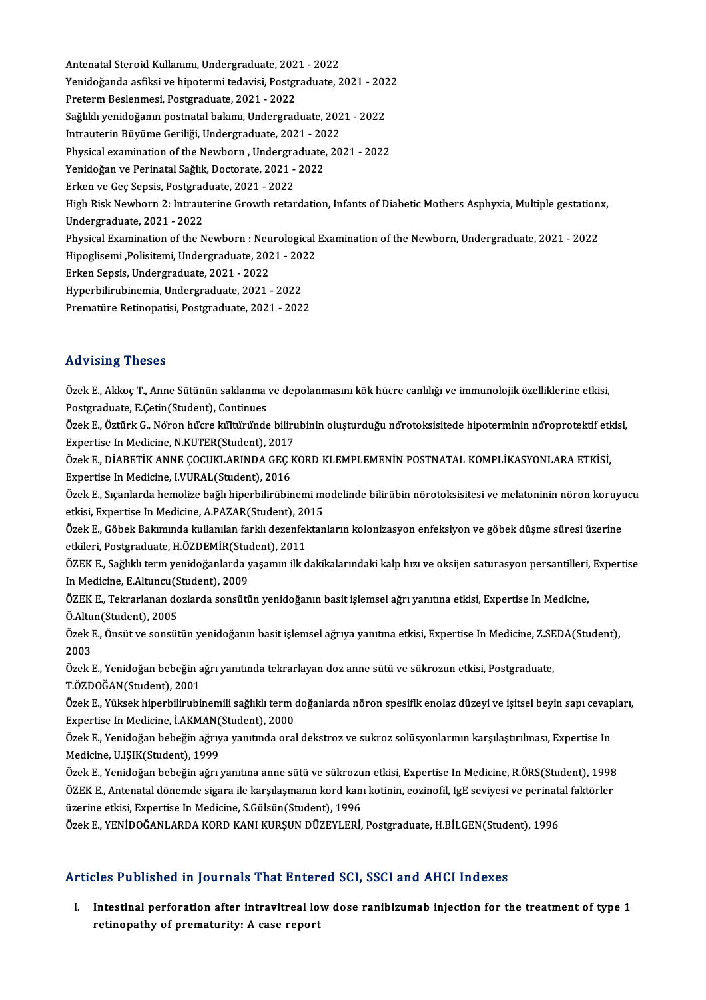Antenatal Steroid Kullanımı, Undergraduate, 2021 - 2022<br>Xanidağanda asfilsi ve binetermi tedevisi, Bestanaduate, 2 Yenidoğanda asfiksi ve hipotermi tedavisi, Postgraduate, 2021 - 2022<br>Preterm Beslenmesi, Postgraduate, 2021 - 2022 Antenatal Steroid Kullanımı, Undergraduate, 202<br>Yenidoğanda asfiksi ve hipotermi tedavisi, Postgr<br>Preterm Beslenmesi, Postgraduate, 2021 - 2022<br>Seğliki venidoğanın postnatal balamı, Undergrad Yenidoğanda asfiksi ve hipotermi tedavisi, Postgraduate, 2021 - 202<br>Preterm Beslenmesi, Postgraduate, 2021 - 2022<br>Sağlıklı yenidoğanın postnatal bakımı, Undergraduate, 2021 - 2022<br>Intreuterin Büyüme Ceriliği, Undergraduate Preterm Beslenmesi, Postgraduate, 2021 - 2022<br>Sağlıklı yenidoğanın postnatal bakımı, Undergraduate, 202<br>Intrauterin Büyüme Geriliği, Undergraduate, 2021 - 2022<br>Physical examination of the Nowbern, Undergraduate, 20 Physical examination of the Newborn, Undergraduate, 2021 - 2022 Intrauterin Büyüme Geriliği, Undergraduate, 2021 - 2022 Yenidoğan ve Perinatal Sağlık, Doctorate, 2021 - 2022 High Risk Newborn 2: Intrauterine Growth retardation, Infants of Diabetic Mothers Asphyxia, Multiple gestationx,<br>Undergraduate, 2021 - 2022 Erken ve Geç Sepsis, Postgraduate, 2021 - 2022 High Risk Newborn 2: Intrauterine Growth retardation, Infants of Diabetic Mothers Asphyxia, Multiple gestation:<br>Undergraduate, 2021 - 2022<br>Physical Examination of the Newborn : Neurological Examination of the Newborn, Unde Undergraduate, 2021 - 2022<br>Physical Examination of the Newborn : Neurological<br>Hipoglisemi ,Polisitemi, Undergraduate, 2021 - 2022<br>Erken Sonsis Undergraduate, 2021 - 2022 Physical Examination of the Newborn : Neu<br>Hipoglisemi ,Polisitemi, Undergraduate, 202<br>Erken Sepsis, Undergraduate, 2021 - 2022<br>Hyporbilinyhinemia, Undergraduate, 2021 Hipoglisemi ,Polisitemi, Undergraduate, 2021 - 2022<br>Erken Sepsis, Undergraduate, 2021 - 2022<br>Hyperbilirubinemia, Undergraduate, 2021 - 2022<br>Prematijne Petinenatisi, Pestaraduate, 2021 - 2022 Erken Sepsis, Undergraduate, 2021 - 2022<br>Hyperbilirubinemia, Undergraduate, 2021 - 2022<br>Prematüre Retinopatisi, Postgraduate, 2021 - 2022 Prematüre Retinopatisi, Postgraduate, 2021 - 2022<br>Advising Theses

Özek E., Akkoç T., Anne Sütünün saklanma ve depolanmasını kök hücre canlılığı ve immunolojik özelliklerine etkisi, Postgraduate, E.Cetin(Student), Continues Özek E., Akkoç T., Anne Sütünün saklanma ve depolanmasını kök hücre canlılığı ve immunolojik özelliklerine etkisi,<br>Postgraduate, E.Çetin(Student), Continues<br>Özek E., Öztürk G., Nöron hücre kültüründe bilirubinin oluşturduğ

Postgraduate, E.Çetin(Student), Continues<br>Özek E., Öztürk G., Nöron hücre kültüründe bilirı<br>Expertise In Medicine, N.KUTER(Student), 2017<br>Özek E. DİARETİK ANNE COCUKLARINDA CEC K Özek E., Öztürk G., Nöron hücre kültüründe bilirubinin oluşturduğu nörotoksisitede hipoterminin nöroprotektif etk<br>Expertise In Medicine, N.KUTER(Student), 2017<br>Özek E., DİABETİK ANNE ÇOCUKLARINDA GEÇ KORD KLEMPLEMENİN POST

Expertise In Medicine, N.KUTER(Student), 2017<br>Özek E., DİABETİK ANNE ÇOCUKLARINDA GEÇ KORD KLEMPLEMENİN POSTNATAL KOMPLİKASYONLARA ETKİSİ,<br>Expertise In Medicine, I.VURAL(Student), 2016 Özek E., DİABETİK ANNE ÇOCUKLARINDA GEÇ KORD KLEMPLEMENİN POSTNATAL KOMPLİKASYONLARA ETKİSİ,<br>Expertise In Medicine, I.VURAL(Student), 2016<br>Özek E., Sıçanlarda hemolize bağlı hiperbilirübinemi modelinde bilirübin nörotoksis

Expertise In Medicine, I.VURAL(Student), 2016<br>Özek E., Sıçanlarda hemolize bağlı hiperbilirübinemi metkisi, Expertise In Medicine, A.PAZAR(Student), 2015<br>Özek E. Göbek Belamında kullanılan farklı dezenfektan Özek E., Sıçanlarda hemolize bağlı hiperbilirübinemi modelinde bilirübin nörotoksisitesi ve melatoninin nöron koruyu<br>etkisi, Expertise In Medicine, A.PAZAR(Student), 2015<br>Özek E., Göbek Bakımında kullanılan farklı dezenfek

etkisi, Expertise In Medicine, A.PAZAR(Student), 2015<br>Özek E., Göbek Bakımında kullanılan farklı dezenfektanların kolonizasyon enfeksiyon ve göbek düşme süresi üzerine<br>etkileri, Postgraduate, H.ÖZDEMİR(Student), 2011 Özek E., Göbek Bakımında kullanılan farklı dezenfektanların kolonizasyon enfeksiyon ve göbek düşme süresi üzerine<br>etkileri, Postgraduate, H.ÖZDEMİR(Student), 2011<br>ÖZEK E., Sağlıklı term yenidoğanlarda yaşamın ilk dakikalar

etkileri, Postgraduate, H.ÖZDEMİR(Student)<br>ÖZEK E., Sağlıklı term yenidoğanlarda y<br>In Medicine, E.Altuncu(Student), 2009<br>ÖZEK E. Telmarlanan derlarda sonsütü ÖZEK E., Sağlıklı term yenidoğanlarda yaşamın ilk dakikalarındaki kalp hızı ve oksijen saturasyon persantilleri,<br>In Medicine, E.Altuncu(Student), 2009<br>ÖZEK E., Tekrarlanan dozlarda sonsütün yenidoğanın basit işlemsel ağrı

In Medicine, E.Altuncu(Student), 2009<br>ÖZEK E., Tekrarlanan dozlarda sonsütün yenidoğanın basit işlemsel ağrı yanıtına etkisi, Expertise In Medicine,<br>Ö.Altun(Student), 2005<br>Özek E., Önsüt ve sonsütün yenidoğanın basit işlem ÖZEK E., Tekrarlanan dozlarda sonsütün yenidoğanın basit işlemsel ağrı yanıtına etkisi, Expertise In Medicine,<br>Ö.Altun(Student), 2005<br>Özek E., Önsüt ve sonsütün yenidoğanın basit işlemsel ağrıya yanıtına etkisi, Expertise Ö.Altun(Student), 2005

Özek E., Önsüt ve sonsütün yenidoğanın basit işlemsel ağrıya yanıtına etkisi, Expertise In Medicine, Z.SE<br>2003<br>Özek E., Yenidoğan bebeğin ağrı yanıtında tekrarlayan doz anne sütü ve sükrozun etkisi, Postgraduate,<br>T.ÖZDOČAN

2003<br>Özek E., Yenidoğan bebeğin a<br>T.ÖZDOĞAN(Student), 2001<br>Özek E. Yüksek binerbilimbi Özek E., Yenidoğan bebeğin ağrı yanıtında tekrarlayan doz anne sütü ve sükrozun etkisi, Postgraduate,<br>T.ÖZDOĞAN(Student), 2001<br>Özek E., Yüksek hiperbilirubinemili sağlıklı term doğanlarda nöron spesifik enolaz düzeyi ve iş

T.ÖZDOĞAN(Student), 2001<br>Özek E., Yüksek hiperbilirubinemili sağlıklı term o<br>Expertise In Medicine, İ.AKMAN(Student), 2000<br>Özek E. Yanideğan bebeğin eğrum yanıtında eral Özek E., Yüksek hiperbilirubinemili sağlıklı term doğanlarda nöron spesifik enolaz düzeyi ve işitsel beyin sapı cevap<br>Expertise In Medicine, İ.AKMAN(Student), 2000<br>Özek E., Yenidoğan bebeğin ağrıya yanıtında oral dekstroz

Expertise In Medicine, İ.AKMAN<br>Özek E., Yenidoğan bebeğin ağrıy<br>Medicine, U.IŞIK(Student), 1999<br>Özek E. Yenidoğan bebeğin ağrı ı Özek E., Yenidoğan bebeğin ağrıya yanıtında oral dekstroz ve sukroz solüsyonlarının karşılaştırılması, Expertise In<br>Medicine, U.IŞIK(Student), 1999<br>Özek E., Yenidoğan bebeğin ağrı yanıtına anne sütü ve sükrozun etkisi, Exp

Medicine, U.IŞIK(Student), 1999<br>Özek E., Yenidoğan bebeğin ağrı yanıtına anne sütü ve sükrozun etkisi, Expertise In Medicine, R.ÖRS(Student), 1998<br>ÖZEK E., Antenatal dönemde sigara ile karşılaşmanın kord kanı kotinin, eozi Özek E., Yenidoğan bebeğin ağrı yanıtına anne sütü ve sükrozu<br>ÖZEK E., Antenatal dönemde sigara ile karşılaşmanın kord kan<br>üzerine etkisi, Expertise In Medicine, S.Gülsün(Student), 1996<br>Özek E. YENİDOĞANI ARDA KORD KANI KU ÖZEK E., Antenatal dönemde sigara ile karşılaşmanın kord kanı kotinin, eozinofil, IgE seviyesi ve perinatal faktörler<br>üzerine etkisi, Expertise In Medicine, S.Gülsün(Student), 1996<br>Özek E., YENİDOĞANLARDA KORD KANI KURŞUN

### Articles Published in Journals That Entered SCI, SSCI and AHCI Indexes

I. Intestinal perforation after intravitreal lowdose ranibizumab injection for the treatment of type 1 retinopathy of prematurity: A case report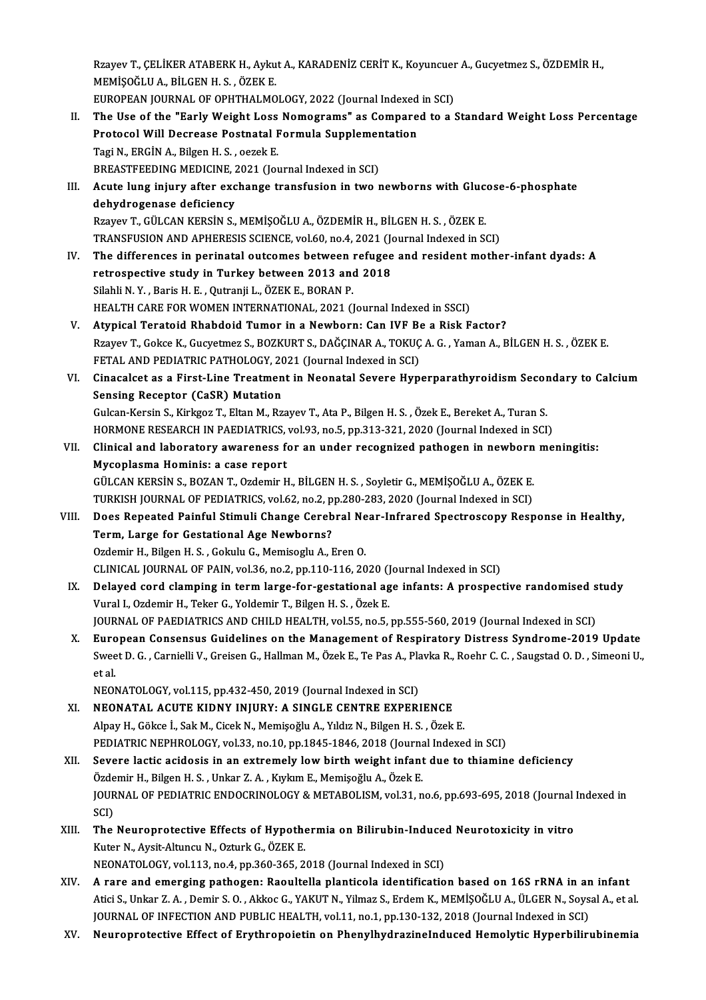Rzayev T., ÇELİKER ATABERK H., Aykut A., KARADENİZ CERİT K., Koyuncuer A., Gucyetmez S., ÖZDEMİR H.,<br>MEMİSOĞLU A. PİLGEN H.S., ÖZEK E. Rzayev T., ÇELİKER ATABERK H., Ayku<br>MEMİŞOĞLU A., BİLGEN H. S. , ÖZEK E.<br>FUROPEAN JOURNAL OF OPHTHALMO Rzayev T., ÇELİKER ATABERK H., Aykut A., KARADENİZ CERİT K., Koyuncuer<br>MEMİŞOĞLU A., BİLGEN H. S. , ÖZEK E.<br>EUROPEAN JOURNAL OF OPHTHALMOLOGY, 2022 (Journal Indexed in SCI)<br>The Use of the "Early Weight Less Nomegrama" es C MEMIŞOĞLU A., BİLGEN H. S. , ÖZEK E.<br>EUROPEAN JOURNAL OF OPHTHALMOLOGY, 2022 (Journal Indexed in SCI)<br>II. The Use of the "Early Weight Loss Nomograms" as Compared to a Standard Weight Loss Percentage<br>Protogol Will Degr EUROPEAN JOURNAL OF OPHTHALMOLOGY, 2022 (Journal Indexed in SCI)<br>The Use of the "Early Weight Loss Nomograms" as Compared to a<br>Protocol Will Decrease Postnatal Formula Supplementation<br>Tagi N., ERGIN A., Bilgen H. S., oezek The Use of the "Early Weight Loss<br>Protocol Will Decrease Postnatal F<br>Tagi N., ERGİN A., Bilgen H. S. , oezek E.<br>PREASTEEEDINC MEDICINE 2021 (Jo) Protocol Will Decrease Postnatal Formula Supplementation Tagi N., ERGİN A., Bilgen H. S. , oezek E.<br>BREASTFEEDING MEDICINE, 2021 (Journal Indexed in SCI)<br>III. Acute lung injury after exchange transfusion in two newborns with Glucose-6-phosphate<br>debydrogenese deficiency BREASTFEEDING MEDICINE, 2021 (Journal Indexed in SCI)<br>Acute lung injury after exchange transfusion in two newborns with Gluce<br>dehydrogenase deficiency<br>Rzayev T., GÜLCAN KERSİN S., MEMİŞOĞLU A., ÖZDEMİR H., BİLGEN H. S., ÖZ Acute lung injury after exchange transfusion in two newborns with Gluce<br>dehydrogenase deficiency<br>Rzayev T., GÜLCAN KERSİN S., MEMİŞOĞLU A., ÖZDEMİR H., BİLGEN H. S. , ÖZEK E.<br>TRANSELISION AND ARHERESIS SCIENCE vel 60 no.4, dehydrogenase deficiency<br>Rzayev T., GÜLCAN KERSİN S., MEMİŞOĞLU A., ÖZDEMİR H., BİLGEN H. S. , ÖZEK E.<br>TRANSFUSION AND APHERESIS SCIENCE, vol.60, no.4, 2021 (Journal Indexed in SCI)<br>The differences in porinatal eutsemes he IV. The differences in perinatal outcomes between refugee and resident mother-infant dyads: A retrospective study in Turkey between 2013 and 2018 TRANSFUSION AND APHERESIS SCIENCE, vol.60, no.4, 2021 (Journal of the differences in perinatal outcomes between refugee<br>retrospective study in Turkey between 2013 and 2018<br>Silabli N. V., Baris H. F., Qutranii J., ÖZEKE, PO Silahli N.Y., Baris H.E., Qutranji L., ÖZEK E., BORAN P. retrospective study in Turkey between 2013 and 2018<br>Silahli N.Y., Baris H. E., Qutranji L., ÖZEK E., BORAN P.<br>HEALTH CARE FOR WOMEN INTERNATIONAL, 2021 (Journal Indexed in SSCI)<br>Atunisal Tarataid Phabdaid Tumar in a Nourba Silahli N. Y., Baris H. E., Qutranji L., ÖZEK E., BORAN P.<br>HEALTH CARE FOR WOMEN INTERNATIONAL, 2021 (Journal Indexed in SSCI)<br>V. Atypical Teratoid Rhabdoid Tumor in a Newborn: Can IVF Be a Risk Factor?<br>Prayou T. Colse K. HEALTH CARE FOR WOMEN INTERNATIONAL, 2021 (Journal Indexed in SSCI)<br><mark>Atypical Teratoid Rhabdoid Tumor in a Newborn: Can IVF Be a Risk Factor?</mark><br>Rzayev T., Gokce K., Gucyetmez S., BOZKURT S., DAĞÇINAR A., TOKUÇ A. G. , Yaman Atypical Teratoid Rhabdoid Tumor in a Newborn: Can IVF Be<br>Rzayev T., Gokce K., Gucyetmez S., BOZKURT S., DAĞÇINAR A., TOKUÇ<br>FETAL AND PEDIATRIC PATHOLOGY, 2021 (Journal Indexed in SCI)<br>Cinasalsat as a First Line Treatment Rzayev T., Gokce K., Gucyetmez S., BOZKURT S., DAĞÇINAR A., TOKUÇ A. G. , Yaman A., BİLGEN H. S. , ÖZEK E.<br>FETAL AND PEDIATRIC PATHOLOGY, 2021 (Journal Indexed in SCI)<br>VI. Cinacalcet as a First-Line Treatment in Neonatal S FETAL AND PEDIATRIC PATHOLOGY, 20<br>Cinacalcet as a First-Line Treatmen<br>Sensing Receptor (CaSR) Mutation Cinacalcet as a First-Line Treatment in Neonatal Severe Hyperparathyroidism Secon<br>Sensing Receptor (CaSR) Mutation<br>Gulcan-Kersin S., Kirkgoz T., Eltan M., Rzayev T., Ata P., Bilgen H. S. , Özek E., Bereket A., Turan S.<br>HOP Sensing Receptor (CaSR) Mutation<br>Gulcan-Kersin S., Kirkgoz T., Eltan M., Rzayev T., Ata P., Bilgen H. S. , Özek E., Bereket A., Turan S.<br>HORMONE RESEARCH IN PAEDIATRICS, vol.93, no.5, pp.313-321, 2020 (Journal Indexed in S Gulcan-Kersin S., Kirkgoz T., Eltan M., Rzayev T., Ata P., Bilgen H. S. , Özek E., Bereket A., Turan S.<br>HORMONE RESEARCH IN PAEDIATRICS, vol.93, no.5, pp.313-321, 2020 (Journal Indexed in SCI)<br>VII. Clinical and laboratory HORMONE RESEARCH IN PAEDIATRICS,<br>Clinical and laboratory awareness f<br>Mycoplasma Hominis: a case report<br>CÜLCAN KERSİN S. BOZAN T. Ozdamir H Clinical and laboratory awareness for an under recognized pathogen in newborn<br>Mycoplasma Hominis: a case report<br>GÜLCAN KERSİN S., BOZAN T., Ozdemir H., BİLGEN H. S. , Soyletir G., MEMİŞOĞLU A., ÖZEK E.<br>TURKISH JOURNAL OF R Mycoplasma Hominis: a case report<br>GÜLCAN KERSİN S., BOZAN T., Ozdemir H., BİLGEN H. S. , Soyletir G., MEMİŞOĞLU A., ÖZEK E.<br>TURKISH JOURNAL OF PEDIATRICS, vol.62, no.2, pp.280-283, 2020 (Journal Indexed in SCI)<br>Dess Beneet VIII. Does Repeated Painful Stimuli Change Cerebral Near-Infrared Spectroscopy Response in Healthy,<br>Term, Large for Gestational Age Newborns? TURKISH JOURNAL OF PEDIATRICS, vol.62, no.2, pp.280-283, 2020 (Journal Indexed in SCI) Ozdemir H., Bilgen H. S., Gokulu G., Memisoglu A., Eren O. CLINICAL JOURNAL OF PAIN, vol.36, no.2, pp.110-116, 2020 (Journal Indexed in SCI) IX. Delayed cord clamping in termlarge-for-gestational age infants: A prospective randomised study Vural I., Ozdemir H., Teker G., Yoldemir T., Bilgen H. S., Özek E. JOURNAL OF PAEDIATRICS AND CHILD HEALTH, vol.55, no.5, pp.555-560, 2019 (Journal Indexed in SCI) X. European Consensus Guidelines on the Management of Respiratory Distress Syndrome-2019 Update JOURNAL OF PAEDIATRICS AND CHILD HEALTH, vol.55, no.5, pp.555-560, 2019 (Journal Indexed in SCI)<br>European Consensus Guidelines on the Management of Respiratory Distress Syndrome-2019 Update<br>Sweet D. G. , Carnielli V., Grei Euro<br>Swee<br>et al.<br>NEO! Sweet D. G. , Carnielli V., Greisen G., Hallman M., Özek E., Te Pas A., Pla<br>et al.<br>NEONATOLOGY, vol.115, pp.432-450, 2019 (Journal Indexed in SCI)<br>NEONATAL ACUTE KIDNY INUIPY. A SINCLE CENTPE EXPERI et al.<br>NEONATOLOGY, vol.115, pp.432-450, 2019 (Journal Indexed in SCI)<br>XI. NEONATAL ACUTE KIDNY INJURY: A SINGLE CENTRE EXPERIENCE NEONATOLOGY, vol.115, pp.432-450, 2019 (Journal Indexed in SCI)<br>NEONATAL ACUTE KIDNY INJURY: A SINGLE CENTRE EXPERIENCE<br>Alpay H., Gökce İ., Sak M., Cicek N., Memişoğlu A., Yıldız N., Bilgen H. S. , Özek E.<br>PEDIATRIC NEPHRO NEONATAL ACUTE KIDNY INJURY: A SINGLE CENTRE EXPERIENCE<br>Alpay H., Gökce İ., Sak M., Cicek N., Memişoğlu A., Yıldız N., Bilgen H. S. , Özek E.<br>PEDIATRIC NEPHROLOGY, vol.33, no.10, pp.1845-1846, 2018 (Journal Indexed in SCI) Alpay H., Gökce İ., Sak M., Cicek N., Memişoğlu A., Yıldız N., Bilgen H. S. , Özek E.<br>PEDIATRIC NEPHROLOGY, vol.33, no.10, pp.1845-1846, 2018 (Journal Indexed in SCI)<br>XII. Severe lactic acidosis in an extremely low birth w PEDIATRIC NEPHROLOGY, vol.33, no.10, pp.1845-1846, 2018 (Journa<br>Severe lactic acidosis in an extremely low birth weight infant<br>Özdemir H., Bilgen H. S. , Unkar Z. A. , Kıykım E., Memişoğlu A., Özek E.<br>JOUPMAL OF PEDIATRIC JOURNAL OF PEDIATRIC ENDOCRINOLOGY & METABOLISM, vol.31, no.6, pp.693-695, 2018 (Journal Indexed in SCI) Özdemir H., Bilgen H. S., Unkar Z. A., Kıykım E., Memişoğlu A., Özek E. JOURNAL OF PEDIATRIC ENDOCRINOLOGY & METABOLISM, vol.31, no.6, pp.693-695, 2018 (Journal<br>SCI)<br>XIII. The Neuroprotective Effects of Hypothermia on Bilirubin-Induced Neurotoxicity in vitro<br>Kutar N. Avait Altunau N. Orturk G. SCI)<br>The Neuroprotective Effects of Hypothe<br>Kuter N., Aysit-Altuncu N., Ozturk G., ÖZEK E.<br>NEONATOLOCY vel 112 no 4 nn 360 365 3. The Neuroprotective Effects of Hypothermia on Bilirubin-Induce<br>Kuter N., Aysit-Altuncu N., Ozturk G., ÖZEK E.<br>NEONATOLOGY, vol.113, no.4, pp.360-365, 2018 (Journal Indexed in SCI)<br>A rano and amerging pathogen: Paeultella p Kuter N., Aysit-Altuncu N., Ozturk G., ÖZEK E.<br>NEONATOLOGY, vol.113, no.4, pp.360-365, 2018 (Journal Indexed in SCI)<br>XIV. A rare and emerging pathogen: Raoultella planticola identification based on 16S rRNA in an infant NEONATOLOGY, vol.113, no.4, pp.360-365, 2018 (Journal Indexed in SCI)<br>A rare and emerging pathogen: Raoultella planticola identification based on 16S rRNA in an infant<br>Atici S., Unkar Z. A., Demir S. O., Akkoc G., YAKUT N. A rare and emerging pathogen: Raoultella planticola identification based on 16S rRNA in an<br>Atici S., Unkar Z. A. , Demir S. O. , Akkoc G., YAKUT N., Yilmaz S., Erdem K., MEMİŞOĞLU A., ÜLGER N., Soys<br>JOURNAL OF INFECTION AN XV. Neuroprotective Effect of Erythropoietin on PhenylhydrazineInduced Hemolytic Hyperbilirubinemia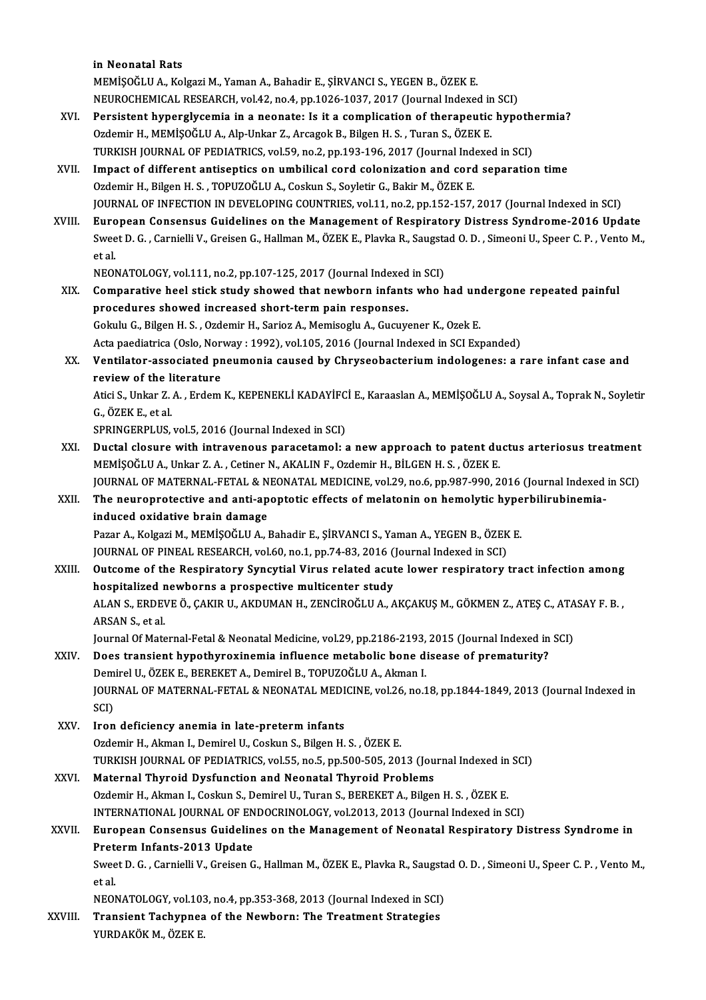in Neonatal Rats

MEMİŞOĞLUA.,KolgaziM.,YamanA.,Bahadir E.,ŞİRVANCI S.,YEGENB.,ÖZEKE. in Neonatal Rats<br>MEMİŞOĞLU A., Kolgazi M., Yaman A., Bahadir E., ŞİRVANCI S., YEGEN B., ÖZEK E.<br>NEUROCHEMICAL RESEARCH, vol.42, no.4, pp.1026-1037, 2017 (Journal Indexed in SCI)<br>Persistant bunarakısamia in a neonata: Ja it

- MEMİŞOĞLU A., Kolgazi M., Yaman A., Bahadir E., ŞİRVANCI S., YEGEN B., ÖZEK E.<br>NEUROCHEMICAL RESEARCH, vol.42, no.4, pp.1026-1037, 2017 (Journal Indexed in SCI)<br>XVI. Persistent hyperglycemia in a neonate: Is it a complicat NEUROCHEMICAL RESEARCH, vol.42, no.4, pp.1026-1037, 2017 (Journal Indexed in<br>Persistent hyperglycemia in a neonate: Is it a complication of therapeutic<br>Ozdemir H., MEMİŞOĞLU A., Alp-Unkar Z., Arcagok B., Bilgen H. S., Tura Persistent hyperglycemia in a neonate: Is it a complication of therapeutic hypoth<br>Ozdemir H., MEMİŞOĞLU A., Alp-Unkar Z., Arcagok B., Bilgen H. S. , Turan S., ÖZEK E.<br>TURKISH JOURNAL OF PEDIATRICS, vol.59, no.2, pp.193-196 Ozdemir H., MEMİŞOĞLU A., Alp-Unkar Z., Arcagok B., Bilgen H. S., Turan S., ÖZEK E.<br>TURKISH JOURNAL OF PEDIATRICS, vol.59, no.2, pp.193-196, 2017 (Journal Indexed in SCI)<br>XVII. Impact of different antiseptics on umbilical
- TURKISH JOURNAL OF PEDIATRICS, vol.59, no.2, pp.193-196, 2017 (Journal Ind<br>Impact of different antiseptics on umbilical cord colonization and cord<br>Ozdemir H., Bilgen H. S. , TOPUZOĞLU A., Coskun S., Soyletir G., Bakir M., Ozdemir H., Bilgen H. S. , TOPUZOĞLU A., Coskun S., Soyletir G., Bakir M., ÖZEK E.<br>JOURNAL OF INFECTION IN DEVELOPING COUNTRIES, vol.11, no.2, pp.152-157, 2017 (Journal Indexed in SCI)
- Ozdemir H., Bilgen H. S., TOPUZOĞLU A., Coskun S., Soyletir G., Bakir M., ÖZEK E.<br>JOURNAL OF INFECTION IN DEVELOPING COUNTRIES, vol.11, no.2, pp.152-157, 2017 (Journal Indexed in SCI)<br>XVIII. European Consensus Guidelines o JOURNAL OF INFECTION IN DEVELOPING COUNTRIES, vol.11, no.2, pp.152-157, 2017 (Journal Indexed in SCI)<br><mark>European Consensus Guidelines on the Management of Respiratory Distress Syndrome-2016 Update</mark><br>Sweet D. G. , Carnielli V Euro<br>Swee<br>et al.<br>NEO! Sweet D. G. , Carnielli V., Greisen G., Hallman M., ÖZEK E., Plavka R., Saugsta<br>et al.<br>NEONATOLOGY, vol.111, no.2, pp.107-125, 2017 (Journal Indexed in SCI)<br>Comparative hock stick study showed that powborn infants who k

- XIX. Comparative heel stick study showed that newborn infants who had undergone repeated painful NEONATOLOGY, vol.111, no.2, pp.107-125, 2017 (Journal Indexed<br>Comparative heel stick study showed that newborn infants<br>procedures showed increased short-term pain responses. Comparative heel stick study showed that newborn infants who had une<br>procedures showed increased short-term pain responses.<br>Gokulu G., Bilgen H. S., Ozdemir H., Sarioz A., Memisoglu A., Gucuyener K., Ozek E.<br>Asta paedistri procedures showed increased short-term pain responses.<br>Gokulu G., Bilgen H. S. , Ozdemir H., Sarioz A., Memisoglu A., Gucuyener K., Ozek E.<br>Acta paediatrica (Oslo, Norway : 1992), vol.105, 2016 (Journal Indexed in SCI Expa Gokulu G., Bilgen H. S. , Ozdemir H., Sarioz A., Memisoglu A., Gucuyener K., Ozek E.<br>Acta paediatrica (Oslo, Norway : 1992), vol.105, 2016 (Journal Indexed in SCI Expanded)<br>XX. Ventilator-associated pneumonia caused by
- Acta paediatrica (Oslo, Nor<br>Ventilator-associated pr<br>review of the literature Ventilator-associated pneumonia caused by Chryseobacterium indologenes: a rare infant case and<br>review of the literature<br>Atici S., Unkar Z. A. , Erdem K., KEPENEKLİ KADAYİFCİ E., Karaaslan A., MEMİŞOĞLU A., Soysal A., Topra

**review of the li**<br>Atici S., Unkar Z.<br>G., ÖZEK E., et al.<br>SPPINCEPPI US Atici S., Unkar Z. A. , Erdem K., KEPENEKLİ KADAYİFC<br>G., ÖZEK E., et al.<br>SPRINGERPLUS, vol.5, 2016 (Journal Indexed in SCI)<br>Dustal slasure with intravenous parasstamalı s

- G., ÖZEK E., et al.<br>SPRINGERPLUS, vol.5, 2016 (Journal Indexed in SCI)<br>XXI. Ductal closure with intravenous paracetamol: a new approach to patent ductus arteriosus treatment<br>MEMISOČLUA, Unkar 7. A. Cetiner N. AKALIN E. Ord SPRINGERPLUS, vol.5, 2016 (Journal Indexed in SCI)<br>Ductal closure with intravenous paracetamol: a new approach to patent du<br>MEMİŞOĞLU A., Unkar Z.A. , Cetiner N., AKALIN F., Ozdemir H., BİLGEN H. S. , ÖZEK E.<br>JOUPMAL OE MA Ductal closure with intravenous paracetamol: a new approach to patent ductus arteriosus treatment<br>MEMİŞOĞLU A., Unkar Z. A. , Cetiner N., AKALIN F., Ozdemir H., BİLGEN H. S. , ÖZEK E.<br>JOURNAL OF MATERNAL-FETAL & NEONATAL M MEMİŞOĞLU A., Unkar Z. A. , Cetiner N., AKALIN F., Ozdemir H., BİLGEN H. S. , ÖZEK E.<br>JOURNAL OF MATERNAL-FETAL & NEONATAL MEDICINE, vol.29, no.6, pp.987-990, 2016 (Journal Indexed<br>XXII. The neuroprotective and anti-ap
- JOURNAL OF MATERNAL-FETAL & N<br>The neuroprotective and anti-ap<br>induced oxidative brain damage<br>Parar A Kolsari M MEMISOČIJJA The neuroprotective and anti-apoptotic effects of melatonin on hemolytic hyperbilirubinemia-<br>induced oxidative brain damage<br>Pazar A., Kolgazi M., MEMİŞOĞLU A., Bahadir E., ŞİRVANCI S., Yaman A., YEGEN B., ÖZEK E. induced oxidative brain damage<br>Pazar A., Kolgazi M., MEMİŞOĞLU A., Bahadir E., ŞİRVANCI S., Yaman A., YEGEN B., ÖZEK<br>JOURNAL OF PINEAL RESEARCH, vol.60, no.1, pp.74-83, 2016 (Journal Indexed in SCI)<br>Quteeme of the Beeninat

XXIII. Outcome of the Respiratory Syncytial Virus related acute lower respiratory tract infection among<br>hospitalized newborns a prospective multicenter study JOURNAL OF PINEAL RESEARCH, vol.60, no.1, pp.74-83, 2016 (<br>Outcome of the Respiratory Syncytial Virus related acut<br>hospitalized newborns a prospective multicenter study<br>ALAN S. EPDEVE Ö. CAKIR U. AKDUMAN H. ZENCIROČLUA Outcome of the Respiratory Syncytial Virus related acute lower respiratory tract infection among<br>hospitalized newborns a prospective multicenter study<br>ALAN S., ERDEVE Ö., ÇAKIR U., AKDUMAN H., ZENCİROĞLU A., AKÇAKUŞ M., GÖ hospitalized<br>ALAN S., ERDEV<br>ARSAN S., et al.<br>Journal Of Mate ALAN S., ERDEVE Ö., ÇAKIR U., AKDUMAN H., ZENCİROĞLU A., AKÇAKUŞ M., GÖKMEN Z., ATEŞ C., ATA<br>ARSAN S., et al.<br>Journal Of Maternal-Fetal & Neonatal Medicine, vol.29, pp.2186-2193, 2015 (Journal Indexed in SCI)<br>Dess transian

ARSAN S., et al.<br>Journal Of Maternal-Fetal & Neonatal Medicine, vol.29, pp.2186-2193, 2015 (Journal Indexed in<br>XXIV. Does transient hypothyroxinemia influence metabolic bone disease of prematurity? Journal Of Maternal-Fetal & Neonatal Medicine, vol.29, pp.2186-2193,<br>Does transient hypothyroxinemia influence metabolic bone di<br>Demirel U., ÖZEK E., BEREKET A., Demirel B., TOPUZOĞLU A., Akman I.<br>JOUPMAL OF MATERNAL EETAL Does transient hypothyroxinemia influence metabolic bone disease of prematurity?<br>Demirel U., ÖZEK E., BEREKET A., Demirel B., TOPUZOĞLU A., Akman I.<br>JOURNAL OF MATERNAL-FETAL & NEONATAL MEDICINE, vol.26, no.18, pp.1844-184 Dem<br>JOUR<br>SCI)<br>Iren SCI)<br>XXV. Iron deficiency anemia in late-preterm infants

OzdemirH.,AkmanI.,DemirelU.,CoskunS.,BilgenH.S. ,ÖZEKE. Iron deficiency anemia in late-preterm infants<br>Ozdemir H., Akman I., Demirel U., Coskun S., Bilgen H. S. , ÖZEK E.<br>TURKISH JOURNAL OF PEDIATRICS, vol.55, no.5, pp.500-505, 2013 (Journal Indexed in SCI)<br>Maternal Thuraid Dug Ozdemir H., Akman I., Demirel U., Coskun S., Bilgen H. S. , ÖZEK E.<br>TURKISH JOURNAL OF PEDIATRICS, vol.55, no.5, pp.500-505, 2013 (Jou<br>XXVI. Maternal Thyroid Dysfunction and Neonatal Thyroid Problems<br>Ordemir H. Alman J. Co

- TURKISH JOURNAL OF PEDIATRICS, vol.55, no.5, pp.500-505, 2013 (Journal Indexed in<br>Maternal Thyroid Dysfunction and Neonatal Thyroid Problems<br>Ozdemir H., Akman I., Coskun S., Demirel U., Turan S., BEREKET A., Bilgen H. S. , Maternal Thyroid Dysfunction and Neonatal Thyroid Problems<br>Ozdemir H., Akman I., Coskun S., Demirel U., Turan S., BEREKET A., Bilgen H. S. , ÖZEK E.<br>INTERNATIONAL JOURNAL OF ENDOCRINOLOGY, vol.2013, 2013 (Journal Indexed i
- Ozdemir H., Akman I., Coskun S., Demirel U., Turan S., BEREKET A., Bilgen H. S. , ÖZEK E.<br>INTERNATIONAL JOURNAL OF ENDOCRINOLOGY, vol.2013, 2013 (Journal Indexed in SCI)<br>XXVII. European Consensus Guidelines on the Manageme INTERNATIONAL JOURNAL OF EN<br>European Consensus Guidelin<br>Preterm Infants-2013 Update<br>Sweet D.C. Cornielli V. Creisen C European Consensus Guidelines on the Management of Neonatal Respiratory Distress Syndrome in<br>Preterm Infants-2013 Update<br>Sweet D. G. , Carnielli V., Greisen G., Hallman M., ÖZEK E., Plavka R., Saugstad O. D. , Simeoni U.,

Pret<br>Swee<br>et al.<br>NEO! Sweet D. G. , Carnielli V., Greisen G., Hallman M., ÖZEK E., Plavka R., Saugsta<br>et al.<br>NEONATOLOGY, vol.103, no.4, pp.353-368, 2013 (Journal Indexed in SCI)<br>Transient Techynnes of the Newborn: The Treatment Strategies

et al.<br>NEONATOLOGY, vol.103, no.4, pp.353-368, 2013 (Journal Indexed in SCI)<br>XXVIII. Transient Tachypnea of the Newborn: The Treatment Strategies<br>VIIPDAKÖK M. ÖZEK E NEONATOLOGY, vol.10:<br><mark>Transient Tachypne</mark>a<br>YURDAKÖK M., ÖZEK E.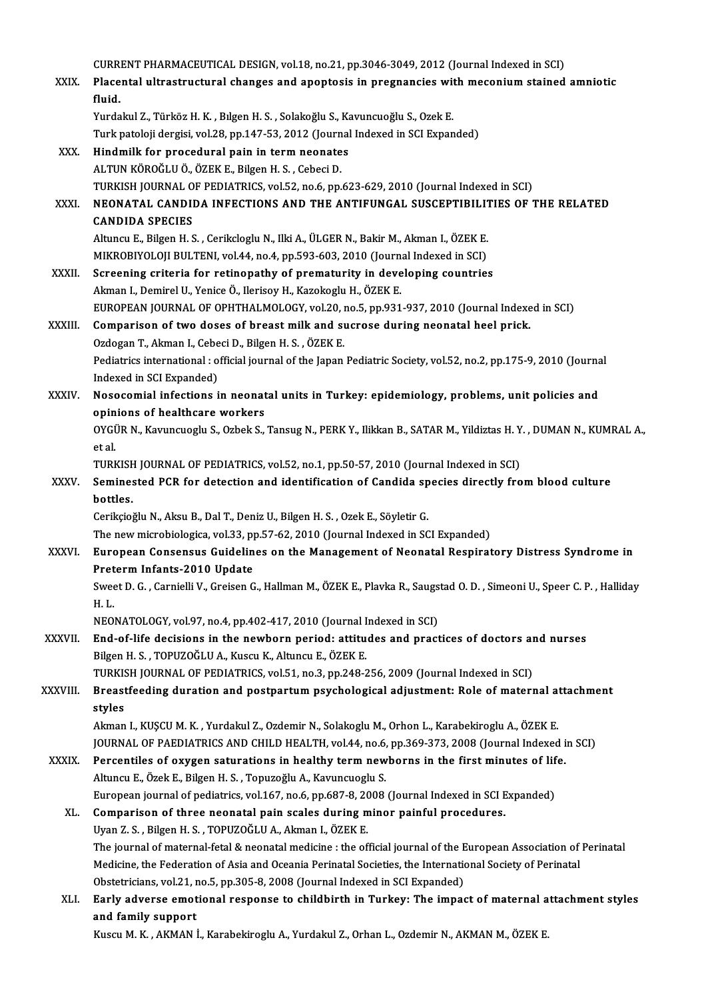| XXIX.         | CURRENT PHARMACEUTICAL DESIGN, vol.18, no.21, pp.3046-3049, 2012 (Journal Indexed in SCI)<br>Placental ultrastructural changes and apoptosis in pregnancies with meconium stained amniotic |
|---------------|--------------------------------------------------------------------------------------------------------------------------------------------------------------------------------------------|
|               | fluid.                                                                                                                                                                                     |
|               | Yurdakul Z., Türköz H. K., Bılgen H. S., Solakoğlu S., Kavuncuoğlu S., Ozek E.                                                                                                             |
|               | Turk patoloji dergisi, vol.28, pp.147-53, 2012 (Journal Indexed in SCI Expanded)                                                                                                           |
| XXX.          | Hindmilk for procedural pain in term neonates                                                                                                                                              |
|               | ALTUN KÖROĞLU Ö., ÖZEK E., Bilgen H. S., Cebeci D.                                                                                                                                         |
| XXXI.         | TURKISH JOURNAL OF PEDIATRICS, vol.52, no.6, pp.623-629, 2010 (Journal Indexed in SCI)<br>NEONATAL CANDIDA INFECTIONS AND THE ANTIFUNGAL SUSCEPTIBILITIES OF THE RELATED                   |
|               | <b>CANDIDA SPECIES</b>                                                                                                                                                                     |
|               | Altuncu E., Bilgen H. S., Cerikcloglu N., Ilki A., ÜLGER N., Bakir M., Akman I., ÖZEK E.                                                                                                   |
|               | MIKROBIYOLOJI BULTENI, vol.44, no.4, pp.593-603, 2010 (Journal Indexed in SCI)                                                                                                             |
| XXXII.        | Screening criteria for retinopathy of prematurity in developing countries                                                                                                                  |
|               | Akman I., Demirel U., Yenice Ö., Ilerisoy H., Kazokoglu H., ÖZEK E.                                                                                                                        |
|               | EUROPEAN JOURNAL OF OPHTHALMOLOGY, vol.20, no.5, pp.931-937, 2010 (Journal Indexed in SCI)                                                                                                 |
| <b>XXXIII</b> | Comparison of two doses of breast milk and sucrose during neonatal heel prick.                                                                                                             |
|               | Ozdogan T., Akman I., Cebeci D., Bilgen H. S., ÖZEK E.                                                                                                                                     |
|               | Pediatrics international : official journal of the Japan Pediatric Society, vol.52, no.2, pp.175-9, 2010 (Journal<br>Indexed in SCI Expanded)                                              |
| XXXIV.        | Nosocomial infections in neonatal units in Turkey: epidemiology, problems, unit policies and                                                                                               |
|               | opinions of healthcare workers                                                                                                                                                             |
|               | OYGÜR N., Kavuncuoglu S., Ozbek S., Tansug N., PERK Y., Ilikkan B., SATAR M., Yildiztas H. Y., DUMAN N., KUMRAL A.,                                                                        |
|               | et al.                                                                                                                                                                                     |
|               | TURKISH JOURNAL OF PEDIATRICS, vol.52, no.1, pp.50-57, 2010 (Journal Indexed in SCI)                                                                                                       |
| <b>XXXV</b>   | Seminested PCR for detection and identification of Candida species directly from blood culture                                                                                             |
|               | bottles.                                                                                                                                                                                   |
|               | Cerikçioğlu N., Aksu B., Dal T., Deniz U., Bilgen H. S., Ozek E., Söyletir G.                                                                                                              |
|               | The new microbiologica, vol.33, pp.57-62, 2010 (Journal Indexed in SCI Expanded)                                                                                                           |
| <b>XXXVI</b>  | European Consensus Guidelines on the Management of Neonatal Respiratory Distress Syndrome in<br>Preterm Infants-2010 Update                                                                |
|               | Sweet D. G., Carnielli V., Greisen G., Hallman M., ÖZEK E., Plavka R., Saugstad O. D., Simeoni U., Speer C. P., Halliday                                                                   |
|               | H. L.                                                                                                                                                                                      |
|               | NEONATOLOGY, vol.97, no.4, pp.402-417, 2010 (Journal Indexed in SCI)                                                                                                                       |
| XXXVII.       | End-of-life decisions in the newborn period: attitudes and practices of doctors and nurses                                                                                                 |
|               | Bilgen H. S., TOPUZOĞLU A., Kuscu K., Altuncu E., ÖZEK E.                                                                                                                                  |
|               | TURKISH JOURNAL OF PEDIATRICS, vol.51, no.3, pp.248-256, 2009 (Journal Indexed in SCI)                                                                                                     |
| XXXVIII.      | Breastfeeding duration and postpartum psychological adjustment: Role of maternal attachment                                                                                                |
|               | styles<br>Akman I., KUŞCU M. K., Yurdakul Z., Ozdemir N., Solakoglu M., Orhon L., Karabekiroglu A., ÖZEK E.                                                                                |
|               | JOURNAL OF PAEDIATRICS AND CHILD HEALTH, vol.44, no.6, pp.369-373, 2008 (Journal Indexed in SCI)                                                                                           |
| <b>XXXIX</b>  | Percentiles of oxygen saturations in healthy term newborns in the first minutes of life.                                                                                                   |
|               | Altuncu E., Özek E., Bilgen H. S., Topuzoğlu A., Kavuncuoglu S.                                                                                                                            |
|               | European journal of pediatrics, vol.167, no.6, pp.687-8, 2008 (Journal Indexed in SCI Expanded)                                                                                            |
| XL.           | Comparison of three neonatal pain scales during minor painful procedures.                                                                                                                  |
|               | Uyan Z. S., Bilgen H. S., TOPUZOĞLU A., Akman I., ÖZEK E.                                                                                                                                  |
|               | The journal of maternal-fetal & neonatal medicine : the official journal of the European Association of Perinatal                                                                          |
|               | Medicine, the Federation of Asia and Oceania Perinatal Societies, the International Society of Perinatal                                                                                   |
|               | Obstetricians, vol.21, no.5, pp.305-8, 2008 (Journal Indexed in SCI Expanded)                                                                                                              |
| XLI.          | Early adverse emotional response to childbirth in Turkey: The impact of maternal attachment styles                                                                                         |
|               | and family support<br>Kuscu M. K., AKMAN İ., Karabekiroglu A., Yurdakul Z., Orhan L., Ozdemir N., AKMAN M., ÖZEK E.                                                                        |
|               |                                                                                                                                                                                            |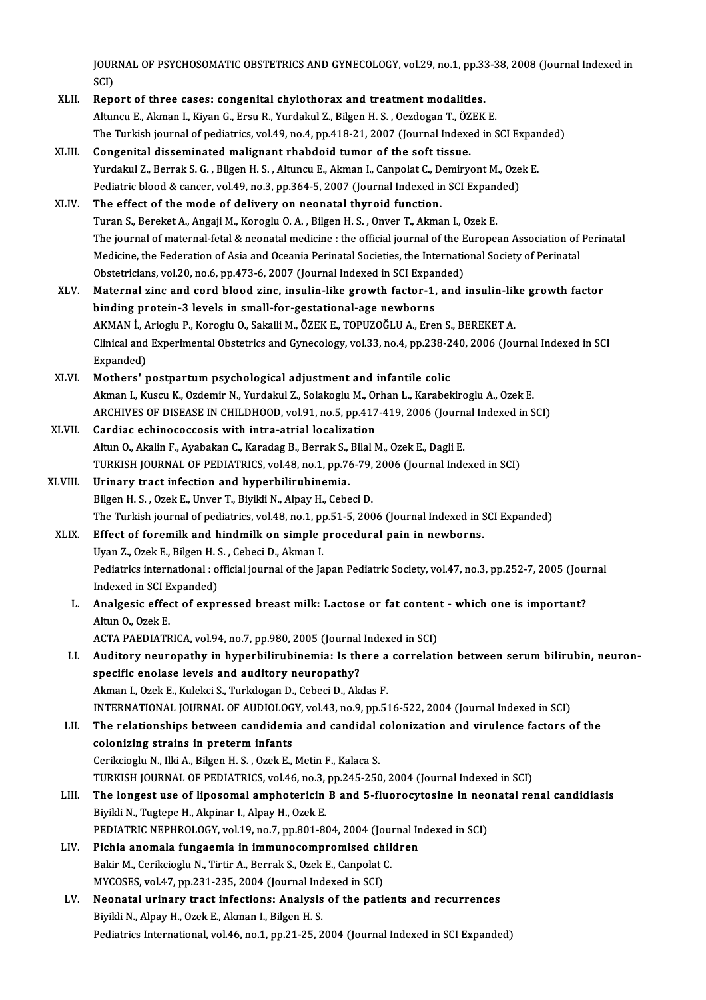JOURNAL OF PSYCHOSOMATIC OBSTETRICS AND GYNECOLOGY, vol.29, no.1, pp.33-38, 2008 (Journal Indexed in<br>SCD JOUR<br>SCI)<br>Bon JOURNAL OF PSYCHOSOMATIC OBSTETRICS AND GYNECOLOGY, vol.29, no.1, pp.33<br>SCI)<br>XLII. Report of three cases: congenital chylothorax and treatment modalities.

- SCI)<br>Report of three cases: congenital chylothorax and treatment modalities.<br>Altuncu E., Akman I., Kiyan G., Ersu R., Yurdakul Z., Bilgen H. S. , Oezdogan T., ÖZEK E. Report of three cases: congenital chylothorax and treatment modalities.<br>Altuncu E., Akman I., Kiyan G., Ersu R., Yurdakul Z., Bilgen H. S. , Oezdogan T., ÖZEK E.<br>The Turkish journal of pediatrics, vol.49, no.4, pp.418-21,
- XLIII. Congenital disseminated malignant rhabdoid tumor of the soft tissue. The Turkish journal of pediatrics, vol.49, no.4, pp.418-21, 2007 (Journal Indexed in SCI Expan<br>Congenital disseminated malignant rhabdoid tumor of the soft tissue.<br>Yurdakul Z., Berrak S. G. , Bilgen H. S. , Altuncu E., Akm Yurdakul Z., Berrak S. G., Bilgen H. S., Altuncu E., Akman I., Canpolat C., Demiryont M., Ozek E.<br>Pediatric blood & cancer, vol.49, no.3, pp.364-5, 2007 (Journal Indexed in SCI Expanded)

XLIV. The effect of themode of delivery on neonatal thyroid function. Turan S., Bereket A., Angaji M., Koroglu O. A., Bilgen H. S., Onver T., Akman I., Ozek E. The effect of the mode of delivery on neonatal thyroid function.<br>Turan S., Bereket A., Angaji M., Koroglu O. A. , Bilgen H. S. , Onver T., Akman I., Ozek E.<br>The journal of maternal-fetal & neonatal medicine : the official Turan S., Bereket A., Angaji M., Koroglu O. A. , Bilgen H. S. , Onver T., Akman I., Ozek E.<br>The journal of maternal-fetal & neonatal medicine : the official journal of the European Association of<br>Medicine, the Federation o The journal of maternal-fetal & neonatal medicine : the official journal of the E<br>Medicine, the Federation of Asia and Oceania Perinatal Societies, the Internatio<br>Obstetricians, vol.20, no.6, pp.473-6, 2007 (Journal Indexe Medicine, the Federation of Asia and Oceania Perinatal Societies, the International Society of Perinatal<br>Obstetricians, vol.20, no.6, pp.473-6, 2007 (Journal Indexed in SCI Expanded)<br>XLV. Maternal zinc and cord blood zinc,

- Obstetricians, vol.20, no.6, pp.473-6, 2007 (Journal Indexed in SCI Expanding protein-3 levels in small-for-gestational-age newborns<br>hinding protein-3 levels in small-for-gestational-age newborns<br>AKMAN L. Ariegly B. Keregl Maternal zinc and cord blood zinc, insulin-like growth factor-1, and insulin-lik<br>binding protein-3 levels in small-for-gestational-age newborns<br>AKMAN İ., Arioglu P., Koroglu O., Sakalli M., ÖZEK E., TOPUZOĞLU A., Eren S., binding protein-3 levels in small-for-gestational-age newborns<br>AKMAN İ., Arioglu P., Koroglu O., Sakalli M., ÖZEK E., TOPUZOĞLU A., Eren S., BEREKET A.<br>Clinical and Experimental Obstetrics and Gynecology, vol.33, no.4, pp. AKMAN İ., A<br>Clinical and<br>Expanded)<br>Mathara'ı XLVI. Mothers' postpartumpsychological adjustment and infantile colic
- Expanded)<br>Mothers' postpartum psychological adjustment and infantile colic<br>Akman I., Kuscu K., Ozdemir N., Yurdakul Z., Solakoglu M., Orhan L., Karabekiroglu A., Ozek E.<br>ARGUNIES OF DISEASE IN GUU DHOOD xol 91 no 5 nn 417 Mothers' postpartum psychological adjustment and infantile colic<br>Akman I., Kuscu K., Ozdemir N., Yurdakul Z., Solakoglu M., Orhan L., Karabekiroglu A., Ozek E.<br>ARCHIVES OF DISEASE IN CHILDHOOD, vol.91, no.5, pp.417-419, 20 Akman I., Kuscu K., Ozdemir N., Yurdakul Z., Solakoglu M., Or<br>ARCHIVES OF DISEASE IN CHILDHOOD, vol.91, no.5, pp.417<br>XLVII. Cardiac echinococcosis with intra-atrial localization
- ARCHIVES OF DISEASE IN CHILDHOOD, vol.91, no.5, pp.417-419, 2006 (Journ<br>Cardiac echinococcosis with intra-atrial localization<br>Altun O., Akalin F., Ayabakan C., Karadag B., Berrak S., Bilal M., Ozek E., Dagli E.<br>TURKISH JOU Cardiac echinococcosis with intra-atrial localization<br>Altun O., Akalin F., Ayabakan C., Karadag B., Berrak S., Bilal M., Ozek E., Dagli E.<br>TURKISH JOURNAL OF PEDIATRICS, vol.48, no.1, pp.76-79, 2006 (Journal Indexed in SCI Altun O., Akalin F., Ayabakan C., Karadag B., Berrak S.,<br>TURKISH JOURNAL OF PEDIATRICS, vol.48, no.1, pp.76<br>XLVIII. Urinary tract infection and hyperbilirubinemia.<br>Bilgen H. S., Ogek E. Unyer T. Bivikli N. Alpey H. Cobe
- TURKISH JOURNAL OF PEDIATRICS, vol.48, no.1, pp.76-79,<br>Urinary tract infection and hyperbilirubinemia.<br>Bilgen H. S. , Ozek E., Unver T., Biyikli N., Alpay H., Cebeci D.<br>The Turkish iournal of pediatrics, vol.48, no.1, np.5 Urinary tract infection and hyperbilirubinemia.<br>Bilgen H. S. , Ozek E., Unver T., Biyikli N., Alpay H., Cebeci D.<br>The Turkish journal of pediatrics, vol.48, no.1, pp.51-5, 2006 (Journal Indexed in SCI Expanded) XLIX. Effect of foremilk and hindmilk on simple procedural pain in newborns.

The Turkish journal of pediatrics, vol.48, no.1, pp<br>Effect of foremilk and hindmilk on simple p<br>Uyan Z., Ozek E., Bilgen H. S. , Cebeci D., Akman I.<br>Rediatrics international : efficial journal of the la Pediatrics international : official journal of the Japan Pediatric Society, vol.47, no.3, pp.252-7, 2005 (Journal Indexed in SCI Expanded) Uyan Z., Ozek E., Bilgen H. S<br>Pediatrics international : o<br>Indexed in SCI Expanded) Pediatrics international : official journal of the Japan Pediatric Society, vol.47, no.3, pp.252-7, 2005 (Journal Indexed in SCI Expanded)<br>L. Analgesic effect of expressed breast milk: Lactose or fat content - which one is

Indexed in SCI E<br><mark>Analgesic effe</mark><br>Altun O., Ozek E.<br>ACTA PAEDIATE Analgesic effect of expressed breast milk: Lactose or fat conten<br>Altun 0., Ozek E.<br>ACTA PAEDIATRICA, vol.94, no.7, pp.980, 2005 (Journal Indexed in SCI)<br>Auditory nouronathy in bynophilinyhinomia. Is there a connelati

- Altun 0., Ozek E.<br>ACTA PAEDIATRICA, vol.94, no.7, pp.980, 2005 (Journal Indexed in SCI)<br>LI. Auditory neuropathy in hyperbilirubinemia: Is there a correlation between serum bilirubin, neuron-<br>cpesific epoleon levels and eud ACTA PAEDIATRICA, vol.94, no.7, pp.980, 2005 (Journal Indexed in SCI)<br>Auditory neuropathy in hyperbilirubinemia: Is there a correlat<br>specific enolase levels and auditory neuropathy?<br>Akman I., Ozek E., Kulekci S., Turkdogan Auditory neuropathy in hyperbilirubinemia: Is there a<br>specific enolase levels and auditory neuropathy?<br>Akman I., Ozek E., Kulekci S., Turkdogan D., Cebeci D., Akdas F.<br>INTERNATIONAL JOURNAL OF AUDIOLOCY vol.43, no.9, np.51 specific enolase levels and auditory neuropathy?<br>Akman I., Ozek E., Kulekci S., Turkdogan D., Cebeci D., Akdas F.<br>INTERNATIONAL JOURNAL OF AUDIOLOGY, vol.43, no.9, pp.516-522, 2004 (Journal Indexed in SCI)<br>The relationship Akman I., Ozek E., Kulekci S., Turkdogan D., Cebeci D., Akdas F.<br>INTERNATIONAL JOURNAL OF AUDIOLOGY, vol.43, no.9, pp.516-522, 2004 (Journal Indexed in SCI)<br>LII. The relationships between candidemia and candidal colonizati
- INTERNATIONAL JOURNAL OF AUDIOLOG<br>The relationships between candidemicolonizing strains in preterm infants<br>Corikciosh: N. Ilki A. Bilgon H. S. Orek E. The relationships between candidemia and candidal colonization and virulence factors of the colonizing strains in preterm infants<br>Cerikcioglu N., Ilki A., Bilgen H. S. , Ozek E., Metin F., Kalaca S. colonizing strains in preterm infants<br>Cerikcioglu N., Ilki A., Bilgen H. S. , Ozek E., Metin F., Kalaca S.<br>TURKISH JOURNAL OF PEDIATRICS, vol.46, no.3, pp.245-250, 2004 (Journal Indexed in SCI)<br>The longest use of linesemel Cerikcioglu N., Ilki A., Bilgen H. S. , Ozek E., Metin F., Kalaca S.<br>TURKISH JOURNAL OF PEDIATRICS, vol.46, no.3, pp.245-250, 2004 (Journal Indexed in SCI)<br>LIII. The longest use of liposomal amphotericin B and 5-fluorocyto
- TURKISH JOURNAL OF PEDIATRICS, vol.46, no.3,<br>The longest use of liposomal amphotericin<br>Biyikli N., Tugtepe H., Akpinar I., Alpay H., Ozek E.<br>REDIATRIC NERHROLOCY, vol.19, no.3, np.901, 86 The longest use of liposomal amphotericin B and 5-fluorocytosine in neo<br>Biyikli N., Tugtepe H., Akpinar I., Alpay H., Ozek E.<br>PEDIATRIC NEPHROLOGY, vol.19, no.7, pp.801-804, 2004 (Journal Indexed in SCI)<br>Bishie anomala fun Biyikli N., Tugtepe H., Akpinar I., Alpay H., Ozek E.<br>PEDIATRIC NEPHROLOGY, vol.19, no.7, pp.801-804, 2004 (Journal Indexed in SCI)<br>LIV. Pichia anomala fungaemia in immunocompromised children
- PEDIATRIC NEPHROLOGY, vol.19, no.7, pp.801-804, 2004 (Journal)<br>Pichia anomala fungaemia in immunocompromised chil<br>Bakir M., Cerikcioglu N., Tirtir A., Berrak S., Ozek E., Canpolat C.<br>MYCOSES, vol.47, np.221, 225, 2004 (Jou Pichia anomala fungaemia in immunocompromised ch<br>Bakir M., Cerikcioglu N., Tirtir A., Berrak S., Ozek E., Canpolat (<br>MYCOSES, vol.47, pp.231-235, 2004 (Journal Indexed in SCI)<br>Neonatal uniporu tract infectiona: Analysis of MYCOSES, vol.47, pp.231-235, 2004 (Journal Indexed in SCI)
- LV. Neonatal urinary tract infections: Analysis of the patients and recurrences<br>Biyikli N., Alpay H., Ozek E., Akman I., Bilgen H. S. Pediatrics International, vol.46, no.1, pp.21-25, 2004 (Journal Indexed in SCI Expanded)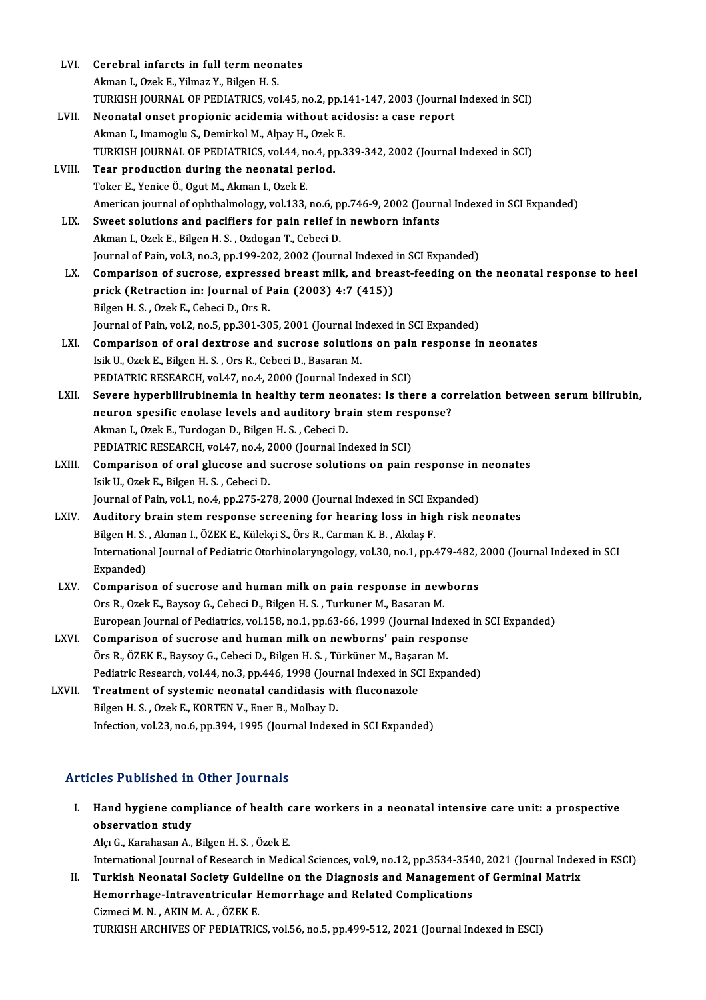| LVI.   | Cerebral infarcts in full term neonates                                                                        |
|--------|----------------------------------------------------------------------------------------------------------------|
|        | Akman I., Ozek E., Yilmaz Y., Bilgen H. S.                                                                     |
|        | TURKISH JOURNAL OF PEDIATRICS, vol.45, no.2, pp.141-147, 2003 (Journal Indexed in SCI)                         |
| LVII.  | Neonatal onset propionic acidemia without acidosis: a case report                                              |
|        | Akman I., Imamoglu S., Demirkol M., Alpay H., Ozek E.                                                          |
|        | TURKISH JOURNAL OF PEDIATRICS, vol.44, no.4, pp.339-342, 2002 (Journal Indexed in SCI)                         |
| LVIII. | Tear production during the neonatal period.                                                                    |
|        | Toker E., Yenice Ö., Ogut M., Akman I., Ozek E.                                                                |
|        | American journal of ophthalmology, vol.133, no.6, pp.746-9, 2002 (Journal Indexed in SCI Expanded)             |
| LIX.   | Sweet solutions and pacifiers for pain relief in newborn infants                                               |
|        | Akman I., Ozek E., Bilgen H. S., Ozdogan T., Cebeci D.                                                         |
|        | Journal of Pain, vol.3, no.3, pp.199-202, 2002 (Journal Indexed in SCI Expanded)                               |
| LX.    | Comparison of sucrose, expressed breast milk, and breast-feeding on the neonatal response to heel              |
|        | prick (Retraction in: Journal of Pain (2003) 4:7 (415))                                                        |
|        | Bilgen H. S., Ozek E., Cebeci D., Ors R.                                                                       |
|        | Journal of Pain, vol.2, no.5, pp.301-305, 2001 (Journal Indexed in SCI Expanded)                               |
| LXI.   | Comparison of oral dextrose and sucrose solutions on pain response in neonates                                 |
|        | Isik U., Ozek E., Bilgen H. S., Ors R., Cebeci D., Basaran M.                                                  |
|        | PEDIATRIC RESEARCH, vol.47, no.4, 2000 (Journal Indexed in SCI)                                                |
| LXII.  | Severe hyperbilirubinemia in healthy term neonates: Is there a correlation between serum bilirubin,            |
|        | neuron spesific enolase levels and auditory brain stem response?                                               |
|        | Akman I., Ozek E., Turdogan D., Bilgen H. S., Cebeci D.                                                        |
|        | PEDIATRIC RESEARCH, vol.47, no.4, 2000 (Journal Indexed in SCI)                                                |
| LXIII. | Comparison of oral glucose and sucrose solutions on pain response in neonates                                  |
|        | Isik U., Ozek E., Bilgen H. S., Cebeci D.                                                                      |
|        | Journal of Pain, vol.1, no.4, pp.275-278, 2000 (Journal Indexed in SCI Expanded)                               |
| LXIV.  | Auditory brain stem response screening for hearing loss in high risk neonates                                  |
|        | Bilgen H. S., Akman I., ÖZEK E., Külekçi S., Örs R., Carman K. B., Akdaş F.                                    |
|        | International Journal of Pediatric Otorhinolaryngology, vol.30, no.1, pp.479-482, 2000 (Journal Indexed in SCI |
|        | Expanded)                                                                                                      |
| LXV.   | Comparison of sucrose and human milk on pain response in newborns                                              |
|        | Ors R., Ozek E., Baysoy G., Cebeci D., Bilgen H. S., Turkuner M., Basaran M.                                   |
|        | European Journal of Pediatrics, vol.158, no.1, pp.63-66, 1999 (Journal Indexed in SCI Expanded)                |
| LXVI.  | Comparison of sucrose and human milk on newborns' pain response                                                |
|        | Örs R., ÖZEK E., Baysoy G., Cebeci D., Bilgen H. S., Türküner M., Başaran M.                                   |
|        | Pediatric Research, vol.44, no.3, pp.446, 1998 (Journal Indexed in SCI Expanded)                               |
| LXVII. | Treatment of systemic neonatal candidasis with fluconazole                                                     |
|        | Bilgen H. S., Ozek E., KORTEN V., Ener B., Molbay D.                                                           |
|        | Infection, vol.23, no.6, pp.394, 1995 (Journal Indexed in SCI Expanded)                                        |
|        |                                                                                                                |

### Articles Published in Other Journals

I. Hand hygiene compliance of health care workers in a neonatal intensive care unit: a prospective Mand hygiene complete<br>observation study<br>also C. Karabasan A Hand hygiene compliance of health c<br>observation study<br>Alçı G., Karahasan A., Bilgen H. S. , Özek E.<br>International Journal of Bessensh in Medi observation study<br>Alçı G., Karahasan A., Bilgen H. S. , Özek E.<br>International Journal of Research in Medical Sciences, vol.9, no.12, pp.3534-3540, 2021 (Journal Indexed in ESCI)

II. Turkish Neonatal Society Guideline on the Diagnosis and Management of Germinal Matrix International Journal of Research in Medical Sciences, vol.9, no.12, pp.3534-354<br>Turkish Neonatal Society Guideline on the Diagnosis and Management<br>Hemorrhage-Intraventricular Hemorrhage and Related Complications<br>Cirmesi M Turkish Neonatal Society Guide<br>Hemorrhage-Intraventricular F<br>Cizmeci M.N., AKIN M.A., ÖZEK E.<br>TURKISH ARCHIVES OF PEDIATRIC Cizmeci M. N. , AKIN M. A. , ÖZEK E.<br>TURKISH ARCHIVES OF PEDIATRICS, vol.56, no.5, pp.499-512, 2021 (Journal Indexed in ESCI)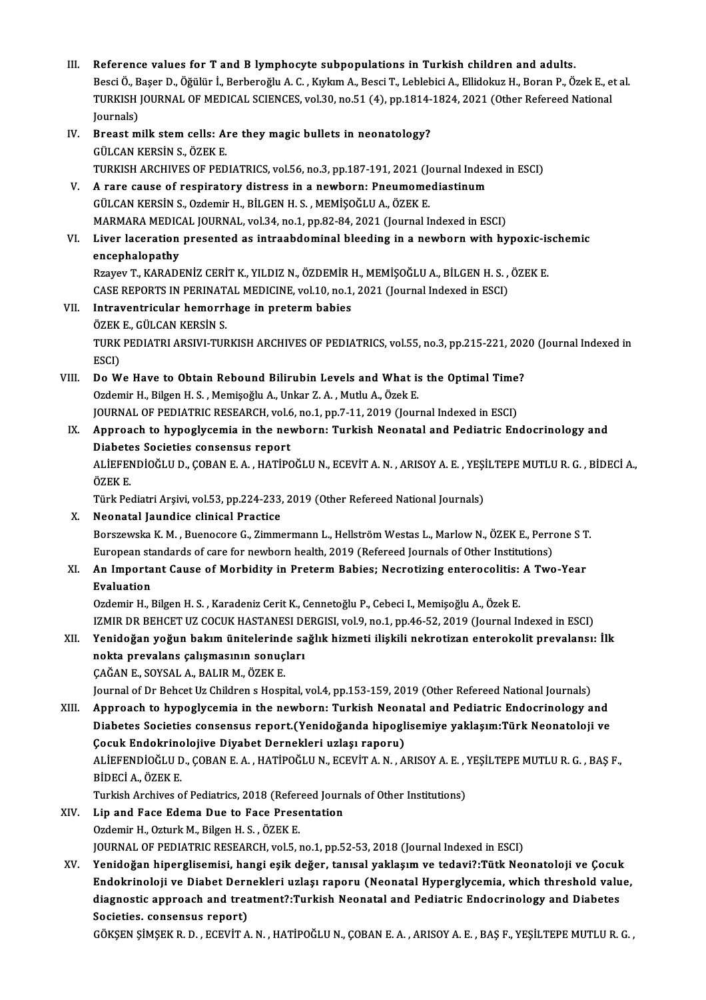- III. Reference values for T and B lymphocyte subpopulations in Turkish children and adults.<br>Reggi Ö. Basar D. Öğülür İ. Barbarağlu A.C. Kulum A. Basar T. Lablabisi A. Ellidelnu H. Baran P. Ö. Reference values for T and B lymphocyte subpopulations in Turkish children and adults.<br>Besci Ö., Başer D., Öğülür İ., Berberoğlu A. C. , Kıykım A., Besci T., Leblebici A., Ellidokuz H., Boran P., Özek E., et al.<br>TURKISH JO Reference values for T and B lymphocyte subpopulations in Turkish children and adults.<br>Besci Ö., Başer D., Öğülür İ., Berberoğlu A. C. , Kıykım A., Besci T., Leblebici A., Ellidokuz H., Boran P., Özek E., e<br>TURKISH JOURNAL Besci Ö., Başer D., Öğülür İ., Berberoğlu A. C. , Kıykım A., Besci T., Leblebici A., Ellidokuz H., Boran P., Özek E., et al.<br>TURKISH JOURNAL OF MEDICAL SCIENCES, vol.30, no.51 (4), pp.1814-1824, 2021 (Other Refereed Nation TURKISH JOURNAL OF MEDICAL SCIENCES, vol.30, no.51 (4), pp.1814-<br>Journals)<br>IV. Breast milk stem cells: Are they magic bullets in neonatology?<br>CULCAN EERSIN S. ÖZEE E Journals)<br>Breast milk stem cells: A<br>GÜLCAN KERSİN S., ÖZEK E.<br>TURKISH ARCHIVES OF PED Breast milk stem cells: Are they magic bullets in neonatology?<br>GÜLCAN KERSİN S., ÖZEK E.<br>TURKISH ARCHIVES OF PEDIATRICS, vol.56, no.3, pp.187-191, 2021 (Journal Indexed in ESCI)<br>A rare sause of respiratory distress in a ne GÜLCAN KERSİN S., ÖZEK E.<br>TURKISH ARCHIVES OF PEDIATRICS, vol.56, no.3, pp.187-191, 2021 (Journal Index<br>V. A rare cause of respiratory distress in a newborn: Pneumomediastinum<br>CÜLCAN KERSİN S. Ordomir H. BİLCEN H. S. MEMİS TURKISH ARCHIVES OF PEDIATRICS, vol.56, no.3, pp.187-191, 2021 (Jo<br>A rare cause of respiratory distress in a newborn: Pneumome<br>GÜLCAN KERSİN S., Ozdemir H., BİLGEN H. S. , MEMİŞOĞLU A., ÖZEK E.<br>MARMARA MEDICAL JOURNAL vol. A rare cause of respiratory distress in a newborn: Pneumomediastinum<br>GÜLCAN KERSİN S., Ozdemir H., BİLGEN H. S. , MEMİŞOĞLU A., ÖZEK E.<br>MARMARA MEDICAL JOURNAL, vol.34, no.1, pp.82-84, 2021 (Journal Indexed in ESCI)<br>Liver GÜLCAN KERSİN S., Ozdemir H., BİLGEN H. S. , MEMİŞOĞLU A., ÖZEK E.<br>MARMARA MEDICAL JOURNAL, vol.34, no.1, pp.82-84, 2021 (Journal Indexed in ESCI)<br>VI. Liver laceration presented as intraabdominal bleeding in a newborn MARMARA MEDIC<br>Liver laceration<br>encephalopathy<br>Prayay T. KARADI Liver laceration presented as intraabdominal bleeding in a newborn with hypoxic-is<br>encephalopathy<br>Rzayev T., KARADENİZ CERİT K., YILDIZ N., ÖZDEMİR H., MEMİŞOĞLU A., BİLGEN H. S. , ÖZEK E.<br>CASE PEROPTS IN PERINATAL MEDICIN encephalopathy<br>Rzayev T., KARADENİZ CERİT K., YILDIZ N., ÖZDEMİR H., MEMİŞOĞLU A., BİLGEN H. S. ,<br>CASE REPORTS IN PERINATAL MEDICINE, vol.10, no.1, 2021 (Journal Indexed in ESCI)<br>Intraventricular bemerrhage in proterm babi Rzayev T., KARADENİZ CERİT K., YILDIZ N., ÖZDEMİR H., MEMİŞOĞLU A., BİLGEN H. S. , ÖZEK E.<br>CASE REPORTS IN PERINATAL MEDICINE, vol.10, no.1, 2021 (Journal Indexed in ESCI)<br>VII. Intraventricular hemorrhage in preterm ba CASE REPORTS IN PERINAT.<br>Intraventricular hemorri<br>ÖZEK E., GÜLCAN KERSİN S.<br>TURK PEDIATRI ARSIN TUR TURK PEDIATRI ARSIVI-TURKISH ARCHIVES OF PEDIATRICS, vol.55, no.3, pp.215-221, 2020 (Journal Indexed in<br>ESCI) ÖZEK E., GÜLCAN KERSİN S. TURK PEDIATRI ARSIVI-TURKISH ARCHIVES OF PEDIATRICS, vol.55, no.3, pp.215-221, 202<br>ESCI)<br>VIII. Do We Have to Obtain Rebound Bilirubin Levels and What is the Optimal Time?<br>Ordomin H. Bilgan H. S. Monisoğlu A. Unkar 7. A. Mu Ozdemir H., Bilgen H. S., Memişoğlu A., Unkar Z. A., Mutlu A., Özek E. Do We Have to Obtain Rebound Bilirubin Levels and What is the Optimal Time<br>Ozdemir H., Bilgen H. S. , Memişoğlu A., Unkar Z. A. , Mutlu A., Özek E.<br>JOURNAL OF PEDIATRIC RESEARCH, vol.6, no.1, pp.7-11, 2019 (Journal Indexed IX. Approach to hypoglycemia in the newborn: Turkish Neonatal and Pediatric Endocrinology and JOURNAL OF PEDIATRIC RESEARCH, vol.6, no.1, pp.7-11, 2019 (Journal Indexed in ESCI) Approach to hypoglycemia in the newborn: Turkish Neonatal and Pediatric Endocrinology and<br>Diabetes Societies consensus report<br>ALİEFENDİOĞLU D., ÇOBAN E. A. , HATİPOĞLU N., ECEVİT A. N. , ARISOY A. E. , YEŞİLTEPE MUTLU R. G Diabete<br>ALİEFEN<br>ÖZEK E.<br>Türk Pe ALİEFENDİOĞLU D., ÇOBAN E. A. , HATİPOĞLU N., ECEVİT A. N. , ARISOY A. E. , YEŞİ<br>ÖZEK E.<br>Türk Pediatri Arşivi, vol.53, pp.224-233, 2019 (Other Refereed National Journals)<br>Neonatal Joundiae elinisel Prestise. ÖZEK E.<br>Türk Pediatri Arşivi, vol.53, pp.224-233, 2019 (Other Refereed National Journals)<br>X. Neonatal Jaundice clinical Practice Borszewska K. M., Buenocore G., Zimmermann L., Hellström Westas L., Marlow N., ÖZEK E., Perrone ST. Neonatal Jaundice clinical Practice<br>Borszewska K. M. , Buenocore G., Zimmermann L., Hellström Westas L., Marlow N., ÖZEK E., Perre<br>European standards of care for newborn health, 2019 (Refereed Journals of Other Institution XI. An Important Cause of Morbidity in Preterm Babies; Necrotizing enterocolitis: A Two-Year<br>Evaluation European sta<br>An Importa<br>Evaluation<br>Ordemin H Ozdemir H., Bilgen H. S., Karadeniz Cerit K., Cennetoğlu P., Cebeci I., Memişoğlu A., Özek E. IZMIR DR BEHCET UZ COCUK HASTANESI DERGISI, vol.9, no.1, pp.46-52, 2019 (Journal Indexed in ESCI) XII. Yenidoğan yoğun bakım ünitelerinde sağlık hizmeti ilişkili nekrotizan enterokolit prevalansı: İlk IZMIR DR BEHCET UZ COCUK HASTANESI DI<br>Yenidoğan yoğun bakım ünitelerinde sa<br>nokta prevalans çalışmasının sonuçları<br>CAČAN E. SOVSAL A. BALIB M. ÖZEK E Yenidoğan yoğun bakım ünitelerind<br>nokta prevalans çalışmasının sonuç<br>ÇAĞAN E., SOYSAL A., BALIR M., ÖZEK E.<br>Journal of Dr Bebeet Uz Children a Hean ÇAĞAN E., SOYSAL A., BALIR M., ÖZEK E.<br>Journal of Dr Behcet Uz Children s Hospital, vol.4, pp.153-159, 2019 (Other Refereed National Journals) CAĞAN E., SOYSAL A., BALIR M., ÖZEK E.<br>Journal of Dr Behcet Uz Children s Hospital, vol.4, pp.153-159, 2019 (Other Refereed National Journals)<br>XIII. Approach to hypoglycemia in the newborn: Turkish Neonatal and Pediatric E Journal of Dr Behcet Uz Children s Hospital, vol.4, pp.153-159, 2019 (Other Refereed National Journals)<br>Approach to hypoglycemia in the newborn: Turkish Neonatal and Pediatric Endocrinology and<br>Diabetes Societies consensus Approach to hypoglycemia in the newborn: Turkish Neon<br>Diabetes Societies consensus report.(Yenidoğanda hipogl<br>Çocuk Endokrinolojive Diyabet Dernekleri uzlaşı raporu)<br>ALİEEENDİQÖLU D. CORAN E A. HATİPOĞLU N. ECEVİT A N. A Diabetes Societies consensus report.(Yenidoğanda hipoglisemiye yaklaşım:Türk Neonatoloji ve<br>Çocuk Endokrinolojive Diyabet Dernekleri uzlaşı raporu)<br>ALİEFENDİOĞLU D., ÇOBAN E. A. , HATİPOĞLU N., ECEVİT A. N. , ARISOY A. E. **Çocuk Endokrinc<br>ALİEFENDİOĞLU D<br>BİDECİ A., ÖZEK E.<br>Turkish Arshives e** ALIEFENDIOĞLU D., ÇOBAN E. A. , HATİPOĞLU N., ECEVİT A. N. , ARISOY A. E. , '<br>BİDECİ A., ÖZEK E.<br>Turkish Archives of Pediatrics, 2018 (Refereed Journals of Other Institutions)<br>Lin and Ease Edame Due to Ease Presentation BIDECI A., ÖZEK E.<br>Turkish Archives of Pediatrics, 2018 (Refereed Journ<br>XIV. Lip and Face Edema Due to Face Presentation<br>Ozdemir H., Ozturk M., Bilgen H. S. . ÖZEK E. Turkish Archives of Pediatrics, 2018 (Refereed Journals of Other Institutions) JOURNAL OF PEDIATRIC RESEARCH, vol.5, no.1, pp.52-53, 2018 (Journal Indexed in ESCI) XV. Yenidoğan hiperglisemisi, hangi eşik değer, tanısal yaklaşım ve tedavi?:Tütk Neonatoloji ve Çocuk JOURNAL OF PEDIATRIC RESEARCH, vol.5, no.1, pp.52-53, 2018 (Journal Indexed in ESCI)<br>Yenidoğan hiperglisemisi, hangi eşik değer, tanısal yaklaşım ve tedavi?:Tütk Neonatoloji ve Çocuk<br>Endokrinoloji ve Diabet Dernekleri uzla
	- Yenidoğan hiperglisemisi, hangi eşik değer, tanısal yaklaşım ve tedavi?:Tütk Neonatoloji ve Çocuk<br>Endokrinoloji ve Diabet Dernekleri uzlaşı raporu (Neonatal Hyperglycemia, which threshold valu<br>diagnostic approach and treat Endokrinoloji ve Diabet Derr<br>diagnostic approach and trea<br>Societies. consensus report)<br>CÖKSEN SİMSEK B. D. ECEVİT A diagnostic approach and treatment?:Turkish Neonatal and Pediatric Endocrinology and Diabetes<br>Societies. consensus report)<br>GÖKŞEN ŞİMŞEK R. D. , ECEVİT A. N. , HATİPOĞLU N., ÇOBAN E. A. , ARISOY A. E. , BAŞ F., YEŞİLTEPE MU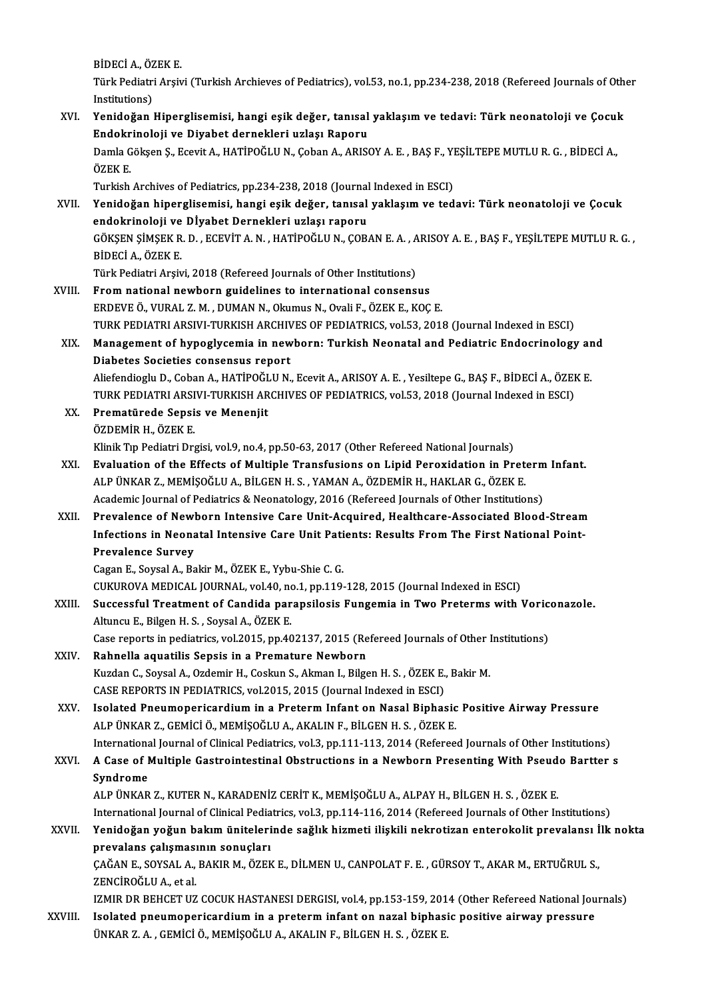**BİDECİ A., ÖZEK E.<br>Türk Pedistri Aray** 

Türk Pediatri Arşivi (Turkish Archieves of Pediatrics), vol.53, no.1, pp.234-238, 2018 (Refereed Journals of Other<br>Institutions) BİDECİ A., ÖZ<br>Türk Pediatri<br>Institutions)<br>Vanidağan I Türk Pediatri Arşivi (Turkish Archieves of Pediatrics), vol.53, no.1, pp.234-238, 2018 (Refereed Journals of Oth<br>Institutions)<br>XVI. Yenidoğan Hiperglisemisi, hangi eşik değer, tanısal yaklaşım ve tedavi: Türk neonatoloji v

Institutions)<br>Yenidoğan Hiperglisemisi, hangi eşik değer, tanısal<br>Endokrinoloji ve Diyabet dernekleri uzlaşı Raporu<br>Damla Gölren S. Feavit A. HATİPOČLUN, Ceban A. APISO Yenidoğan Hiperglisemisi, hangi eşik değer, tanısal yaklaşım ve tedavi: Türk neonatoloji ve Çocul<br>Endokrinoloji ve Diyabet dernekleri uzlaşı Raporu<br>Damla Gökşen Ş., Ecevit A., HATİPOĞLU N., Çoban A., ARISOY A. E. , BAŞ F., <mark>Endokr</mark><br>Damla G<br>ÖZEK E.<br>Turkish Damla Gökşen Ş., Ecevit A., HATİPOĞLU N., Çoban A., ARISOY A. E. , BAŞ F., YI<br>ÖZEK E.<br>Turkish Archives of Pediatrics, pp.234-238, 2018 (Journal Indexed in ESCI)<br>Yonidoğan binaralisemisi, bangi esik doğan tanısal yaklasım v ÖZEK E.<br>Turkish Archives of Pediatrics, pp.234-238, 2018 (Journal Indexed in ESCI)<br>XVII. Yenidoğan hiperglisemisi, hangi eşik değer, tanısal yaklaşım ve tedavi: Türk neonatoloji ve Çocuk Turkish Archives of Pediatrics, pp.234-238, 2018 (Journal<br>Yenidoğan hiperglisemisi, hangi eşik değer, tanısal<br>endokrinoloji ve Dİyabet Dernekleri uzlaşı raporu<br>GÖKSEN SİMSEK B. D., ECEVİTA N. HATİBOĞLUN, COR. Yenidoğan hiperglisemisi, hangi eşik değer, tanısal yaklaşım ve tedavi: Türk neonatoloji ve Çocuk<br>endokrinoloji ve Dİyabet Dernekleri uzlaşı raporu<br>GÖKŞEN ŞİMŞEK R. D. , ECEVİT A. N. , HATİPOĞLU N., ÇOBAN E. A. , ARISOY A. endokrinoloji ve<br>GÖKŞEN ŞİMŞEK R<br>BİDECİ A., ÖZEK E.<br>Türk Pedistri Arsiy GÖKŞEN ŞİMŞEK R. D. , ECEVİT A. N. , HATİPOĞLU N., ÇOBAN E. A. , A<br>BİDECİ A., ÖZEK E.<br>Türk Pediatri Arşivi, 2018 (Refereed Journals of Other Institutions)<br>From national newborn guidelines to international sonsons: BİDECİ A., ÖZEK E.<br>Türk Pediatri Arşivi, 2018 (Refereed Journals of Other Institutions)<br>XVIII. From national newborn guidelines to international consensus ERDEVEÖ.,VURAL Z.M. ,DUMANN.,OkumusN.,OvaliF.,ÖZEKE.,KOÇE. From national newborn guidelines to international consensus<br>ERDEVE Ö., VURAL Z. M. , DUMAN N., Okumus N., Ovali F., ÖZEK E., KOÇ E.<br>TURK PEDIATRI ARSIVI-TURKISH ARCHIVES OF PEDIATRICS, vol.53, 2018 (Journal Indexed in ESCI ERDEVE Ö., VURAL Z. M. , DUMAN N., Okumus N., Ovali F., ÖZEK E., KOÇ E.<br>TURK PEDIATRI ARSIVI-TURKISH ARCHIVES OF PEDIATRICS, vol.53, 2018 (Journal Indexed in ESCI)<br>XIX. Management of hypoglycemia in newborn: Turkish Ne TURK PEDIATRI ARSIVI-TURKISH ARCHIV<br>Management of hypoglycemia in new<br>Diabetes Societies consensus report Management of hypoglycemia in newborn: Turkish Neonatal and Pediatric Endocrinology ar<br>Diabetes Societies consensus report<br>Aliefendioglu D., Coban A., HATİPOĞLU N., Ecevit A., ARISOY A. E. , Yesiltepe G., BAŞ F., BİDECİ A. Diabetes Societies consensus report<br>Aliefendioglu D., Coban A., HATİPOĞLU N., Ecevit A., ARISOY A. E. , Yesiltepe G., BAŞ F., BİDECİ A., ÖZEI<br>TURK PEDIATRI ARSIVI-TURKISH ARCHIVES OF PEDIATRICS, vol.53, 2018 (Journal Index Aliefendioglu D., Coban A., HATİPOĞLU N., Ecevit A., ARISOY A. E. , Yesiltepe G., BAŞ F., BİDECİ A., ÖZEK E.<br>TURK PEDIATRI ARSIVI-TURKISH ARCHIVES OF PEDIATRICS, vol.53, 2018 (Journal Indexed in ESCI)<br>XX. Prematürede Sepsi TURK PEDIATRI ARSI<br><mark>Prematürede Sepsi</mark><br>ÖZDEMİR H., ÖZEK E.<br>Klinik Tın Bediatri Dr. Klinik Tıp Pediatri Drgisi, vol.9, no.4, pp.50-63, 2017 (Other Refereed National Journals) ÖZDEMİR H., ÖZEK E.<br>Klinik Tıp Pediatri Drgisi, vol.9, no.4, pp.50-63, 2017 (Other Refereed National Journals)<br>XXI. Evaluation of the Effects of Multiple Transfusions on Lipid Peroxidation in Preterm Infant.<br>ALR ÜNKAR Klinik Tıp Pediatri Drgisi, vol.9, no.4, pp.50-63, 2017 (Other Refereed National Journals)<br>Evaluation of the Effects of Multiple Transfusions on Lipid Peroxidation in Pret<br>ALP ÜNKAR Z., MEMİŞOĞLU A., BİLGEN H. S. , YAMAN A Evaluation of the Effects of Multiple Transfusions on Lipid Peroxidation in Preterm<br>ALP ÜNKAR Z., MEMİŞOĞLU A., BİLGEN H. S. , YAMAN A., ÖZDEMİR H., HAKLAR G., ÖZEK E.<br>Academic Journal of Pediatrics & Neonatology, 2016 (Re ALP ÜNKAR Z., MEMIŞOĞLU A., BİLGEN H. S. , YAMAN A., ÖZDEMİR H., HAKLAR G., ÖZEK E.<br>Academic Journal of Pediatrics & Neonatology, 2016 (Refereed Journals of Other Institutions)<br>XXII. Prevalence of Newborn Intensive Care Un Academic Journal of Pediatrics & Neonatology, 2016 (Refereed Journals of Other Institutions)<br>Prevalence of Newborn Intensive Care Unit-Acquired, Healthcare-Associated Blood-Stream<br>Infections in Neonatal Intensive Care Unit Prevalence of Newl<br>Infections in Neona<br>Prevalence Survey<br>Cogan E. Sousel A. Bo Infections in Neonatal Intensive Care Unit Patients: Results From The First National Point-<br>Prevalence Survey<br>Cagan E., Soysal A., Bakir M., ÖZEK E., Yybu-Shie C. G. CUKUROVAMEDICAL JOURNAL,vol.40,no.1,pp.119-128,2015 (Journal Indexed inESCI) Cagan E., Soysal A., Bakir M., ÖZEK E., Yybu-Shie C. G.<br>CUKUROVA MEDICAL JOURNAL, vol.40, no.1, pp.119-128, 2015 (Journal Indexed in ESCI)<br>XXIII. Successful Treatment of Candida parapsilosis Fungemia in Two Preterms with V CUKUROVA MEDICAL JOURNAL, vol.40, no<br>Successful Treatment of Candida par<br>Altuncu E., Bilgen H. S. , Soysal A., ÖZEK E.<br>Case reports in podiatrics vol.2015, np.40 Successful Treatment of Candida parapsilosis Fungemia in Two Preterms with Voric<br>Altuncu E., Bilgen H. S. , Soysal A., ÖZEK E.<br>Case reports in pediatrics, vol.2015, pp.402137, 2015 (Refereed Journals of Other Institutions) Altuncu E., Bilgen H. S. , Soysal A., ÖZEK E.<br>Case reports in pediatrics, vol.2015, pp.402137, 2015 (Re<br>XXIV. Rahnella aquatilis Sepsis in a Premature Newborn Case reports in pediatrics, vol.2015, pp.402137, 2015 (Refereed Journals of Other Institutions)<br>Rahnella aquatilis Sepsis in a Premature Newborn<br>Kuzdan C., Soysal A., Ozdemir H., Coskun S., Akman I., Bilgen H.S. , ÖZEK E., Kuzdan C., Soysal A., Ozdemir H., Coskun S., Akman I., Bilgen H. S., ÖZEK E., Bakir M. Kuzdan C., Soysal A., Ozdemir H., Coskun S., Akman I., Bilgen H. S. , ÖZEK E., Bakir M.<br>CASE REPORTS IN PEDIATRICS, vol.2015, 2015 (Journal Indexed in ESCI)<br>XXV. Isolated Pneumopericardium in a Preterm Infant on Nasal Biph CASE REPORTS IN PEDIATRICS, vol.2015, 2015 (Journal Indexed in ESCI)<br>Isolated Pneumopericardium in a Preterm Infant on Nasal Biphasic<br>ALP ÜNKAR Z., GEMİCİ Ö., MEMİŞOĞLU A., AKALIN F., BİLGEN H. S. , ÖZEK E.<br>International J Isolated Pneumopericardium in a Preterm Infant on Nasal Biphasic Positive Airway Pressure<br>ALP ÜNKAR Z., GEMİCİ Ö., MEMİŞOĞLU A., AKALIN F., BİLGEN H. S. , ÖZEK E.<br>International Journal of Clinical Pediatrics, vol.3, pp.111 ALP ÜNKAR Z., GEMİCİ Ö., MEMİŞOĞLU A., AKALIN F., BİLGEN H. S. , ÖZEK E.<br>International Journal of Clinical Pediatrics, vol.3, pp.111-113, 2014 (Refereed Journals of Other Institutions)<br>XXVI. A Case of Multiple Gastroin Internationa<br>A Case of I<br>Syndrome<br>ALP ÜNKAP A Case of Multiple Gastrointestinal Obstructions in a Newborn Presenting With Pseud<br>Syndrome<br>ALP ÜNKAR Z., KUTER N., KARADENİZ CERİT K., MEMİŞOĞLU A., ALPAY H., BİLGEN H. S. , ÖZEK E.<br>International Journal of Clinical Podi Syndrome<br>ALP ÜNKAR Z., KUTER N., KARADENİZ CERİT K., MEMİŞOĞLU A., ALPAY H., BİLGEN H. S. , ÖZEK E.<br>International Journal of Clinical Pediatrics, vol.3, pp.114-116, 2014 (Refereed Journals of Other Institutions)<br>Yonidoğan ALP ÜNKAR Z., KUTER N., KARADENİZ CERİT K., MEMİŞOĞLU A., ALPAY H., BİLGEN H. S. , ÖZEK E.<br>International Journal of Clinical Pediatrics, vol.3, pp.114-116, 2014 (Refereed Journals of Other Institutions)<br>XXVII. Yenidoğan yo International Journal of Clinical Pedia<br>Yenidoğan yoğun bakım üniteleri<br>prevalans çalışmasının sonuçları<br>CAČANE SOVSAL A BAKIBM ÖZEK Yenidoğan yoğun bakım ünitelerinde sağlık hizmeti ilişkili nekrotizan enterokolit prevalansı İ<br>prevalans çalışmasının sonuçları<br>ÇAĞAN E., SOYSAL A., BAKIR M., ÖZEK E., DİLMEN U., CANPOLAT F. E. , GÜRSOY T., AKAR M., ERTUĞR prevalans çalışması<br>ÇAĞAN E., SOYSAL A.,<br>ZENCİROĞLU A., et al.<br>17MIB DB BEHCET UZ ÇAĞAN E., SOYSAL A., BAKIR M., ÖZEK E., DİLMEN U., CANPOLAT F. E. , GÜRSOY T., AKAR M., ERTUĞRUL S.,<br>ZENCİROĞLU A., et al.<br>IZMIR DR BEHCET UZ COCUK HASTANESI DERGISI, vol.4, pp.153-159, 2014 (Other Refereed National Journa ZENCİROĞLU A., et al.<br>IZMIR DR BEHCET UZ COCUK HASTANESI DERGISI, vol.4, pp.153-159, 2014 (Other Refereed National Jou<br>XXVIII. Isolated pneumopericardium in a preterm infant on nazal biphasic positive airway pressure<br>INKAR IZMIR DR BEHCET UZ COCUK HASTANESI DERGISI, vol.4, pp.153-159, 201<br>Isolated pneumopericardium in a preterm infant on nazal biphasi<br>ÜNKAR Z. A. , GEMİCİ Ö., MEMİŞOĞLU A., AKALIN F., BİLGEN H. S. , ÖZEK E.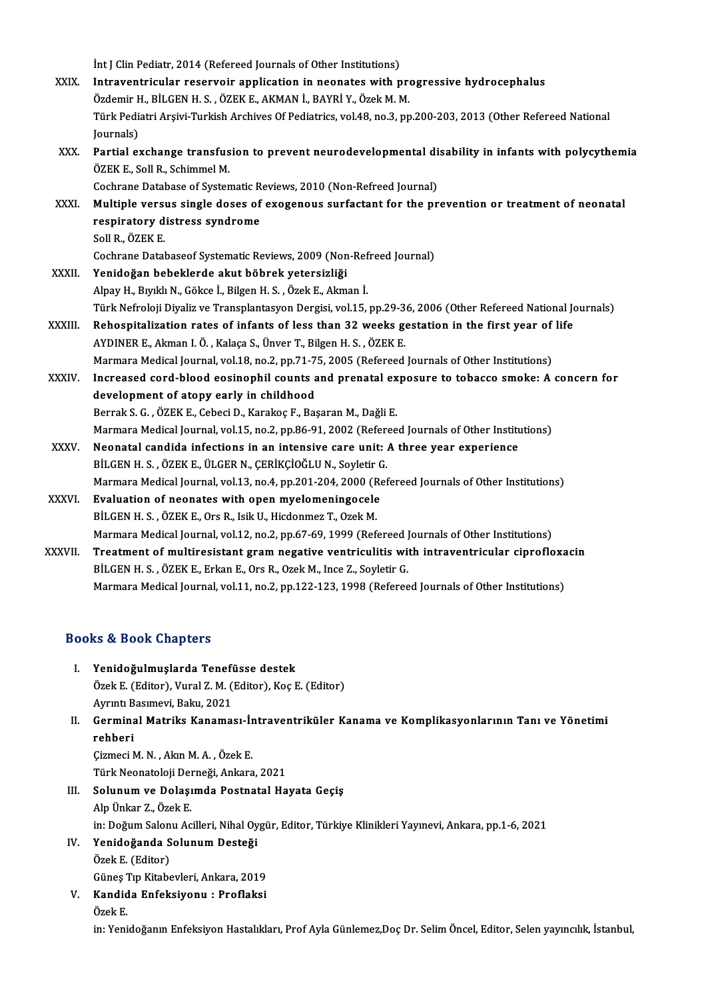Int J Clin Pediatr, 2014 (Refereed Journals of Other Institutions) XXIX. Intraventricular reservoir application in neonates with progressive hydrocephalus İnt J Clin Pediatr, 2014 (Refereed Journals of Other Institutions)<br>Intraventricular reservoir application in neonates with pro<br>Özdemir H., BİLGEN H. S. , ÖZEK E., AKMAN İ., BAYRİ Y., Özek M. M.<br>Türk Pediatri Arsivi Turkish Türk Pediatri Arşivi-Turkish Archives Of Pediatrics, vol.48, no.3, pp.200-203, 2013 (Other Refereed National Journals) Özdemir F<br>Türk Pedi<br>Journals)<br>Partial ex Türk Pediatri Arşivi-Turkish Archives Of Pediatrics, vol.48, no.3, pp.200-203, 2013 (Other Refereed National<br>Journals)<br>XXX. Partial exchange transfusion to prevent neurodevelopmental disability in infants with polycythemia Journals)<br><mark>Partial exchange transfus</mark><br>ÖZEK E., Soll R., Schimmel M.<br>Cochrano Database of Syster Partial exchange transfusion to prevent neurodevelopmental di<br>ÖZEK E., Soll R., Schimmel M.<br>Cochrane Database of Systematic Reviews, 2010 (Non-Refreed Journal)<br>Multiple versus single doses of exegeneus surfectent for the p ÖZEK E., Soll R., Schimmel M.<br>Cochrane Database of Systematic Reviews, 2010 (Non-Refreed Journal)<br>XXXI. Multiple versus single doses of exogenous surfactant for the prevention or treatment of neonatal<br>respiratory distress Cochrane Database of Systematic R<br>Multiple versus single doses of<br>respiratory distress syndrome<br>Sell B. ÖZEK E Multiple versi<br>respiratory d<br>Soll R., ÖZEK E.<br>Cochrone Datel respiratory distress syndrome<br>Soll R., ÖZEK E.<br>Cochrane Databaseof Systematic Reviews, 2009 (Non-Refreed Journal) XXXII. Yenidoğan bebeklerde akut böbrek yetersizliği AlpayH.,BıyıklıN.,Gökce İ.,BilgenH.S. ,ÖzekE.,Akmanİ. Yenidoğan bebeklerde akut böbrek yetersizliği<br>Alpay H., Bıyıklı N., Gökce İ., Bilgen H. S. , Özek E., Akman İ.<br>Türk Nefroloji Diyaliz ve Transplantasyon Dergisi, vol.15, pp.29-36, 2006 (Other Refereed National Journals)<br>Be Alpay H., Bıyıklı N., Gökce İ., Bilgen H. S. , Özek E., Akman İ.<br>Türk Nefroloji Diyaliz ve Transplantasyon Dergisi, vol.15, pp.29-36, 2006 (Other Refereed National Journal Journal Journal Journal of life<br>XXXIII. Rehospital Türk Nefroloji Diyaliz ve Transplantasyon Dergisi, vol.15, pp.29-3<br>Rehospitalization rates of infants of less than 32 weeks go<br>AYDINER E., Akman I. Ö. , Kalaça S., Ünver T., Bilgen H. S. , ÖZEK E.<br>Marmara Medisal Jaurnal v Rehospitalization rates of infants of less than 32 weeks gestation in the first year of life<br>AYDINER E., Akman I. Ö. , Kalaça S., Ünver T., Bilgen H. S. , ÖZEK E.<br>Marmara Medical Journal, vol.18, no.2, pp.71-75, 2005 (Refe AYDINER E., Akman I. Ö. , Kalaça S., Ünver T., Bilgen H. S. , ÖZEK E.<br>Marmara Medical Journal, vol.18, no.2, pp.71-75, 2005 (Refereed Journals of Other Institutions)<br>XXXIV. Increased cord-blood eosinophil counts and prenat Marmara Medical Journal, vol.18, no.2, pp.71-7<br>Increased cord-blood eosinophil counts a<br>development of atopy early in childhood<br>Borrek S.C., ÖZEK E. Sebesi D. Karakee E. Bas Increased cord-blood eosinophil counts and prenatal ex<br>development of atopy early in childhood<br>Berrak S. G. , ÖZEK E., Cebeci D., Karakoç F., Başaran M., Dağli E.<br>Marmara Medical Journal val 15, no 2, np 96, 91, 2002 (Befe development of atopy early in childhood<br>Berrak S. G. , ÖZEK E., Cebeci D., Karakoç F., Başaran M., Dağli E.<br>Marmara Medical Journal, vol.15, no.2, pp.86-91, 2002 (Refereed Journals of Other Institutions) Berrak S. G. , ÖZEK E., Cebeci D., Karakoç F., Başaran M., Dağli E.<br>Marmara Medical Journal, vol.15, no.2, pp.86-91, 2002 (Refereed Journals of Other Institutions in an intensive care unit: A three year experience<br>put CEN Marmara Medical Journal, vol.15, no.2, pp.86-91, 2002 (Reference)<br>Neonatal candida infections in an intensive care unit:<br>BİLGEN H. S. , ÖZEK E., ÜLGER N., ÇERİKÇİOĞLU N., Soyletir G.<br>Marmara Medical Journal vol.12, no.4, n Marmara Medical Journal, vol.13, no.4, pp.201-204, 2000 (Refereed Journals of Other Institutions) BILGEN H. S. , ÖZEK E., ÜLGER N., ÇERİKÇİOĞLU N., Soyletir G.<br>Marmara Medical Journal, vol.13, no.4, pp.201-204, 2000 (Ref<br>XXXVI. Evaluation of neonates with open myelomeningocele<br>BILGEN H. S. , ÖZEK E., Ors R., Isik U., H Evaluation of neonates with open myelomeningocele Marmara Medical Journal, vol.12, no.2, pp.67-69, 1999 (Refereed Journals of Other Institutions) BİLGEN H. S. , ÖZEK E., Ors R., Isik U., Hicdonmez T., Ozek M.<br>Marmara Medical Journal, vol.12, no.2, pp.67-69, 1999 (Refereed Journals of Other Institutions)<br>XXXVII. Treatment of multiresistant gram negative ventriculitis Marmara Medical Journal, vol.12, no.2, pp.67-69, 1999 (Refereed J<br>Treatment of multiresistant gram negative ventriculitis with<br>BİLGEN H. S. , ÖZEK E., Erkan E., Ors R., Ozek M., Ince Z., Soyletir G.<br>Marmara Medical Journal Treatment of multiresistant gram negative ventriculitis with intraventricular ciprofloxa<br>BİLGEN H. S. , ÖZEK E., Erkan E., Ors R., Ozek M., Ince Z., Soyletir G.<br>Marmara Medical Journal, vol.11, no.2, pp.122-123, 1998 (Refe

Marmara Medical Journal, vol.11, no.2, pp.122-123, 1998 (Refereed Journals of Other Institutions)<br>Books & Book Chapters

- ooks & Book Chapters<br>I. Yenidoğulmuşlarda Tenefüsse destek<br>Özek E (Editor) Vural Z M (Editor) Kes E Özek E. (Editor), Vural Z. M. (Editor), Koç E. (Editor)<br>Ayrıntı Basımevi, Baku, 2021 Yenidoğulmuşlarda Tenefi<br>Özek E. (Editor), Vural Z. M. (<br>Ayrıntı Basımevi, Baku, 2021<br>Corminal Matriks Kanama
- Özek E. (Editor), Vural Z. M. (Editor), Koç E. (Editor)<br>Ayrıntı Basımevi, Baku, 2021<br>II. Germinal Matriks Kanaması-İntraventriküler Kanama ve Komplikasyonlarının Tanı ve Yönetimi<br>robberi Ayrıntı B<br>Germina<br>rehberi Germinal Matriks Kanaması-İr<br>rehberi<br>Çizmeci M. N. , Akın M. A. , Özek E.<br>Türk Neonataleji Derneği, Ankara

rehberi<br>Çizmeci M. N. , Akın M. A. , Özek E.<br>Türk Neonatoloji Derneği, Ankara, 2021<br>Selunum ve Delesunda Bestnatal He

- Çizmeci M. N. , Akın M. A. , Özek E.<br>Türk Neonatoloji Derneği, Ankara, 2021<br>III. Solunum ve Dolaşımda Postnatal Hayata Geçiş<br>Alp Ünkar Z., Özek E. Türk Neonatoloji De<mark>r</mark><br>S**olunum ve Dolaşı**<br>Alp Ünkar Z., Özek E.<br>in: Doğum Salanu As Solunum ve Dolaşımda Postnatal Hayata Geçiş<br>Alp Ünkar Z., Özek E.<br>in: Doğum Salonu Acilleri, Nihal Oygür, Editor, Türkiye Klinikleri Yayınevi, Ankara, pp.1-6, 2021<br>Yonidoğanda Solunum Dostoği
- IV. Yenidoğanda Solunum Desteği<br>Özek E. (Editor)

in: Doğum Salon<br><mark>Yenidoğanda S</mark><br>Özek E. (Editor)<br>Günes Tın *Vi*tabe

Güneş Tıp Kitabevleri, Ankara, 2019 Özek E. (Editor)<br>Güneş Tıp Kitabevleri, Ankara, 2019<br>V. Kandida Enfeksiyonu : Proflaksi<br>Özek E

Güneş 1<br><mark>Kandi</mark>d<br>Özek E.

Özek E.<br>in: Yenidoğanın Enfeksiyon Hastalıkları, Prof Ayla Günlemez,Doç Dr. Selim Öncel, Editor, Selen yayıncılık, İstanbul,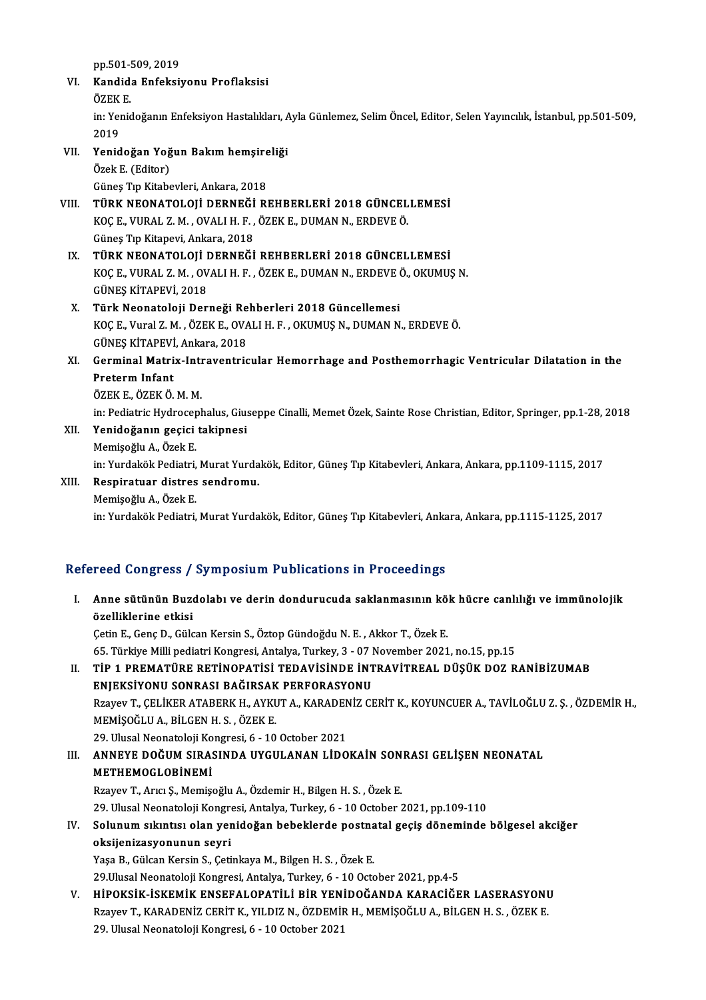pp.501-509, 2019<br>Kandida Enfoksi

### VI. Kandida Enfeksiyonu Proflaksisi pp.501-!<br><mark>Kandid:</mark><br>ÖZEK E.<br>in: <sup>Vonic</sup> Kandida Enfeksiyonu Proflaksisi<br>ÖZEK E.<br>in: Yenidoğanın Enfeksiyon Hastalıkları, Ayla Günlemez, Selim Öncel, Editor, Selen Yayıncılık, İstanbul, pp.501-509, ÖZEK<br>in: Yer<br>2019<br>Yerid in: Yenidoğanın Enfeksiyon Hastalıkları, A<br>2019<br>VII. Yenidoğan Yoğun Bakım hemşireliği<br>Özek E (Editer)

2019<br>Yenidoğan Yoğ<br>Özek E. (Editor)<br>Günes Tın Kitaba Yenidoğan Yoğun Bakım hemşire<br>Özek E. (Editor)<br>Güneş Tıp Kitabevleri, Ankara, 2018<br>Tüpk NEONATOLOLİ DEPNEĞİ PI

### Özek E. (Editor)<br>Güneş Tıp Kitabevleri, Ankara, 2018<br>VIII. – TÜRK NEONATOLOJİ DERNEĞİ REHBERLERİ 2018 GÜNCELLEMESİ<br>KOCE, VURAL 7 M. QVALLU E. ÖZEKE, DIMAN N. EPDEVE Ö Güneş Tıp Kitabevleri, Ankara, 2018<br>TÜRK NEONATOLOJİ DERNEĞİ REHBERLERİ 2018 GÜNCEL<br>KOÇ E., VURAL Z. M. , OVALI H. F. , ÖZEK E., DUMAN N., ERDEVE Ö.<br>Cünes Tın Kitanevi, Ankara, 2019 TÜRK NEONATOLOJİ DERNEĞİ<br>KOÇ E., VURAL Z. M. , OVALI H. F. ,<br>Güneş Tıp Kitapevi, Ankara, 2018<br>TÜPK NEONATOLOJİ DERNEĞİ KOÇ E., VURAL Z. M. , OVALI H. F. , ÖZEK E., DUMAN N., ERDEVE Ö.<br>Güneş Tıp Kitapevi, Ankara, 2018<br>IX. – TÜRK NEONATOLOJİ DERNEĞİ REHBERLERİ 2018 GÜNCELLEMESİ<br>KOÇ E. VURAL Z. M. QVALLU E., ÖZEK E. DUMAN N. ERDEVE Ö. QKUMUS

- Güneş Tıp Kitapevi, Ankara, 2018<br>TÜRK NEONATOLOJİ DERNEĞİ REHBERLERİ 2018 GÜNCELLEMESİ<br>KOÇ E., VURAL Z. M. , OVALI H. F. , ÖZEK E., DUMAN N., ERDEVE Ö., OKUMUŞ N.<br>CÜNES KİTAREVİ 2019 TÜRK NEONATOLOJİ I<br>KOÇ E., VURAL Z. M. , OV<br>GÜNEŞ KİTAPEVİ, 2018<br>Türk Neonatoloji Der KOÇ E., VURAL Z. M. , OVALI H. F. , ÖZEK E., DUMAN N., ERDEVE Ö., OKUMUŞ N.<br>GÜNEŞ KİTAPEVİ, 2018<br>X. Türk Neonatoloji Derneği Rehberleri 2018 Güncellemesi
- GÜNEŞ KİTAPEVİ, 2018<br>Türk Neonatoloji Derneği Rehberleri 2018 Güncellemesi<br>KOÇ E., Vural Z. M. , ÖZEK E., OVALI H. F. , OKUMUŞ N., DUMAN N., ERDEVE Ö.<br>CÜNES KİTAREVİ, Arkara 2019 Türk Neonatoloji Derneği Re<br>KOÇ E., Vural Z. M. , ÖZEK E., OVA<br>GÜNEŞ KİTAPEVİ, Ankara, 2018<br>Corminal Metriy, Intraventria
- KOÇ E., Vural Z. M. , ÖZEK E., OVALI H. F. , OKUMUŞ N., DUMAN N., ERDEVE Ö.<br>GÜNEŞ KİTAPEVİ, Ankara, 2018<br>XI. Germinal Matrix-Intraventricular Hemorrhage and Posthemorrhagic Ventricular Dilatation in the<br>Ratarım Infant GÜNEŞ KİTAPEVİ<br>Germinal Matri<br>Preterm Infant<br>ÖZEV E. ÖZEV Ö Germinal Matrix-Int<mark><br>Preterm Infant<br>ÖZEK E., ÖZEK Ö. M. M.</mark><br>in: Pediatria Hydnason Preterm Infant<br>ÖZEK E., ÖZEK Ö. M. M.<br>in: Pediatric Hydrocephalus, Giuseppe Cinalli, Memet Özek, Sainte Rose Christian, Editor, Springer, pp.1-28, 2018<br>Yonidoğanın sesisi takinnesi
	-

ÖZEK E., ÖZEK Ö. M. M.<br>in: Pediatric Hydrocephalus, Gius<br>XII. **Yenidoğanın geçici takipnesi**<br>Memisoğlu A., Özek E. in: Pediatric Hydrocep<br>**Yenidoğanın geçici**<br>Memişoğlu A., Özek E.<br>in: Yurdakök Pediatri Yenidoğanın geçici takipnesi<br>Memişoğlu A., Özek E.<br>in: Yurdakök Pediatri, Murat Yurdakök, Editor, Güneş Tıp Kitabevleri, Ankara, Ankara, pp.1109-1115, 2017<br>Pespiratuar, distres, sendromu

### XIII. Respiratuar distres sendromu.<br>Memișoğlu A., Özek E. in: Yurdakök Pediatri,<br><mark>Respiratuar distres</mark><br>Memişoğlu A., Özek E.<br>in: Yurdakök Pediatri in:YurdakökPediatri,MuratYurdakök,Editor,GüneşTıpKitabevleri,Ankara,Ankara,pp.1115-1125,2017

### Refereed Congress / Symposium Publications in Proceedings

efereed Congress / Symposium Publications in Proceedings<br>I. Anne sütünün Buzdolabı ve derin dondurucuda saklanmasının kök hücre canlılığı ve immünolojik<br>Azalliklarine etkisi mood oorigi oos<br>Anne sütünün Buze<br>özelliklerine etkisi özelliklerine etkisi<br>Çetin E., Genç D., Gülcan Kersin S., Öztop Gündoğdu N. E. , Akkor T., Özek E.

65. Türkiye Milli pediatri Kongresi, Antalya, Turkey, 3 - 07 November 2021, no.15, pp.15 Cetin E., Genç D., Gülcan Kersin S., Öztop Gündoğdu N. E. , Akkor T., Özek E.<br>65. Türkiye Milli pediatri Kongresi, Antalya, Turkey, 3 - 07 November 2021, no.15, pp.15<br>II. TİP 1 PREMATÜRE RETİNOPATİSİ TEDAVİSİNDE İNTRAV

### 65. Türkiye Milli pediatri Kongresi, Antalya, Turkey, 3 - 07 I<br>TİP 1 PREMATÜRE RETİNOPATİSİ TEDAVİSİNDE İNT<br>ENJEKSİYONU SONRASI BAĞIRSAK PERFORASYONU<br>Prayay T. CELİKER ATARERK H. AYKUTA, KARADENİZ CI TİP 1 PREMATÜRE RETİNOPATİSİ TEDAVİSİNDE İNTRAVİTREAL DÜŞÜK DOZ RANİBİZUMAB<br>ENJEKSİYONU SONRASI BAĞIRSAK PERFORASYONU<br>Rzayev T., ÇELİKER ATABERK H., AYKUT A., KARADENİZ CERİT K., KOYUNCUER A., TAVİLOĞLU Z. Ş. , ÖZDEMİR H., ENJEKSIYONU SONRASI BAĞIRSAK PERFORASYONU<br>Rzayev T., ÇELİKER ATABERK H., AYKUT A., KARADENİZ C.<br>MEMİŞOĞLU A., BİLGEN H. S. , ÖZEK E.<br>29. Ulusal Neonatoloji Kongresi, 6 - 10 October 2021 Rzayev T., ÇELİKER ATABERK H., AYKUT A., KARADENİZ CERİT K., KOYUNCUER A., TAVİLOĞLU Z. Ş., ÖZDEMİR H.,

MEMİŞOĞLU A., BİLGEN H. S. , ÖZEK E.<br>29. Ulusal Neonatoloji Kongresi, 6 - 10 October 2021<br>III. ANNEYE DOĞUM SIRASINDA UYGULANAN LİDOKAİN SONRASI GELİŞEN NEONATAL<br>METHEMOCI OPİNEMİ 29. Ulusal Neonatoloji Ko<br>ANNEYE DOĞUM SIRA:<br>METHEMOGLOBİNEMİ<br>Prayay T. Awa S. Mamis ANNEYE DOĞUM SIRASINDA UYGULANAN LİDOKAİN SON<br>METHEMOGLOBİNEMİ<br>Rzayev T., Arıcı Ş., Memişoğlu A., Özdemir H., Bilgen H. S. , Özek E.<br>20 Hlugal Neonataleji Kongresi, Antalya Turkey, 6, . 10 Ostaban .

METHEMOGLOBİNEMİ<br>Rzayev T., Arıcı Ş., Memişoğlu A., Özdemir H., Bilgen H. S. , Özek E.<br>29. Ulusal Neonatoloji Kongresi, Antalya, Turkey, 6 - 10 October 2021, pp.109-110

## Rzayev T., Arıcı Ş., Memişoğlu A., Özdemir H., Bilgen H. S. , Özek E.<br>29. Ulusal Neonatoloji Kongresi, Antalya, Turkey, 6 - 10 October 2021, pp.109-110<br>IV. Solunum sıkıntısı olan yenidoğan bebeklerde postnatal geçiş dönemi 29. Ulusal Neonatoloji Kongre<br>Solunum sıkıntısı olan yer<br>oksijenizasyonunun seyri<br><sup>Voca B.</sup> Gülsan Karsin S. Ceti Solunum sıkıntısı olan yenidoğan bebeklerde postna<br>oksijenizasyonunun seyri<br>Yaşa B., Gülcan Kersin S., Çetinkaya M., Bilgen H. S. , Özek E.<br>20 Ulyasl Neonatoleji Kongresi, Antalya Turkey, 6, 10 Osta

**oksijenizasyonunun seyri**<br>Yaşa B., Gülcan Kersin S., Çetinkaya M., Bilgen H. S. , Özek E.<br>29.Ulusal Neonatoloji Kongresi, Antalya, Turkey, 6 - 10 October 2021, pp.4-5

### Yaşa B., Gülcan Kersin S., Çetinkaya M., Bilgen H. S. , Özek E.<br>29.Ulusal Neonatoloji Kongresi, Antalya, Turkey, 6 - 10 October 2021, pp.4-5<br>29.Ulusal Neonatoloji Kongresi, Antalya, Turkey, 6 - 10 October 2021, pp.4-5<br>29.U 29.Ulusal Neonatoloji Kongresi, Antalya, Turkey, 6 - 10 October 2021, pp.4-5<br>HİPOKSİK-İSKEMİK ENSEFALOPATİLİ BİR YENİDOĞANDA KARACİĞER LASERASYONU<br>Rzayev T., KARADENİZ CERİT K., YILDIZ N., ÖZDEMİR H., MEMİŞOĞLU A., BİLGEN Rzayev T., KARADENİZ CERİT K., YILDIZ N., ÖZDEMİR H., MEMİŞOĞLU A., BİLGEN H. S. , ÖZEK E.<br>29. Ulusal Neonatoloji Kongresi, 6 - 10 October 2021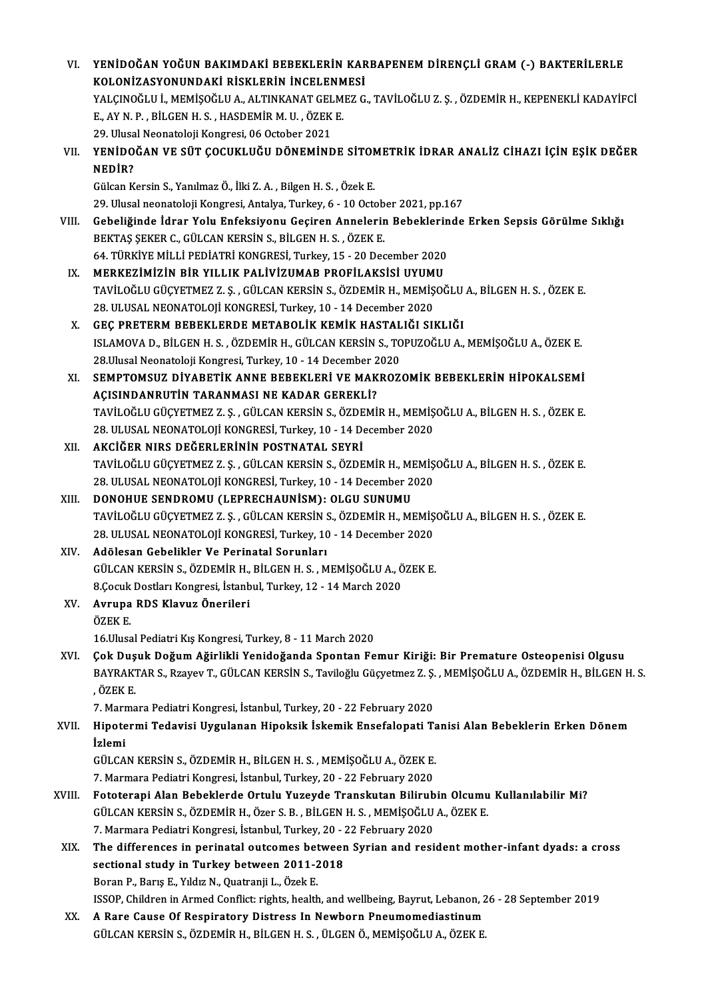| VI.    | YENİDOĞAN YOĞUN BAKIMDAKİ BEBEKLERİN KARBAPENEM DİRENÇLİ GRAM (-) BAKTERİLERLE                                                                                                                               |
|--------|--------------------------------------------------------------------------------------------------------------------------------------------------------------------------------------------------------------|
|        | KOLONIZASYONUNDAKİ RİSKLERİN İNCELENMESİ                                                                                                                                                                     |
|        | YALÇINOĞLU İ., MEMİŞOĞLU A., ALTINKANAT GELMEZ G., TAVİLOĞLU Z. Ş. , ÖZDEMİR H., KEPENEKLİ KADAYİFCİ                                                                                                         |
|        | E., AY N. P., BİLGEN H. S., HASDEMİR M. U., ÖZEK E.                                                                                                                                                          |
|        | 29. Ulusal Neonatoloji Kongresi, 06 October 2021                                                                                                                                                             |
| VII.   | YENİDOĞAN VE SÜT ÇOCUKLUĞU DÖNEMİNDE SİTOMETRİK İDRAR ANALİZ CİHAZI İÇİN EŞİK DEĞER                                                                                                                          |
|        | NEDIR?                                                                                                                                                                                                       |
|        | Gülcan Kersin S., Yanılmaz Ö., İlki Z. A., Bilgen H. S., Özek E.                                                                                                                                             |
|        | 29. Ulusal neonatoloji Kongresi, Antalya, Turkey, 6 - 10 October 2021, pp.167                                                                                                                                |
| VIII.  | Gebeliğinde İdrar Yolu Enfeksiyonu Geçiren Annelerin Bebeklerinde Erken Sepsis Görülme Sıklığı                                                                                                               |
|        | BEKTAŞ ŞEKER C., GÜLCAN KERSİN S., BİLGEN H. S., ÖZEK E.                                                                                                                                                     |
|        | 64. TÜRKİYE MİLLİ PEDİATRİ KONGRESİ, Turkey, 15 - 20 December 2020                                                                                                                                           |
| IX.    | MERKEZİMİZİN BİR YILLIK PALİVİZUMAB PROFİLAKSİSİ UYUMU                                                                                                                                                       |
|        | TAVİLOĞLU GÜÇYETMEZ Z. Ş., GÜLCAN KERSİN S., ÖZDEMİR H., MEMİŞOĞLU A., BİLGEN H. S., ÖZEK E.                                                                                                                 |
|        | 28. ULUSAL NEONATOLOJİ KONGRESİ, Turkey, 10 - 14 December 2020                                                                                                                                               |
| X.     | GEÇ PRETERM BEBEKLERDE METABOLİK KEMİK HASTALIĞI SIKLIĞI                                                                                                                                                     |
|        | ISLAMOVA D., BİLGEN H. S., ÖZDEMİR H., GÜLCAN KERSİN S., TOPUZOĞLU A., MEMİŞOĞLU A., ÖZEK E.                                                                                                                 |
|        | 28. Ulusal Neonatoloji Kongresi, Turkey, 10 - 14 December 2020                                                                                                                                               |
| XI.    | SEMPTOMSUZ DİYABETİK ANNE BEBEKLERİ VE MAKROZOMİK BEBEKLERİN HİPOKALSEMİ                                                                                                                                     |
|        | AÇISINDANRUTİN TARANMASI NE KADAR GEREKLİ?                                                                                                                                                                   |
|        | TAVİLOĞLU GÜÇYETMEZ Z. Ş., GÜLCAN KERSİN S., ÖZDEMİR H., MEMİŞOĞLU A., BİLGEN H. S., ÖZEK E.                                                                                                                 |
|        | 28. ULUSAL NEONATOLOJİ KONGRESİ, Turkey, 10 - 14 December 2020                                                                                                                                               |
| XII.   | AKCİĞER NIRS DEĞERLERİNİN POSTNATAL SEYRİ                                                                                                                                                                    |
|        | TAVİLOĞLU GÜÇYETMEZ Z. Ş., GÜLCAN KERSİN S., ÖZDEMİR H., MEMİŞOĞLU A., BİLGEN H. S., ÖZEK E.                                                                                                                 |
|        | 28. ULUSAL NEONATOLOJİ KONGRESİ, Turkey, 10 - 14 December 2020                                                                                                                                               |
| XIII.  | DONOHUE SENDROMU (LEPRECHAUNISM): OLGU SUNUMU                                                                                                                                                                |
|        | TAVİLOĞLU GÜÇYETMEZ Z. Ş., GÜLCAN KERSİN S., ÖZDEMİR H., MEMİŞOĞLU A., BİLGEN H. S., ÖZEK E.                                                                                                                 |
|        | 28. ULUSAL NEONATOLOJİ KONGRESİ, Turkey, 10 - 14 December 2020                                                                                                                                               |
| XIV.   | Adölesan Gebelikler Ve Perinatal Sorunları                                                                                                                                                                   |
|        | GÜLCAN KERSİN S., ÖZDEMİR H., BİLGEN H. S., MEMİŞOĞLU A., ÖZEK E.                                                                                                                                            |
|        | 8.Çocuk Dostları Kongresi, İstanbul, Turkey, 12 - 14 March 2020                                                                                                                                              |
| XV.    | Avrupa RDS Klavuz Önerileri                                                                                                                                                                                  |
|        | ÖZEK E                                                                                                                                                                                                       |
|        | 16. Ulusal Pediatri Kış Kongresi, Turkey, 8 - 11 March 2020                                                                                                                                                  |
| XVI.   | Çok Duşuk Doğum Ağirlikli Yenidoğanda Spontan Femur Kiriği: Bir Premature Osteopenisi Olgusu<br>BAYRAKTAR S., Rzayev T., GÜLCAN KERSİN S., Taviloğlu Güçyetmez Z. Ş., MEMİŞOĞLU A., ÖZDEMİR H., BİLGEN H. S. |
|        | , ÖZEK E.                                                                                                                                                                                                    |
|        | 7. Marmara Pediatri Kongresi, İstanbul, Turkey, 20 - 22 February 2020                                                                                                                                        |
| XVII.  | Hipotermi Tedavisi Uygulanan Hipoksik İskemik Ensefalopati Tanisi Alan Bebeklerin Erken Dönem                                                                                                                |
|        | İzlemi                                                                                                                                                                                                       |
|        | GÜLCAN KERSİN S., ÖZDEMİR H., BİLGEN H. S., MEMİŞOĞLU A., ÖZEK E.                                                                                                                                            |
|        | 7. Marmara Pediatri Kongresi, İstanbul, Turkey, 20 - 22 February 2020                                                                                                                                        |
| XVIII. | Fototerapi Alan Bebeklerde Ortulu Yuzeyde Transkutan Bilirubin Olcumu Kullanılabilir Mi?                                                                                                                     |
|        | GÜLCAN KERSİN S., ÖZDEMİR H., Özer S. B., BİLGEN H. S., MEMİŞOĞLU A., ÖZEK E.                                                                                                                                |
|        | 7. Marmara Pediatri Kongresi, İstanbul, Turkey, 20 - 22 February 2020                                                                                                                                        |
| XIX.   | The differences in perinatal outcomes between Syrian and resident mother-infant dyads: a cross                                                                                                               |
|        | sectional study in Turkey between 2011-2018                                                                                                                                                                  |
|        | Boran P., Barış E., Yıldız N., Quatranji L., Özek E.                                                                                                                                                         |
|        | ISSOP, Children in Armed Conflict: rights, health, and wellbeing, Bayrut, Lebanon, 26 - 28 September 2019                                                                                                    |
| XX.    | A Rare Cause Of Respiratory Distress In Newborn Pneumomediastinum                                                                                                                                            |
|        | GÜLCAN KERSİN S., ÖZDEMİR H., BİLGEN H. S. , ÜLGEN Ö., MEMİŞOĞLU A., ÖZEK E.                                                                                                                                 |
|        |                                                                                                                                                                                                              |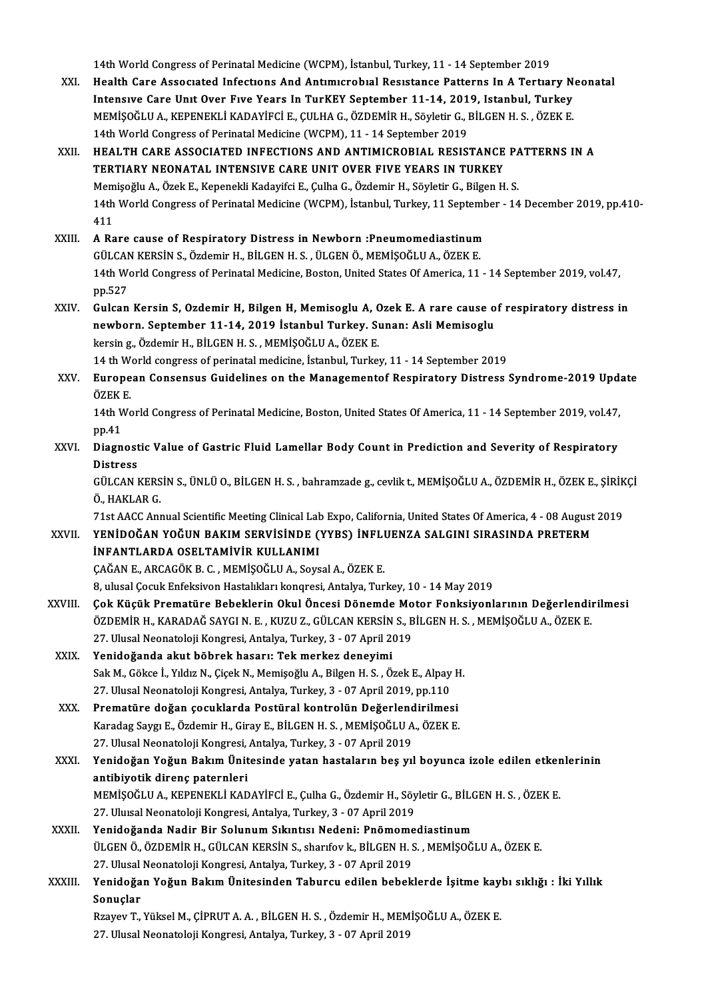14th World Congress of Perinatal Medicine (WCPM), İstanbul, Turkey, 11 - 14 September 2019<br>Health Care Associated Infections And Antimienshial Pesistanes Petterns In A Textici

- 14th World Congress of Perinatal Medicine (WCPM), İstanbul, Turkey, 11 14 September 2019<br>XXI. Health Care Associated Infections And Antimicrobial Resistance Patterns In A Tertiary Neonatal<br>Intensive Care Unit Over Fi 14th World Congress of Perinatal Medicine (WCPM), İstanbul, Turkey, 11 - 14 September 2019<br>Health Care Associated Infections And Antimicrobial Resistance Patterns In A Tertiary N<br>Intensive Care Unit Over Five Years In TurK Health Care Associated Infections And Antimicrobial Resistance Patterns In A Tertiary N<br>Intensive Care Unit Over Five Years In TurKEY September 11-14, 2019, Istanbul, Turkey<br>MEMİŞOĞLU A., KEPENEKLİ KADAYİFCİ E., ÇULHA G., Intensive Care Unit Over Five Years In TurKEY September 11-14, 2019, Istanbul, Turkey<br>MEMİŞOĞLU A., KEPENEKLİ KADAYİFCİ E., ÇULHA G., ÖZDEMİR H., Söyletir G., BİLGEN H. S. , ÖZEK E.<br>14th World Congress of Perinatal Medicin MEMIȘOĞLU A., KEPENEKLI KADAYIFCI E., ÇULHA G., ÖZDEMIR H., Söyletir G., BİLGEN H. S. , ÖZEK E.<br>14th World Congress of Perinatal Medicine (WCPM), 11 - 14 September 2019<br>XXII. HEALTH CARE ASSOCIATED INFECTIONS AND ANTIM
- 14th World Congress of Perinatal Medicine (WCPM), 11 14 September 2019<br>HEALTH CARE ASSOCIATED INFECTIONS AND ANTIMICROBIAL RESISTANCE<br>TERTIARY NEONATAL INTENSIVE CARE UNIT OVER FIVE YEARS IN TURKEY<br>Memisoğlu A. Özek E. K HEALTH CARE ASSOCIATED INFECTIONS AND ANTIMICROBIAL RESISTANCE PA<br>TERTIARY NEONATAL INTENSIVE CARE UNIT OVER FIVE YEARS IN TURKEY<br>Memişoğlu A., Özek E., Kepenekli Kadayifci E., Çulha G., Özdemir H., Söyletir G., Bilgen H. TERTIARY NEONATAL INTENSIVE CARE UNIT OVER FIVE YEARS IN TURKEY<br>Memişoğlu A., Özek E., Kepenekli Kadayifci E., Çulha G., Özdemir H., Söyletir G., Bilgen H. S.<br>14th World Congress of Perinatal Medicine (WCPM), İstanbul, Tur Mem<br>14th<br>411 14th World Congress of Perinatal Medicine (WCPM), İstanbul, Turkey, 11 Septemb<br>411<br>XXIII. A Rare cause of Respiratory Distress in Newborn :Pneumomediastinum<br>CÜLCAN KERSİN S. Özdemir H. RİLCEN H. S. ÜLCEN Ö. MEMİSOČLUA, ÖZE
- 411<br>A Rare cause of Respiratory Distress in Newborn :Pneumomediastinum<br>GÜLCAN KERSİN S., Özdemir H., BİLGEN H. S. , ÜLGEN Ö., MEMİŞOĞLU A., ÖZEK E. A Rare cause of Respiratory Distress in Newborn :Pneumomediastinum<br>GÜLCAN KERSİN S., Özdemir H., BİLGEN H. S. , ÜLGEN Ö., MEMİŞOĞLU A., ÖZEK E.<br>14th World Congress of Perinatal Medicine, Boston, United States Of America, 1 GÜLCAN<br>14th We<br>pp.527<br>Gulcan 14th World Congress of Perinatal Medicine, Boston, United States Of America, 11 - 14 September 2019, vol.47,<br>pp.527<br>XXIV. Gulcan Kersin S, Ozdemir H, Bilgen H, Memisoglu A, Ozek E. A rare cause of respiratory distress in<br>n
- pp.527<br>Gulcan Kersin S, Ozdemir H, Bilgen H, Memisoglu A, Ozek E. A rare cause o<br>newborn. September 11-14, 2019 İstanbul Turkey. Sunan: Asli Memisoglu<br>karsin g Özdemir H, Bit CEN H S, MEMisoğlu A, ÖZEK E Gulcan Kersin S, Ozdemir H, Bilgen H, Memisoglu A, C<br>newborn. September 11-14, 2019 İstanbul Turkey. Sı<br>kersing., Özdemir H., BİLGEN H. S., MEMİŞOĞLU A., ÖZEK E.<br>14 th World congress of nerinatal medisine, İstanbul Turkey newborn. September 11-14, 2019 İstanbul Turkey. Sunan: Asli Memisoglu<br>kersin g., Özdemir H., BİLGEN H. S., MEMİŞOĞLU A., ÖZEK E.<br>14 th World congress of perinatal medicine, İstanbul, Turkey, 11 - 14 September 2019 kersin g., Özdemir H., BİLGEN H. S. , MEMİŞOĞLU A., ÖZEK E.<br>14 th World congress of perinatal medicine, İstanbul, Turkey, 11 - 14 September 2019<br>XXV. European Consensus Guidelines on the Managementof Respiratory Distre
- 14 th W<br>**Europe**<br>ÖZEK E. European Consensus Guidelines on the Managementof Respiratory Distress Syndrome-2019 Upd:<br>ÖZEK E.<br>14th World Congress of Perinatal Medicine, Boston, United States Of America, 11 - 14 September 2019, vol.47,<br>nn 41

ÖZEK E.<br>14th World Congress of Perinatal Medicine, Boston, United States Of America, 11 - 14 September 2019, vol.47,<br>pp.41 14th World Congress of Perinatal Medicine, Boston, United States Of America, 11 - 14 September 2019, vol.47,<br>pp.41<br>XXVI. Diagnostic Value of Gastric Fluid Lamellar Body Count in Prediction and Severity of Respiratory<br>Distr

pp.41<br>Diagnost<br>Distress<br>CÜLCAN I Diagnostic Value of Gastric Fluid Lamellar Body Count in Prediction and Severity of Respiratory<br>Distress<br>GÜLCAN KERSİN S., ÜNLÜ O., BİLGEN H. S. , bahramzade g., cevlik t., MEMİŞOĞLU A., ÖZDEMİR H., ÖZEK E., ŞİRİKÇİ<br>Ö. HAK

Distress<br>GÜLCAN KERS<br>Ö., HAKLAR G.<br>71st AACC Anx GÜLCAN KERSİN S., ÜNLÜ O., BİLGEN H. S. , bahramzade g., cevlik t., MEMİŞOĞLU A., ÖZDEMİR H., ÖZEK E., ŞİRİK<br>Ö., HAKLAR G.<br>71st AACC Annual Scientific Meeting Clinical Lab Expo, California, United States Of America, 4 - 08

Ö., HAKLAR G.<br>71st AACC Annual Scientific Meeting Clinical Lab Expo, California, United States Of America, 4 - 08 August 2019<br>XXVII. YENİDOĞAN YOĞUN BAKIM SERVİSİNDE (YYBS) İNFLUENZA SALGINI SIRASINDA PRETERM

İNFANTLARDA OSELTAMİVİR KULLANIMI ÇAĞANE.,ARCAGÖKB.C. ,MEMİŞOĞLUA.,SoysalA.,ÖZEKE.

8, ulusal Cocuk Enfeksivon Hastalıkları konqresi, Antalya, Turkey, 10 - 14 May 2019

- CAĞAN E., ARCAGÖK B. C. , MEMİŞOĞLU A., Soysal A., ÖZEK E.<br>8. ulusal Çocuk Enfeksivon Hastalıkları konqresi, Antalya, Turkey, 10 14 May 2019<br>XXVIII. Çok Küçük Prematüre Bebeklerin Okul Öncesi Dönemde Motor Fonksiyonl 8, ulusal Çocuk Enfeksivon Hastalıkları konqresi, Antalya, Turkey, 10 - 14 May 2019<br>Çok Küçük Prematüre Bebeklerin Okul Öncesi Dönemde Motor Fonksiyonlarının Değerlendi<br>ÖZDEMİR H., KARADAĞ SAYGI N. E. , KUZU Z., GÜLCAN KER Çok Küçük Prematüre Bebeklerin Okul Öncesi Dönemde Mo<br>ÖZDEMİR H., KARADAĞ SAYGI N. E. , KUZU Z., GÜLCAN KERSİN S., B<br>27. Ulusal Neonatoloji Kongresi, Antalya, Turkey, 3 - 07 April 2019<br>Yanidağanda alut böhnek basanu Tak ma ÖZDEMİR H., KARADAĞ SAYGI N. E. , KUZU Z., GÜLCAN KERSİN S., BİLGEN H. S. , MEMİŞOĞLU A., ÖZEK E.<br>27. Ulusal Neonatoloji Kongresi, Antalya, Turkey, 3 - 07 April 2019<br>XXIX. Yenidoğanda akut böbrek hasarı: Tek merkez den
- 27. Ulusal Neonatoloji Kongresi, Antalya, Turkey, 3 07 April 2019<br>Yenidoğanda akut böbrek hasarı: Tek merkez deneyimi<br>Sak M., Gökce İ., Yıldız N., Çiçek N., Memişoğlu A., Bilgen H. S. , Özek E., Alpay H.<br>27. Ulusal Neona Yenidoğanda akut böbrek hasarı: Tek merkez deneyimi<br>Sak M., Gökce İ., Yıldız N., Çiçek N., Memişoğlu A., Bilgen H. S. , Özek E., Alpay<br>27. Ulusal Neonatoloji Kongresi, Antalya, Turkey, 3 - 07 April 2019, pp.110<br>Prematüre d Sak M., Gökce İ., Yıldız N., Çiçek N., Memişoğlu A., Bilgen H. S. , Özek E., Alpay F.<br>27. Ulusal Neonatoloji Kongresi, Antalya, Turkey, 3 - 07 April 2019, pp.110<br>XXX. Prematüre doğan çocuklarda Postüral kontrolün Değerlend
- 27. Ulusal Neonatoloji Kongresi, Antalya, Turkey, 3 07 April 2019, pp.110<br>Prematüre doğan çocuklarda Postüral kontrolün Değerlendirilmesi<br>Karadag Saygı E., Özdemir H., Giray E., BİLGEN H. S. , MEMİŞOĞLU A., ÖZEK E.<br>27. U Prematüre doğan çocuklarda Postüral kontrolün Değerlend<br>Karadag Saygı E., Özdemir H., Giray E., BİLGEN H. S. , MEMİŞOĞLU A<br>27. Ulusal Neonatoloji Kongresi, Antalya, Turkey, 3 - 07 April 2019<br>Yonidoğan Yoğun Bakım Ünitesind
- Karadag Saygı E., Özdemir H., Giray E., BİLGEN H. S. , MEMİŞOĞLU A., ÖZEK E.<br>27. Ulusal Neonatoloji Kongresi, Antalya, Turkey, 3 07 April 2019<br>XXXI. Yenidoğan Yoğun Bakım Ünitesinde yatan hastaların beş yıl boyunca i 27. Ulusal Neonatoloji Kongresi,<br>Yenidoğan Yoğun Bakım Ünit<br>antibiyotik direnç paternleri<br>MEMİSOČLU A, KEPENEKLİ KAD Yenidoğan Yoğun Bakım Ünitesinde yatan hastaların beş yıl boyunca izole edilen etker<br>antibiyotik direnç paternleri<br>MEMİŞOĞLU A., KEPENEKLİ KADAYİFCİ E., Çulha G., Özdemir H., Söyletir G., BİLGEN H. S. , ÖZEK E.<br>27 Hivrel N <mark>antibiyotik direnç paternleri</mark><br>MEMİŞOĞLU A., KEPENEKLİ KADAYİFCİ E., Çulha G., Özdemir H., Söy<br>27. Uluısal Neonatoloji Kongresi, Antalya, Turkey, 3 - 07 April 2019<br>Yenideğanda Nadir Bir Solunum Sıkıntısı Nedeni: Bnömeme
	-
- MEMİŞOĞLU A., KEPENEKLİ KADAYİFCİ E., Çulha G., Özdemir H., Söyletir G., BİLC<br>27. Uluısal Neonatoloji Kongresi, Antalya, Turkey, 3 07 April 2019<br>XXXII. Yenidoğanda Nadir Bir Solunum Sıkıntısı Nedeni: Pnömomediastinum 27. Uluısal Neonatoloji Kongresi, Antalya, Turkey, 3 - 07 April 2019<br>Yenidoğanda Nadir Bir Solunum Sıkıntısı Nedeni: Pnömomediastinum<br>ÜLGEN Ö., ÖZDEMİR H., GÜLCAN KERSİN S., sharıfov k., BİLGEN H. S. , MEMİŞOĞLU A., ÖZEK E Yenidoğanda Nadir Bir Solunum Sıkıntısı Nedeni: Pnömome<br>ÜLGEN Ö., ÖZDEMİR H., GÜLCAN KERSİN S., sharıfov k., BİLGEN H. S<br>27. Ulusal Neonatoloji Kongresi, Antalya, Turkey, 3 - 07 April 2019<br>Yonidoğan Yoğun Bakım Ünitesinden ÜLGEN Ö., ÖZDEMİR H., GÜLCAN KERSİN S., sharıfov k., BİLGEN H. S. , MEMİŞOĞLU A., ÖZEK E.<br>27. Ulusal Neonatoloji Kongresi, Antalya, Turkey, 3 - 07 April 2019<br>XXXIII. Yenidoğan Yoğun Bakım Ünitesinden Taburcu edilen beb
- 27. Ulusal<br>Yenidoğa<br>Sonuçlar<br><sup>Rravov</sup> T Yenidoğan Yoğun Bakım Ünitesinden Taburcu edilen bebeklerde İşitme kay<br>Sonuçlar<br>Rzayev T., Yüksel M., ÇİPRUT A. A. , BİLGEN H. S. , Özdemir H., MEMİŞOĞLU A., ÖZEK E.<br>27 Hlusel Neonataleji Kangyesi, Antalya Turkey, 2., 97 A

Sonuçlar<br>Rzayev T., Yüksel M., ÇİPRUT A. A. , BİLGEN H. S. , Özdemir H., MEMİŞOĞLU A., ÖZEK E.<br>27. Ulusal Neonatoloji Kongresi, Antalya, Turkey, 3 - 07 April 2019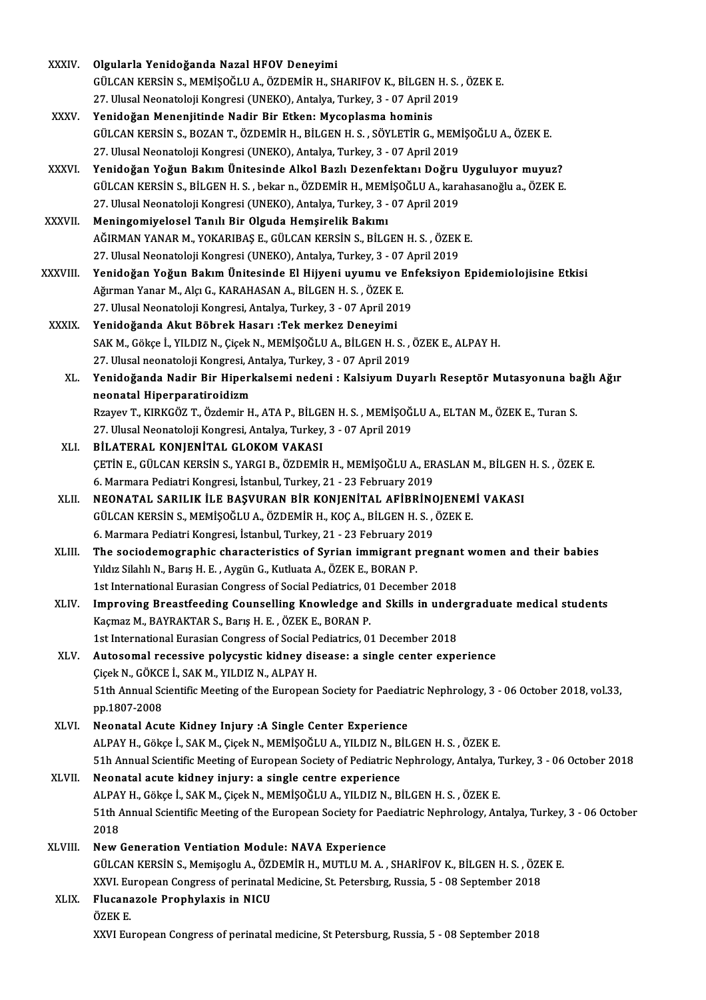| <b>XXXIV</b> | Olgularla Yenidoğanda Nazal HFOV Deneyimi                                      |
|--------------|--------------------------------------------------------------------------------|
|              | GÜLCAN KERSİN S., MEMİŞOĞLU A., ÖZDEMİR H., SHARIFOV K., BİLGEN H. S., ÖZEK E. |
|              | 27. Ulusal Neonatoloji Kongresi (UNEKO), Antalya, Turkey, 3 - 07 April 2019    |
| vvvu         | Vanidažen Mananjitinda Nadin Din Etkan: Mwaanlaama haminia                     |

- XXXV. Yenidoğan Menenjitinde Nadir Bir Etken: Mycoplasma hominis 27. Ulusal Neonatoloji Kongresi (UNEKO), Antalya, Turkey, 3 - 07 April 2019<br>Yenidoğan Menenjitinde Nadir Bir Etken: Mycoplasma hominis<br>GÜLCAN KERSİN S., BOZAN T., ÖZDEMİR H., BİLGEN H. S. , SÖYLETİR G., MEMİŞOĞLU A., ÖZEK Yenidoğan Menenjitinde Nadir Bir Etken: Mycoplasma hominis<br>GÜLCAN KERSİN S., BOZAN T., ÖZDEMİR H., BİLGEN H. S. , SÖYLETİR G., MEM<br>27. Ulusal Neonatoloji Kongresi (UNEKO), Antalya, Turkey, 3 - 07 April 2019<br>Yanidağan Yağun GÜLCAN KERSİN S., BOZAN T., ÖZDEMİR H., BİLGEN H. S. , SÖYLETİR G., MEMİŞOĞLU A., ÖZEK E.<br>27. Ulusal Neonatoloji Kongresi (UNEKO), Antalya, Turkey, 3 - 07 April 2019<br>XXXVI. Yenidoğan Yoğun Bakım Ünitesinde Alkol Bazlı
- 27. Ulusal Neonatoloji Kongresi (UNEKO), Antalya, Turkey, 3 07 April 2019<br>Yenidoğan Yoğun Bakım Ünitesinde Alkol Bazlı Dezenfektanı Doğru Uyguluyor muyuz?<br>GÜLCAN KERSİN S., BİLGEN H. S. , bekar n., ÖZDEMİR H., MEMİŞOĞLU Yenidoğan Yoğun Bakım Ünitesinde Alkol Bazlı Dezenfektanı Doğru<br>GÜLCAN KERSİN S., BİLGEN H. S. , bekar n., ÖZDEMİR H., MEMİŞOĞLU A., kara<br>27. Ulusal Neonatoloji Kongresi (UNEKO), Antalya, Turkey, 3 - 07 April 2019<br>Maningam
- XXXVII. Meningomiyelosel Tanılı Bir Olguda Hemşirelik Bakımı 27. Ulusal Neonatoloji Kongresi (UNEKO), Antalya, Turkey, 3 - 07 April 2019<br>Meningomiyelosel Tanılı Bir Olguda Hemşirelik Bakımı<br>AĞIRMAN YANAR M., YOKARIBAŞ E., GÜLCAN KERSİN S., BİLGEN H. S. , ÖZEK E.<br>27. Ulusal Neonatolo Meningomiyelosel Tanılı Bir Olguda Hemşirelik Bakımı<br>AĞIRMAN YANAR M., YOKARIBAŞ E., GÜLCAN KERSİN S., BİLGEN H. S. , ÖZEK<br>27. Ulusal Neonatoloji Kongresi (UNEKO), Antalya, Turkey, 3 - 07 April 2019<br>Yonidağan Yağıya Bakım
- 27. Ulusal Neonatoloji Kongresi (UNEKO), Antalya, Turkey, 3 07 April 2019<br>XXXVIII. Yenidoğan Yoğun Bakım Ünitesinde El Hijyeni uyumu ve Enfeksiyon Epidemiolojisine Etkisi 27. Ulusal Neonatoloji Kongresi (UNEKO), Antalya, Turkey, 3 - 07<br>Yenidoğan Yoğun Bakım Ünitesinde El Hijyeni uyumu ve I<br>Ağırman Yanar M., Alçı G., KARAHASAN A., BİLGEN H. S. , ÖZEK E.<br>27. Ulusal Neonatoloji Kongresi, Antal 27. Ulusal Neonatoloji Kongresi, Antalya, Turkey, 3 - 07 April 2019<br>Yenidoğanda Akut Böbrek Hasarı :Tek merkez Deneyimi Ağırman Yanar M., Alçı G., KARAHASAN A., BİLGEN H. S. , ÖZEK E<br>27. Ulusal Neonatoloji Kongresi, Antalya, Turkey, 3 - 07 April 20<br>XXXIX. Yenidoğanda Akut Böbrek Hasarı :Tek merkez Deneyimi
	- 27. Ulusal Neonatoloji Kongresi, Antalya, Turkey, 3 07 April 2019<br>Yenidoğanda Akut Böbrek Hasarı :Tek merkez Deneyimi<br>SAK M., Gökçe İ., YILDIZ N., Çiçek N., MEMİŞOĞLU A., BİLGEN H. S. , ÖZEK E., ALPAY H.<br>27. Ulusal neona Yenidoğanda Akut Böbrek Hasarı :Tek merkez Deneyimi<br>SAK M., Gökçe İ., YILDIZ N., Çiçek N., MEMİŞOĞLU A., BİLGEN H. S. ,<br>27. Ulusal neonatoloji Kongresi, Antalya, Turkey, 3 - 07 April 2019<br>Yanidağanda Nadir Bir Hinarkalaami XL. Yenidoğanda Nadir Bir Hiperkalsemi nedeni : KalsiyumDuyarlı Reseptör Mutasyonuna bağlı Ağır
		- neonatal Hiperparatiroidizm Yenidoğanda Nadir Bir Hiperkalsemi nedeni : Kalsiyum Duyarlı Reseptör Mutasyonuna ba<br>neonatal Hiperparatiroidizm<br>Rzayev T., KIRKGÖZ T., Özdemir H., ATA P., BİLGEN H. S. , MEMİŞOĞLU A., ELTAN M., ÖZEK E., Turan S.<br>27 Hlusal neonatal Hiperparatiroidizm<br>Rzayev T., KIRKGÖZ T., Özdemir H., ATA P., BİLGEN H. S. , MEMİŞOĞ!<br>27. Ulusal Neonatoloji Kongresi, Antalya, Turkey, 3 - 07 April 2019<br>PİLATERAL KONIENİTAL GLOKOM VAKASI

- 27. Ulusal Neonatoloji Kongresi, Antalya, Turkey, 3 07 April 2019<br>XLI. BİLATERAL KONJENİTAL GLOKOM VAKASI 27. Ulusal Neonatoloji Kongresi, Antalya, Turkey, 3 - 07 April 2019<br>BİLATERAL KONJENİTAL GLOKOM VAKASI<br>ÇETİN E., GÜLCAN KERSİN S., YARGI B., ÖZDEMİR H., MEMİŞOĞLU A., ERASLAN M., BİLGEN H. S. , ÖZEK E.<br>6. Marmara Badiatri BİLATERAL KONJENİTAL GLOKOM VAKASI<br>ÇETİN E., GÜLCAN KERSİN S., YARGI B., ÖZDEMİR H., MEMİŞOĞLU A., ER<br>6. Marmara Pediatri Kongresi, İstanbul, Turkey, 21 - 23 February 2019<br>NEONATAL SABILIK İLE BASVUBAN BİR KONLENİTAL AFİRR CETIN E., GÜLCAN KERSIN S., YARGI B., ÖZDEMIR H., MEMIŞOĞLU A., ERASLAN M., BİLGEN<br>6. Marmara Pediatri Kongresi, İstanbul, Turkey, 21 - 23 February 2019<br>XLII. — NEONATAL SARILIK İLE BAŞVURAN BİR KONJENİTAL AFİBRİNOJENEMİ V
- 6. Marmara Pediatri Kongresi, İstanbul, Turkey, 21 23 February 2019<br>NEONATAL SARILIK İLE BAŞVURAN BİR KONJENİTAL AFİBRİNOJENEM<br>GÜLCAN KERSİN S., MEMİŞOĞLU A., ÖZDEMİR H., KOÇ A., BİLGEN H. S. , ÖZEK E.<br>6. Marmara Pediatr NEONATAL SARILIK İLE BAŞVURAN BİR KONJENİTAL AFİBRİNG<br>GÜLCAN KERSİN S., MEMİŞOĞLU A., ÖZDEMİR H., KOÇ A., BİLGEN H. S. ,<br>6. Marmara Pediatri Kongresi, İstanbul, Turkey, 21 - 23 February 2019<br>The sociademographic characteri GÜLCAN KERSİN S., MEMİŞOĞLU A., ÖZDEMİR H., KOÇ A., BİLGEN H. S. , ÖZEK E.<br>6. Marmara Pediatri Kongresi, İstanbul, Turkey, 21 - 23 February 2019<br>XLIII. The sociodemographic characteristics of Syrian immigrant pregnant wome
- 6. Marmara Pediatri Kongresi, İstanbul, Turkey, 21 23 February 20<br>The sociodemographic characteristics of Syrian immigrant p.<br>Yıldız Silahlı N., Barış H. E. , Aygün G., Kutluata A., ÖZEK E., BORAN P.<br>1st International Eu The sociodemographic characteristics of Syrian immigrant pregnan<br>Yıldız Silahlı N., Barış H. E. , Aygün G., Kutluata A., ÖZEK E., BORAN P.<br>1st International Eurasian Congress of Social Pediatrics, 01 December 2018<br>Improvin Yıldız Silahlı N., Barış H. E. , Aygün G., Kutluata A., ÖZEK E., BORAN P.<br>1st International Eurasian Congress of Social Pediatrics, 01 December 2018<br>XLIV. Improving Breastfeeding Counselling Knowledge and Skills in undergr
- 1st International Eurasian Congress of Social Pediatrics, 01<br>Improving Breastfeeding Counselling Knowledge ar<br>Kaçmaz M., BAYRAKTAR S., Barış H. E. , ÖZEK E., BORAN P.<br>1st International Eurasian Congress of Social Pediatric Improving Breastfeeding Counselling Knowledge and Skills in under<br>Kaçmaz M., BAYRAKTAR S., Barış H. E. , ÖZEK E., BORAN P.<br>1st International Eurasian Congress of Social Pediatrics, 01 December 2018<br>Autocomal pecessive poly Kaçmaz M., BAYRAKTAR S., Barış H. E. , ÖZEK E., BORAN P.<br>1st International Eurasian Congress of Social Pediatrics, 01 December 2018<br>XLV. Autosomal recessive polycystic kidney disease: a single center experience<br>Cieck N. CÖ
- 1st International Eurasian Congress of Social P<br>Autosomal recessive polycystic kidney di:<br>Çiçek N., GÖKCE İ., SAK M., YILDIZ N., ALPAY H.<br>E1th Annual Scientific Meeting of the European 51th Annual Scientific Meeting of the European Society for Paediatric Nephrology, 3 - 06 October 2018, vol.33, pp.1807-2008 Çiçek N., GÖKCE İ., SAK M., YILDIZ N., ALPAY H.
- XLVI. Neonatal Acute Kidney Injury :A Single Center Experience ALPAYH.,Gökçe İ.,SAKM.,ÇiçekN.,MEMİŞOĞLUA.,YILDIZN.,BİLGENH.S. ,ÖZEKE. Neonatal Acute Kidney Injury :A Single Center Experience<br>ALPAY H., Gökçe İ., SAK M., Çiçek N., MEMİŞOĞLU A., YILDIZ N., BİLGEN H. S. , ÖZEK E.<br>51h Annual Scientific Meeting of European Society of Pediatric Nephrology, Anta ALPAY H., Gökçe İ., SAK M., Çiçek N., MEMİŞOĞLU A., YILDIZ N., Bİ<br>51h Annual Scientific Meeting of European Society of Pediatric N<br>XLVII. Neonatal acute kidney injury: a single centre experience
- 51h Annual Scientific Meeting of European Society of Pediatric Nephrology, Antalya, 1<br>Neonatal acute kidney injury: a single centre experience<br>ALPAY H., Gökçe İ., SAK M., Çiçek N., MEMİŞOĞLU A., YILDIZ N., BİLGEN H. S. , Ö Neonatal acute kidney injury: a single centre experience<br>ALPAY H., Gökçe İ., SAK M., Çiçek N., MEMİŞOĞLU A., YILDIZ N., BİLGEN H. S. , ÖZEK E.<br>51th Annual Scientific Meeting of the European Society for Paediatric Nephrolog ALPAY H., Gökçe İ., SAK M., Çiçek N., MEMİŞOĞLU A., YILDIZ N., BİLGEN H. S. , ÖZEK E.<br>51th Annual Scientific Meeting of the European Society for Paediatric Nephrology, An<br>2018<br>New Generation Ventiation Module: NAVA Experie 51th Annual Scientific Meeting of the European Society for Pa<br>2018<br>XLVIII. New Generation Ventiation Module: NAVA Experience<br>CULCAN KERSIN S. Memissely A. ÖZDEMİR H. MUTH H.M. A
- 2018<br>New Generation Ventiation Module: NAVA Experience<br>GÜLCAN KERSİN S., Memişoglu A., ÖZDEMİR H., MUTLU M. A. , SHARİFOV K., BİLGEN H. S. , ÖZEK E.<br>YYUL European Congress of naripatal Modisine St. Betarebug, Russia, E., 0 New Generation Ventiation Module: NAVA Experience<br>GÜLCAN KERSİN S., Memişoglu A., ÖZDEMİR H., MUTLU M. A. , SHARİFOV K., BİLGEN H. S. , ÖZE<br>XXVI. European Congress of perinatal Medicine, St. Petersbırg, Russia, 5 - 08 Sept GÜLCAN KERSİN S., Memişoglu A., ÖZI<br>XXVI. European Congress of perinatal<br>XLIX. Flucanazole Prophylaxis in NICU<br>ÖZEV E
- XXVI. European Congress of perinatal Medicine, St. Petersbırg, Russia, 5 08 September 2018<br>Flucanazole Prophylaxis in NICU<br>ÖZEK E.

XXVI European Congress of perinatal medicine, St Petersburg, Russia, 5 - 08 September 2018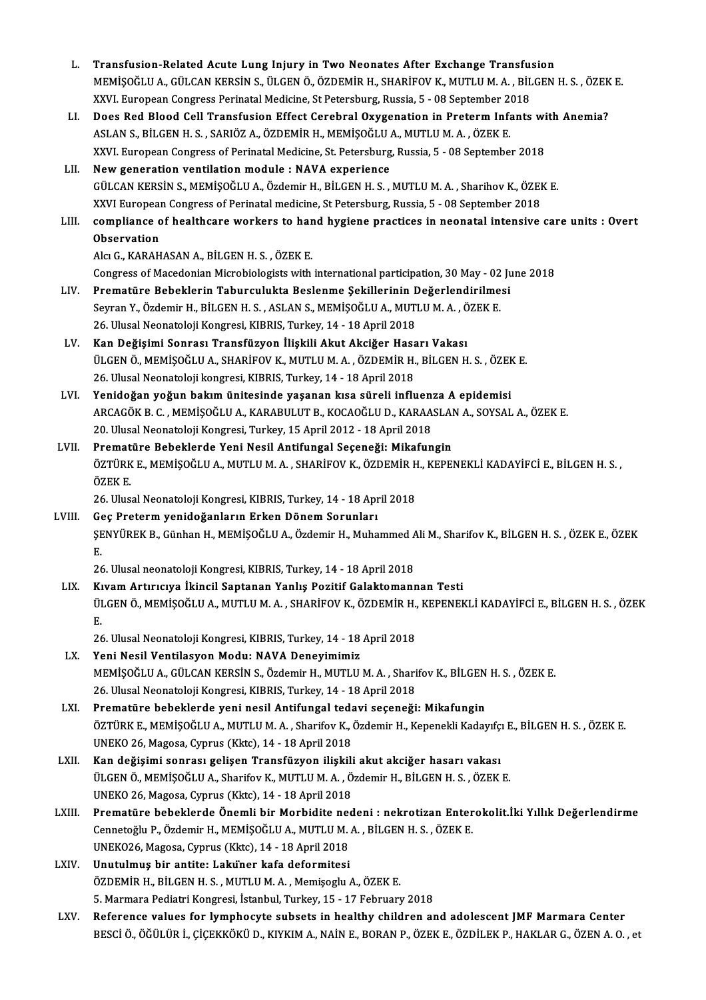| L.     | Transfusion-Related Acute Lung Injury in Two Neonates After Exchange Transfusion                                                                                                                                  |
|--------|-------------------------------------------------------------------------------------------------------------------------------------------------------------------------------------------------------------------|
|        | MEMİŞOĞLU A., GÜLCAN KERSİN S., ÜLGEN Ö., ÖZDEMİR H., SHARİFOV K., MUTLU M. A. , BİLGEN H. S. , ÖZEK E.                                                                                                           |
|        | XXVI. European Congress Perinatal Medicine, St Petersburg, Russia, 5 - 08 September 2018                                                                                                                          |
| LI.    | Does Red Blood Cell Transfusion Effect Cerebral Oxygenation in Preterm Infants with Anemia?                                                                                                                       |
|        | ASLAN S., BİLGEN H. S., SARIÖZ A., ÖZDEMİR H., MEMİŞOĞLU A., MUTLU M. A., ÖZEK E.                                                                                                                                 |
|        | XXVI. European Congress of Perinatal Medicine, St. Petersburg, Russia, 5 - 08 September 2018                                                                                                                      |
| LII.   | New generation ventilation module : NAVA experience                                                                                                                                                               |
|        | GÜLCAN KERSİN S., MEMİŞOĞLU A., Özdemir H., BİLGEN H. S., MUTLU M. A., Sharihov K., ÖZEK E.                                                                                                                       |
|        | XXVI European Congress of Perinatal medicine, St Petersburg, Russia, 5 - 08 September 2018                                                                                                                        |
| LIII.  | compliance of healthcare workers to hand hygiene practices in neonatal intensive care units : Overt                                                                                                               |
|        | Observation                                                                                                                                                                                                       |
|        | Alcı G., KARAHASAN A., BİLGEN H. S., ÖZEK E.                                                                                                                                                                      |
|        | Congress of Macedonian Microbiologists with international participation, 30 May - 02 June 2018                                                                                                                    |
| LIV.   | Prematüre Bebeklerin Taburculukta Beslenme Şekillerinin Değerlendirilmesi                                                                                                                                         |
|        | Seyran Y., Özdemir H., BİLGEN H. S., ASLAN S., MEMİŞOĞLU A., MUTLU M. A., ÖZEK E.                                                                                                                                 |
|        | 26. Ulusal Neonatoloji Kongresi, KIBRIS, Turkey, 14 - 18 April 2018                                                                                                                                               |
| LV.    | Kan Değişimi Sonrası Transfüzyon İlişkili Akut Akciğer Hasarı Vakası                                                                                                                                              |
|        | ÜLGEN Ö., MEMİŞOĞLU A., SHARİFOV K., MUTLU M. A., ÖZDEMİR H., BİLGEN H. S., ÖZEK E.                                                                                                                               |
|        | 26. Ulusal Neonatoloji kongresi, KIBRIS, Turkey, 14 - 18 April 2018                                                                                                                                               |
| LVI.   | Yenidoğan yoğun bakım ünitesinde yaşanan kısa süreli influenza A epidemisi                                                                                                                                        |
|        | ARCAGÖK B. C., MEMIŞOĞLU A., KARABULUT B., KOCAOĞLU D., KARAASLAN A., SOYSAL A., ÖZEK E.                                                                                                                          |
|        | 20. Ulusal Neonatoloji Kongresi, Turkey, 15 April 2012 - 18 April 2018                                                                                                                                            |
| LVII.  | Prematüre Bebeklerde Yeni Nesil Antifungal Seçeneği: Mikafungin                                                                                                                                                   |
|        | ÖZTÜRK E., MEMİŞOĞLU A., MUTLU M. A., SHARİFOV K., ÖZDEMİR H., KEPENEKLİ KADAYİFCİ E., BİLGEN H. S.,                                                                                                              |
|        | ÖZEK E                                                                                                                                                                                                            |
|        | 26. Ulusal Neonatoloji Kongresi, KIBRIS, Turkey, 14 - 18 April 2018                                                                                                                                               |
| LVIII. | Geç Preterm yenidoğanların Erken Dönem Sorunları                                                                                                                                                                  |
|        | ŞENYÜREK B., Günhan H., MEMİŞOĞLU A., Özdemir H., Muhammed Ali M., Sharifov K., BİLGEN H. S. , ÖZEK E., ÖZEK                                                                                                      |
|        | Е.                                                                                                                                                                                                                |
|        | 26. Ulusal neonatoloji Kongresi, KIBRIS, Turkey, 14 - 18 April 2018                                                                                                                                               |
| LIX.   | Kıvam Artırıcıya İkincil Saptanan Yanlış Pozitif Galaktomannan Testi                                                                                                                                              |
|        | ÜLGEN Ö., MEMİŞOĞLU A., MUTLU M. A. , SHARİFOV K., ÖZDEMİR H., KEPENEKLİ KADAYİFCİ E., BİLGEN H. S. , ÖZEK                                                                                                        |
|        | Ε.                                                                                                                                                                                                                |
|        | 26. Ulusal Neonatoloji Kongresi, KIBRIS, Turkey, 14 - 18 April 2018                                                                                                                                               |
| LX.    | Yeni Nesil Ventilasyon Modu: NAVA Deneyimimiz                                                                                                                                                                     |
|        | MEMİŞOĞLU A., GÜLCAN KERSİN S., Özdemir H., MUTLU M. A., Sharifov K., BİLGEN H. S., ÖZEK E.                                                                                                                       |
|        | 26. Ulusal Neonatoloji Kongresi, KIBRIS, Turkey, 14 - 18 April 2018                                                                                                                                               |
| LXI.   | Prematüre bebeklerde yeni nesil Antifungal tedavi seçeneği: Mikafungin                                                                                                                                            |
|        | ÖZTÜRK E., MEMİŞOĞLU A., MUTLU M. A., Sharifov K., Özdemir H., Kepenekli Kadayıfçı E., BİLGEN H. S., ÖZEK E.<br>UNEKO 26, Magosa, Cyprus (Kktc), 14 - 18 April 2018                                               |
| LXII.  | Kan değişimi sonrası gelişen Transfüzyon ilişkili akut akciğer hasarı vakası                                                                                                                                      |
|        | ÜLGEN Ö., MEMİŞOĞLU A., Sharifov K., MUTLU M. A., Özdemir H., BİLGEN H. S., ÖZEK E.                                                                                                                               |
|        | UNEKO 26, Magosa, Cyprus (Kktc), 14 - 18 April 2018                                                                                                                                                               |
| LXIII. | Prematüre bebeklerde Önemli bir Morbidite nedeni : nekrotizan Enterokolit.İki Yıllık Değerlendirme                                                                                                                |
|        | Cennetoğlu P., Özdemir H., MEMİŞOĞLU A., MUTLU M. A., BİLGEN H. S., ÖZEK E.                                                                                                                                       |
|        | UNEK026, Magosa, Cyprus (Kktc), 14 - 18 April 2018                                                                                                                                                                |
| LXIV.  | Unutulmuş bir antite: Laküner kafa deformitesi                                                                                                                                                                    |
|        | ÖZDEMİR H., BİLGEN H. S., MUTLU M. A., Memişoglu A., ÖZEK E.                                                                                                                                                      |
|        |                                                                                                                                                                                                                   |
|        |                                                                                                                                                                                                                   |
| LXV.   | 5. Marmara Pediatri Kongresi, İstanbul, Turkey, 15 - 17 February 2018                                                                                                                                             |
|        | Reference values for lymphocyte subsets in healthy children and adolescent JMF Marmara Center<br>BESCİ Ö., ÖĞÜLÜR İ., ÇİÇEKKÖKÜ D., KIYKIM A., NAİN E., BORAN P., ÖZEK E., ÖZDİLEK P., HAKLAR G., ÖZEN A. O. , et |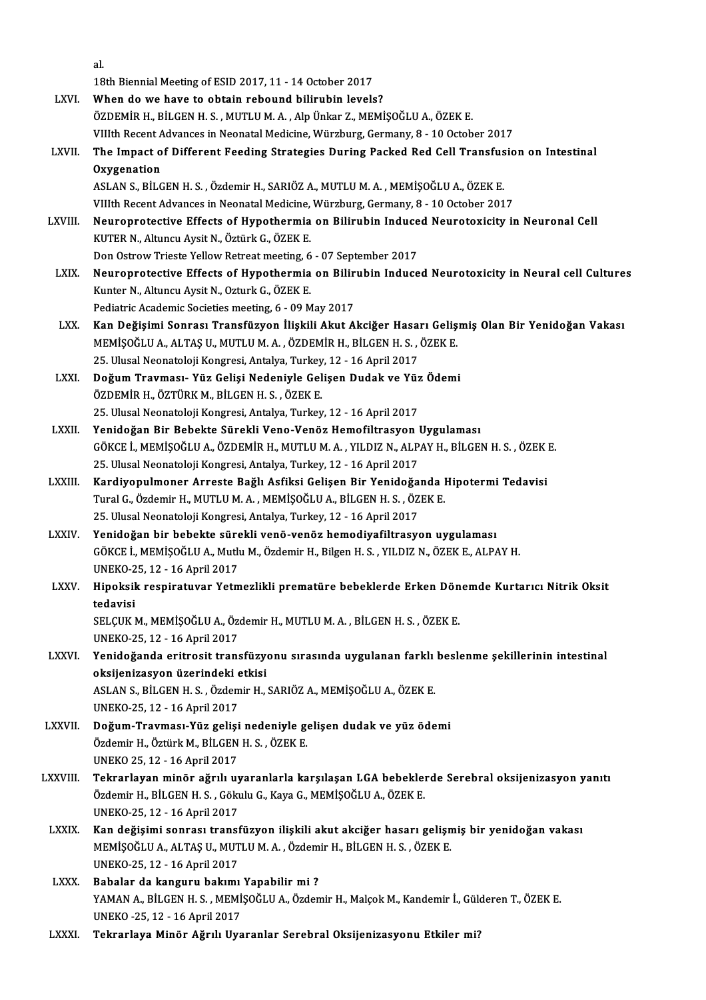|              | al.                                                                                               |
|--------------|---------------------------------------------------------------------------------------------------|
|              | 18th Biennial Meeting of ESID 2017, 11 - 14 October 2017                                          |
| LXVI.        | When do we have to obtain rebound bilirubin levels?                                               |
|              | ÖZDEMİR H., BİLGEN H. S., MUTLU M. A., Alp Ünkar Z., MEMİŞOĞLU A., ÖZEK E.                        |
|              | VIIIth Recent Advances in Neonatal Medicine, Würzburg, Germany, 8 - 10 October 2017               |
| LXVII.       | The Impact of Different Feeding Strategies During Packed Red Cell Transfusion on Intestinal       |
|              | Oxygenation                                                                                       |
|              | ASLAN S., BİLGEN H. S., Özdemir H., SARIÖZ A., MUTLU M. A., MEMİŞOĞLU A., ÖZEK E.                 |
|              | VIIIth Recent Advances in Neonatal Medicine, Würzburg, Germany, 8 - 10 October 2017               |
| LXVIII.      | Neuroprotective Effects of Hypothermia on Bilirubin Induced Neurotoxicity in Neuronal Cell        |
|              | KUTER N., Altuncu Aysit N., Öztürk G., ÖZEK E.                                                    |
|              | Don Ostrow Trieste Yellow Retreat meeting, 6 - 07 September 2017                                  |
| LXIX.        | Neuroprotective Effects of Hypothermia on Bilirubin Induced Neurotoxicity in Neural cell Cultures |
|              | Kunter N., Altuncu Aysit N., Ozturk G., ÖZEK E.                                                   |
|              | Pediatric Academic Societies meeting, 6 - 09 May 2017                                             |
| LXX.         | Kan Değişimi Sonrası Transfüzyon İlişkili Akut Akciğer Hasarı Gelişmiş Olan Bir Yenidoğan Vakası  |
|              | MEMIŞOĞLU A., ALTAŞ U., MUTLU M. A., ÖZDEMİR H., BİLGEN H. S., ÖZEK E.                            |
|              | 25. Ulusal Neonatoloji Kongresi, Antalya, Turkey, 12 - 16 April 2017                              |
| LXXI.        | Doğum Travması- Yüz Gelişi Nedeniyle Gelişen Dudak ve Yüz Ödemi                                   |
|              | ÖZDEMİR H., ÖZTÜRK M., BİLGEN H. S., ÖZEK E.                                                      |
|              | 25. Ulusal Neonatoloji Kongresi, Antalya, Turkey, 12 - 16 April 2017                              |
| LXXII.       | Yenidoğan Bir Bebekte Sürekli Veno-Venöz Hemofiltrasyon Uygulaması                                |
|              | GÖKCE İ., MEMİŞOĞLU A., ÖZDEMİR H., MUTLU M. A., YILDIZ N., ALPAY H., BİLGEN H. S., ÖZEK E.       |
|              | 25. Ulusal Neonatoloji Kongresi, Antalya, Turkey, 12 - 16 April 2017                              |
| LXXIII.      | Kardiyopulmoner Arreste Bağlı Asfiksi Gelişen Bir Yenidoğanda Hipotermi Tedavisi                  |
|              | Tural G., Özdemir H., MUTLU M. A., MEMİŞOĞLU A., BİLGEN H. S., ÖZEK E.                            |
|              | 25. Ulusal Neonatoloji Kongresi, Antalya, Turkey, 12 - 16 April 2017                              |
| <b>LXXIV</b> | Yenidoğan bir bebekte sürekli venö-venöz hemodiyafiltrasyon uygulaması                            |
|              | GÖKCE İ., MEMİŞOĞLU A., Mutlu M., Özdemir H., Bilgen H. S. , YILDIZ N., ÖZEK E., ALPAY H.         |
|              | UNEKO-25, 12 - 16 April 2017                                                                      |
| LXXV.        | Hipoksik respiratuvar Yetmezlikli prematüre bebeklerde Erken Dönemde Kurtarıcı Nitrik Oksit       |
|              | tedavisi<br>SELÇUK M., MEMİŞOĞLU A., Özdemir H., MUTLU M. A., BİLGEN H. S., ÖZEK E.               |
|              | UNEKO-25, 12 - 16 April 2017                                                                      |
| LXXVI.       | Yenidoğanda eritrosit transfüzyonu sırasında uygulanan farklı beslenme şekillerinin intestinal    |
|              | oksijenizasyon üzerindeki etkisi                                                                  |
|              | ASLAN S., BİLGEN H. S., Özdemir H., SARIÖZ A., MEMİŞOĞLU A., ÖZEK E.                              |
|              | UNEKO-25, 12 - 16 April 2017                                                                      |
| LXXVII.      | Doğum-Travması-Yüz gelişi nedeniyle gelişen dudak ve yüz ödemi                                    |
|              | Özdemir H., Öztürk M., BİLGEN H. S., ÖZEK E.                                                      |
|              | UNEKO 25, 12 - 16 April 2017                                                                      |
| LXXVIII.     | Tekrarlayan minör ağrılı uyaranlarla karşılaşan LGA bebeklerde Serebral oksijenizasyon yanıtı     |
|              | Özdemir H., BİLGEN H. S., Gökulu G., Kaya G., MEMİŞOĞLU A., ÖZEK E.                               |
|              | UNEKO-25, 12 - 16 April 2017                                                                      |
| <b>LXXIX</b> | Kan değişimi sonrası transfüzyon ilişkili akut akciğer hasarı gelişmiş bir yenidoğan vakası       |
|              | MEMİŞOĞLU A., ALTAŞ U., MUTLU M. A., Özdemir H., BİLGEN H. S., ÖZEK E.                            |
|              | UNEKO-25, 12 - 16 April 2017                                                                      |
| <b>LXXX</b>  | Babalar da kanguru bakımı Yapabilir mi?                                                           |
|              | YAMAN A., BİLGEN H. S., MEMİŞOĞLU A., Özdemir H., Malçok M., Kandemir İ., Gülderen T., ÖZEK E.    |
|              | UNEKO - 25, 12 - 16 April 2017                                                                    |
| <b>LXXXI</b> | Tekrarlaya Minör Ağrılı Uyaranlar Serebral Oksijenizasyonu Etkiler mi?                            |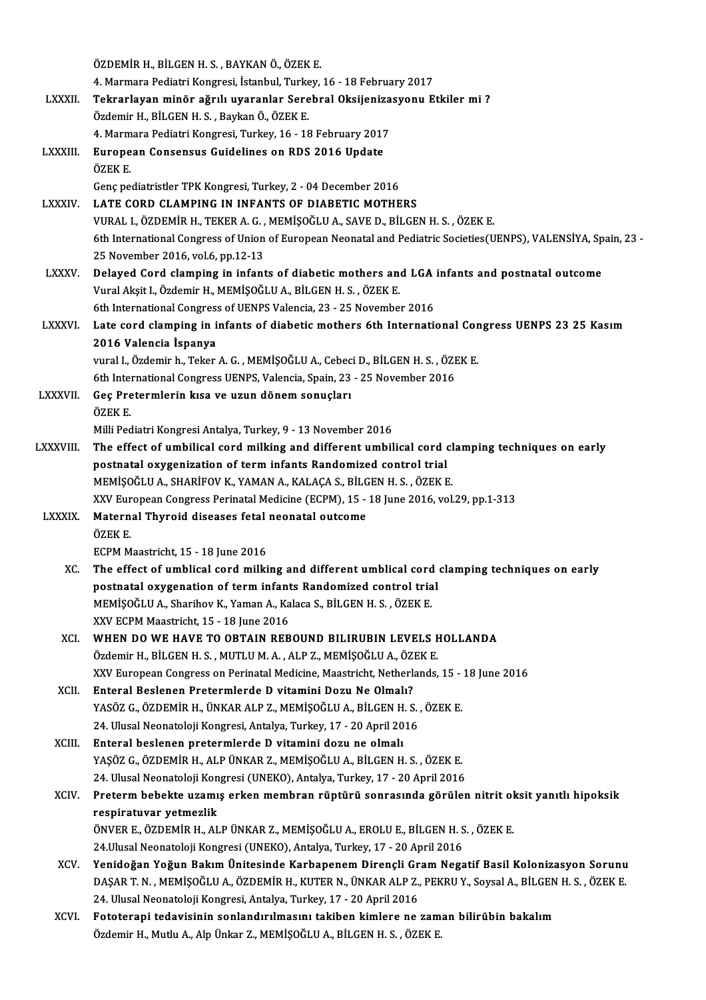|                 | ÖZDEMİR H., BİLGEN H. S., BAYKAN Ö., ÖZEK E.                                                                                                                   |
|-----------------|----------------------------------------------------------------------------------------------------------------------------------------------------------------|
|                 | 4. Marmara Pediatri Kongresi, İstanbul, Turkey, 16 - 18 February 2017                                                                                          |
| <b>LXXXII</b>   | Tekrarlayan minör ağrılı uyaranlar Serebral Oksijenizasyonu Etkiler mi?                                                                                        |
|                 | Özdemir H., BİLGEN H. S., Baykan Ö., ÖZEK E.                                                                                                                   |
|                 | 4. Marmara Pediatri Kongresi, Turkey, 16 - 18 February 2017                                                                                                    |
| LXXXIII.        | European Consensus Guidelines on RDS 2016 Update                                                                                                               |
|                 | ÖZEK E                                                                                                                                                         |
|                 | Genç pediatristler TPK Kongresi, Turkey, 2 - 04 December 2016                                                                                                  |
| <b>LXXXIV</b>   | LATE CORD CLAMPING IN INFANTS OF DIABETIC MOTHERS                                                                                                              |
|                 | VURAL I., ÖZDEMİR H., TEKER A. G., MEMİŞOĞLU A., SAVE D., BİLGEN H. S., ÖZEK E.                                                                                |
|                 | 6th International Congress of Union of European Neonatal and Pediatric Societies(UENPS), VALENSİYA, Spain, 23 -                                                |
|                 | 25 November 2016, vol.6, pp.12-13                                                                                                                              |
| <b>LXXXV</b>    | Delayed Cord clamping in infants of diabetic mothers and LGA infants and postnatal outcome                                                                     |
|                 | Vural Akşit I., Özdemir H., MEMİŞOĞLU A., BİLGEN H. S., ÖZEK E.                                                                                                |
|                 | 6th International Congress of UENPS Valencia, 23 - 25 November 2016                                                                                            |
| <b>LXXXVI</b>   | Late cord clamping in infants of diabetic mothers 6th International Congress UENPS 23 25 Kasım                                                                 |
|                 | 2016 Valencia İspanya                                                                                                                                          |
|                 | vural I., Özdemir h., Teker A. G., MEMİŞOĞLU A., Cebeci D., BİLGEN H. S., ÖZEK E.                                                                              |
|                 | 6th International Congress UENPS, Valencia, Spain, 23 - 25 November 2016                                                                                       |
| <b>LXXXVII.</b> | Geç Pretermlerin kısa ve uzun dönem sonuçları                                                                                                                  |
|                 | ÖZEK E.                                                                                                                                                        |
|                 | Milli Pediatri Kongresi Antalya, Turkey, 9 - 13 November 2016                                                                                                  |
| LXXXVIII.       | The effect of umbilical cord milking and different umbilical cord clamping techniques on early                                                                 |
|                 | postnatal oxygenization of term infants Randomized control trial                                                                                               |
|                 | MEMIŞOĞLU A., SHARIFOV K., YAMAN A., KALAÇA S., BİLGEN H. S., ÖZEK E.                                                                                          |
|                 | XXV European Congress Perinatal Medicine (ECPM), 15 - 18 June 2016, vol.29, pp.1-313                                                                           |
| <b>LXXXIX</b>   | Maternal Thyroid diseases fetal neonatal outcome                                                                                                               |
|                 | ÖZEK E                                                                                                                                                         |
|                 | ECPM Maastricht, 15 - 18 June 2016                                                                                                                             |
| XC.             | The effect of umblical cord milking and different umblical cord clamping techniques on early<br>postnatal oxygenation of term infants Randomized control trial |
|                 | MEMİŞOĞLU A., Sharihov K., Yaman A., Kalaca S., BİLGEN H. S., ÖZEK E.                                                                                          |
|                 | XXV ECPM Maastricht, 15 - 18 June 2016                                                                                                                         |
| XCI.            | WHEN DO WE HAVE TO OBTAIN REBOUND BILIRUBIN LEVELS HOLLANDA                                                                                                    |
|                 | Özdemir H., BİLGEN H. S. , MUTLU M. A. , ALP Z., MEMİŞOĞLU A., ÖZEK E.                                                                                         |
|                 | XXV European Congress on Perinatal Medicine, Maastricht, Netherlands, 15 - 18 June 2016                                                                        |
| XCII.           | Enteral Beslenen Pretermlerde D vitamini Dozu Ne Olmalı?                                                                                                       |
|                 | YASÖZ G., ÖZDEMİR H., ÜNKAR ALP Z., MEMİŞOĞLU A., BİLGEN H. S., ÖZEK E.                                                                                        |
|                 | 24. Ulusal Neonatoloji Kongresi, Antalya, Turkey, 17 - 20 April 2016                                                                                           |
| XCIII.          | Enteral beslenen pretermlerde D vitamini dozu ne olmalı                                                                                                        |
|                 | YAŞÖZ G., ÖZDEMİR H., ALP ÜNKAR Z., MEMİŞOĞLU A., BİLGEN H. S. , ÖZEK E.                                                                                       |
|                 | 24. Ulusal Neonatoloji Kongresi (UNEKO), Antalya, Turkey, 17 - 20 April 2016                                                                                   |
| <b>XCIV</b>     | Preterm bebekte uzamış erken membran rüptürü sonrasında görülen nitrit oksit yanıtlı hipoksik                                                                  |
|                 | respiratuvar yetmezlik                                                                                                                                         |
|                 | ÖNVER E., ÖZDEMİR H., ALP ÜNKAR Z., MEMİŞOĞLU A., EROLU E., BİLGEN H. S. , ÖZEK E.                                                                             |
|                 | 24. Ulusal Neonatoloji Kongresi (UNEKO), Antalya, Turkey, 17 - 20 April 2016                                                                                   |
| XCV.            | Yenidoğan Yoğun Bakım Ünitesinde Karbapenem Dirençli Gram Negatif Basil Kolonizasyon Sorunu                                                                    |
|                 | DAŞAR T. N., MEMİŞOĞLU A., ÖZDEMİR H., KUTER N., ÜNKAR ALP Z., PEKRU Y., Soysal A., BİLGEN H. S., ÖZEK E.                                                      |
|                 | 24. Ulusal Neonatoloji Kongresi, Antalya, Turkey, 17 - 20 April 2016                                                                                           |
| XCVI.           | Fototerapi tedavisinin sonlandırılmasını takiben kimlere ne zaman bilirübin bakalım                                                                            |
|                 | Özdemir H., Mutlu A., Alp Ünkar Z., MEMİŞOĞLU A., BİLGEN H. S. , ÖZEK E.                                                                                       |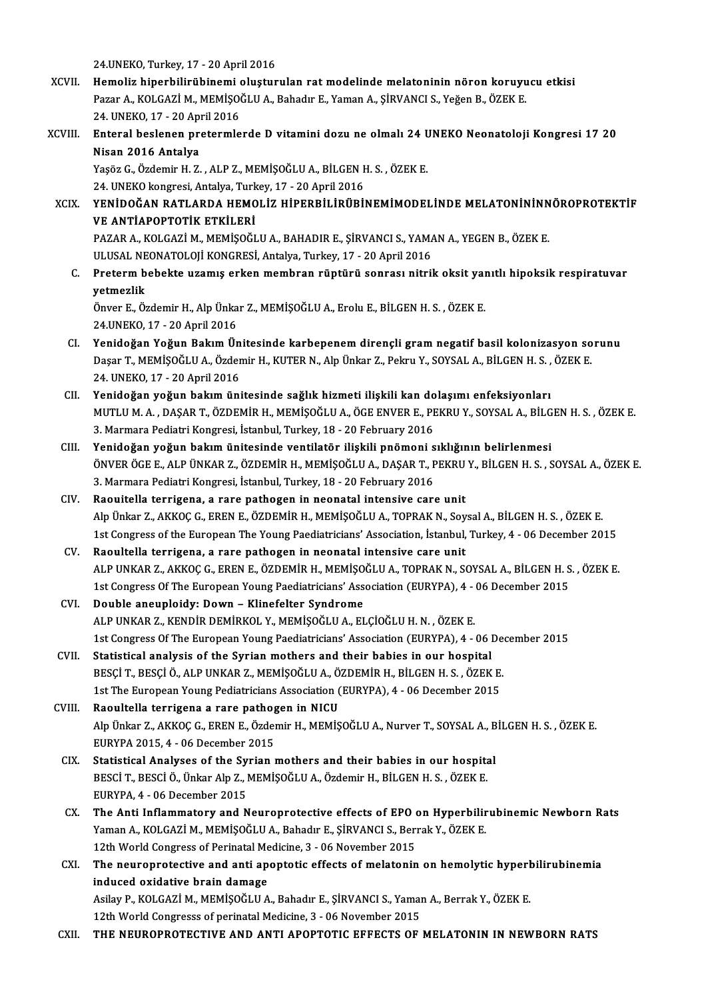24.UNEKO,Turkey,17 -20April2016

- 24.UNEKO, Turkey, 17 20 April 2016<br>XCVII. Hemoliz hiperbilirübinemi oluşturulan rat modelinde melatoninin nöron koruyucu etkisi<br>Reger A, KOLGAZİ M, MEMİŞOĞLU A, Pehadu E, Yeman A, SİRVANÇI S, Yeğen B, ÖZEK E 24.UNEKO, Turkey, 17 - 20 April 2016<br>Hemoliz hiperbilirübinemi oluşturulan rat modelinde melatoninin nöron koruyu<br>Pazar A., KOLGAZİ M., MEMİŞOĞLU A., Bahadır E., Yaman A., ŞİRVANCI S., Yeğen B., ÖZEK E.<br>24. UNEKO 17. 20 Ap Pazar A., KOLGAZİ M., MEMİSOĞLU A., Bahadır E., Yaman A., SİRVANCI S., Yeğen B., ÖZEK E. 24. UNEKO, 17 - 20 April 2016
- XCVIII. Enteral beslenen pretermlerde D vitamini dozu ne olmalı 24 UNEKO Neonatoloji Kongresi 17 20<br>Nisan 2016 Antalya Enteral beslenen pretermlerde D vitamini dozu ne olmalı 24 l<br>Nisan 2016 Antalya<br>Yaşöz G., Özdemir H. Z. , ALP Z., MEMİŞOĞLU A., BİLGEN H. S. , ÖZEK E.<br>24 UNEKO kongresi, Antalya Turkov 17, 20 Anril 2016

Nisan 2016 Antalya<br>Yaşöz G., Özdemir H. Z. , ALP Z., MEMİŞOĞLU A., BİLGEN F<br>24. UNEKO kongresi, Antalya, Turkey, 17 - 20 April 2016<br>YENİDOĞAN BATI ARDA HEMOLİZ, HİDERRİL İRİTRİL 24. UNEKO kongresi, Antalya, Turkey, 17 - 20 April 2016

XCIX. YENİDOĞAN RATLARDA HEMOLİZ HİPERBİLİRÜBİNEMİMODELİNDE MELATONİNINNÖROPROTEKTİF<br>VE ANTİAPOPTOTİK ETKİLERİ YENİDOĞAN RATLARDA HEMOLİZ HİPERBİLİRÜBİNEMİMODELİNDE MELATONİNINN<br>VE ANTİAPOPTOTİK ETKİLERİ<br>PAZAR A., KOLGAZİ M., MEMİŞOĞLU A., BAHADIR E., ŞİRVANCI S., YAMAN A., YEGEN B., ÖZEK E.<br>ULUSAL NEONATOLOJI KONGRESİ ARING. Turka <mark>VE ANTİAPOPTOTİK ETKİLERİ</mark><br>PAZAR A., KOLGAZİ M., MEMİŞOĞLU A., BAHADIR E., ŞİRVANCI S., YAM*I*<br>ULUSAL NEONATOLOJİ KONGRESİ, Antalya, Turkey, 17 - 20 April 2016<br>Pratarım babakta uzamus arkan mambran rüntürü sanrası nitril

PAZAR A., KOLGAZİ M., MEMİŞOĞLU A., BAHADIR E., ŞİRVANCI S., YAMAN A., YEGEN B., ÖZEK E.<br>ULUSAL NEONATOLOJİ KONGRESİ, Antalya, Turkey, 17 - 20 April 2016<br>C. Preterm bebekte uzamış erken membran rüptürü sonrası nitrik o ULUSAL NE<br>Preterm b<br>yetmezlik<br>Önyer E. Ös Preterm bebekte uzamış erken membran rüptürü sonrası nitrik oksit yaı<br>yetmezlik<br>Önver E., Özdemir H., Alp Ünkar Z., MEMİŞOĞLU A., Erolu E., BİLGEN H. S. , ÖZEK E.<br>24 UNEKO 17 - 20 Anril 2016

yetmezlik<br>Önver E., Özdemir H., Alp Ünka<br>24.UNEKO, 17 - 20 April 2016<br>Yenideğen Yeğun Belum Ün

- Önver E., Özdemir H., Alp Ünkar Z., MEMİŞOĞLU A., Erolu E., BİLGEN H. S. , ÖZEK E.<br>24.UNEKO, 17 20 April 2016<br>CI. Yenidoğan Yoğun Bakım Ünitesinde karbepenem dirençli gram negatif basil kolonizasyon sorunu<br>Deser T. MEMİŞ 24.UNEKO, 17 - 20 April 2016<br>Yenidoğan Yoğun Bakım Ünitesinde karbepenem dirençli gram negatif basil kolonizasyon so<br>Daşar T., MEMİŞOĞLU A., Özdemir H., KUTER N., Alp Ünkar Z., Pekru Y., SOYSAL A., BİLGEN H. S. , ÖZEK E.<br>2 Yenidoğan Yoğun Bakım Ün<br>Daşar T., MEMİŞOĞLU A., Özder<br>24. UNEKO, 17 - 20 April 2016<br>Yenidoğan voğun bakım üni Daşar T., MEMİŞOĞLU A., Özdemir H., KUTER N., Alp Ünkar Z., Pekru Y., SOYSAL A., BİLGEN H. S. ,<br>24. UNEKO, 17 - 20 April 2016<br>CII. Yenidoğan yoğun bakım ünitesinde sağlık hizmeti ilişkili kan dolaşımı enfeksiyonları<br>MU
- 24. UNEKO, 17 20 April 2016<br>Yenidoğan yoğun bakım ünitesinde sağlık hizmeti ilişkili kan dolaşımı enfeksiyonları<br>MUTLU M. A. , DAŞAR T., ÖZDEMİR H., MEMİŞOĞLU A., ÖGE ENVER E., PEKRU Y., SOYSAL A., BİLGEN H. S. , ÖZEK E. Yenidoğan yoğun bakım ünitesinde sağlık hizmeti ilişkili kan do<br>MUTLU M. A. , DAŞAR T., ÖZDEMİR H., MEMİŞOĞLU A., ÖGE ENVER E., PF<br>3. Marmara Pediatri Kongresi, İstanbul, Turkey, 18 - 20 February 2016<br>Yonidoğan yoğun bakım MUTLU M. A. , DAŞAR T., ÖZDEMİR H., MEMİŞOĞLU A., ÖGE ENVER E., PEKRU Y., SOYSAL A., BİLG<br>3. Marmara Pediatri Kongresi, İstanbul, Turkey, 18 - 20 February 2016<br>CIII. Yenidoğan yoğun bakım ünitesinde ventilatör ilişkili
- 3. Marmara Pediatri Kongresi, İstanbul, Turkey, 18 20 February 2016<br>Yenidoğan yoğun bakım ünitesinde ventilatör ilişkili pnömoni sıklığının belirlenmesi<br>ÖNVER ÖGE E., ALP ÜNKAR Z., ÖZDEMİR H., MEMİŞOĞLU A., DAŞAR T., PEK Yenidoğan yoğun bakım ünitesinde ventilatör ilişkili pnömoni s<br>ÖNVER ÖGE E., ALP ÜNKAR Z., ÖZDEMİR H., MEMİŞOĞLU A., DAŞAR T., F<br>3. Marmara Pediatri Kongresi, İstanbul, Turkey, 18 - 20 February 2016<br>Paquitalla terrisona, a ÖNVER ÖGE E., ALP ÜNKAR Z., ÖZDEMİR H., MEMİŞOĞLU A., DAŞAR T., PEKRU<br>3. Marmara Pediatri Kongresi, İstanbul, Turkey, 18 - 20 February 2016<br>CIV. Raouitella terrigena, a rare pathogen in neonatal intensive care unit
- 3. Marmara Pediatri Kongresi, İstanbul, Turkey, 18 20 February 2016<br>Raouitella terrigena, a rare pathogen in neonatal intensive care unit<br>Alp Ünkar Z., AKKOÇ G., EREN E., ÖZDEMİR H., MEMİŞOĞLU A., TOPRAK N., Soysal A., B 1st Congress of the European The Young Paediatricians' Association, İstanbul, Turkey, 4 - 06 December 2015
- CV. Raoultella terrigena, a rare pathogen in neonatal intensive care unit 1st Congress of the European The Young Paediatricians' Association, İstanbul, Turkey, 4 - 06 December 2015<br>Raoultella terrigena, a rare pathogen in neonatal intensive care unit<br>ALP UNKAR Z., AKKOÇ G., EREN E., ÖZDEMİR H., Raoultella terrigena, a rare pathogen in neonatal intensive care unit<br>ALP UNKAR Z., AKKOÇ G., EREN E., ÖZDEMİR H., MEMİŞOĞLU A., TOPRAK N., SOYSAL A., BİLGEN H. S<br>1st Congress Of The European Young Paediatricians' Associat 1st Congress Of The European Young Paediatricians' Association (EURYPA), 4 - 06 December 2015<br>CVI. Double aneuploidy: Down – Klinefelter Syndrome
- ALPUNKARZ.,KENDİRDEMİRKOL Y.,MEMİŞOĞLUA.,ELÇİOĞLUH.N. ,ÖZEKE. 1st Congress Of The European Young Paediatricians' Association (EURYPA), 4 - 06 December 2015 ALP UNKAR Z., KENDIR DEMIRKOL Y., MEMIŞOĞLU A., ELÇIOĞLU H. N., ÖZEK E.<br>1st Congress Of The European Young Paediatricians' Association (EURYPA), 4 - 06 l<br>CVII. Statistical analysis of the Syrian mothers and their babies in
- 1st Congress Of The European Young Paediatricians' Association (EURYPA), 4 06 De<br>Statistical analysis of the Syrian mothers and their babies in our hospital<br>BESÇİ T., BESÇİ Ö., ALP UNKAR Z., MEMİŞOĞLU A., ÖZDEMİR H., BİL Statistical analysis of the Syrian mothers and their babies in our hospital<br>BESÇİ T., BESÇİ Ö., ALP UNKAR Z., MEMİŞOĞLU A., ÖZDEMİR H., BİLGEN H. S. , ÖZEK E.<br>1st The European Young Pediatricians Association (EURYPA), 4 - BESÇİ T., BESÇİ Ö., ALP UNKAR Z., MEMİŞOĞLU A., Ö.<br>1st The European Young Pediatricians Association (<br>CVIII. Raoultella terrigena a rare pathogen in NICU

Alp Ünkar Z., AKKOÇ G., EREN E., Özdemir H., MEMİŞOĞLU A., Nurver T., SOYSAL A., BİLGEN H. S. , ÖZEK E.<br>EURYPA 2015, 4 - 06 December 2015 Raoultella terrigena a rare pathogen in NICU Alp Ünkar Z., AKKOÇ G., EREN E., Özdemir H., MEMİŞOĞLU A., Nurver T., SOYSAL A., B<br>EURYPA 2015, 4 - 06 December 2015<br>CIX. Statistical Analyses of the Syrian mothers and their babies in our hospital<br>PECCLE BECCLÖ Ünkar Alp

- EURYPA 2015, 4 06 December 2015<br>Statistical Analyses of the Syrian mothers and their babies in our hospita<br>BESCİ T., BESCİ Ö., Ünkar Alp Z., MEMİŞOĞLU A., Özdemir H., BİLGEN H. S. , ÖZEK E.<br>FURYPA 4., 06 Desember 2015 Statistical Analyses of the Sy<br>BESCİ T., BESCİ Ö., Ünkar Alp Z., I<br>EURYPA, 4 - 06 December 2015<br>The Anti Inflammateur and N BESCİ T., BESCİ Ö., Ünkar Alp Z., MEMİŞOĞLU A., Özdemir H., BİLGEN H. S. , ÖZEK E.<br>EURYPA, 4 - 06 December 2015<br>CX. The Anti Inflammatory and Neuroprotective effects of EPO on Hyperbilirubinemic Newborn Rats<br>Veman A. KOLGA
- EURYPA, 4 06 December 2015<br>The Anti Inflammatory and Neuroprotective effects of EPO on Hyperbilir<br>Yaman A., KOLGAZİ M., MEMİŞOĞLU A., Bahadır E., ŞİRVANCI S., Berrak Y., ÖZEK E.<br>12th Werld Congress of Perinatal Medisine The Anti Inflammatory and Neuroprotective effects of EPO or<br>Yaman A., KOLGAZİ M., MEMİŞOĞLU A., Bahadır E., ŞİRVANCI S., Beri<br>12th World Congress of Perinatal Medicine, 3 - 06 November 2015<br>The neuronretective and anti apo Yaman A., KOLGAZİ M., MEMİŞOĞLU A., Bahadır E., ŞİRVANCI S., Berrak Y., ÖZEK E.<br>12th World Congress of Perinatal Medicine, 3 - 06 November 2015<br>CXI. The neuroprotective and anti apoptotic effects of melatonin on hemoly
- 12th World Congress of Perinatal Medicine, 3 06 November 2015<br>The neuroprotective and anti apoptotic effects of melatonii<br>induced oxidative brain damage The neuroprotective and anti apoptotic effects of melatonin on hemolytic hyper<mark>l</mark><br>induced oxidative brain damage<br>Asilay P., KOLGAZİ M., MEMİŞOĞLU A., Bahadır E., ŞİRVANCI S., Yaman A., Berrak Y., ÖZEK E.<br>12th Werld Congree Asilay P., KOLGAZİ M., MEMİŞOĞLU A., Bahadır E., ŞİRVANCI S., Yaman A., Berrak Y., ÖZEK E.<br>12th World Congresss of perinatal Medicine, 3 - 06 November 2015
- CXII. THE NEUROPROTECTIVE AND ANTI APOPTOTIC EFFECTS OF MELATONIN IN NEWBORN RATS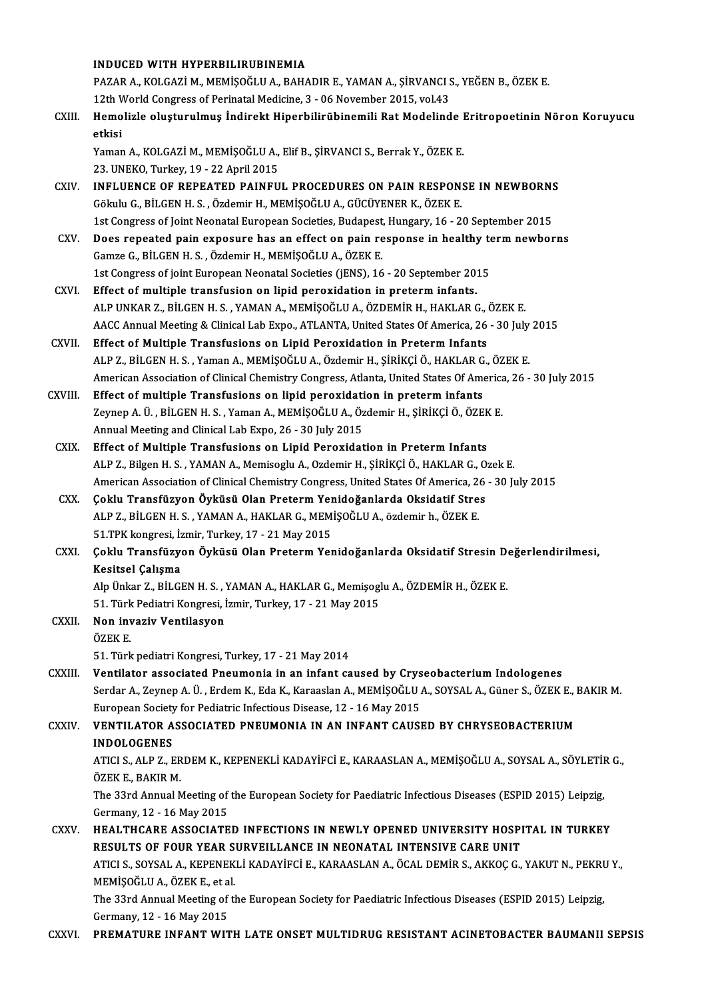#### INDUCEDWITH HYPERBILIRUBINEMIA

INDUCED WITH HYPERBILIRUBINEMIA<br>PAZAR A., KOLGAZİ M., MEMİŞOĞLU A., BAHADIR E., YAMAN A., ŞİRVANCI S., YEĞEN B., ÖZEK E.<br>12th Werld Congress of Perinatal Medicine 3, . 06 November 2015, yel 42. INDUCED WITH HYPERBILIRUBINEMIA<br>PAZAR A., KOLGAZİ M., MEMİŞOĞLU A., BAHADIR E., YAMAN A., ŞİRVANCI S<br>12th World Congress of Perinatal Medicine, 3 - 06 November 2015, vol.43<br>Hamalizla alustunulmus İndinalt Hinarbilinübinemi 12th World Congress of Perinatal Medicine, 3 - 06 November 2015, vol.43

CXIII. Hemolizle oluşturulmuş İndirekt Hiperbilirübinemili Rat Modelinde Eritropoetinin Nöron Koruyucu<br>etkisi Hemolizle oluşturulmuş İndirekt Hiperbilirübinemili Rat Modelinde l<br>etkisi<br>Yaman A., KOLGAZİ M., MEMİŞOĞLU A., Elif B., ŞİRVANCI S., Berrak Y., ÖZEK E.<br>22 UNEKO Turkey 19, 22 April 2015

etkisi<br>Yaman A., KOLGAZİ M., MEMİŞOĞLU A.,<br>23. UNEKO, Turkey, 19 - 22 April 2015<br>INELUENCE OE REREATED RAINEU

- Yaman A., KOLGAZİ M., MEMİŞOĞLU A., Elif B., ŞİRVANCI S., Berrak Y., ÖZEK E.<br>23. UNEKO, Turkey, 19 22 April 2015<br>CXIV. INFLUENCE OF REPEATED PAINFUL PROCEDURES ON PAIN RESPONSE IN NEWBORNS 23. UNEKO, Turkey, 19 - 22 April 2015<br>INFLUENCE OF REPEATED PAINFUL PROCEDURES ON PAIN RESPON:<br>Gökulu G., BİLGEN H. S. , Özdemir H., MEMİŞOĞLU A., GÜCÜYENER K., ÖZEK E.<br>1st Congress of Joint Neonatal European Societies, Bu INFLUENCE OF REPEATED PAINFUL PROCEDURES ON PAIN RESPONSE IN NEWBORN:<br>Gökulu G., BİLGEN H. S. , Özdemir H., MEMİŞOĞLU A., GÜCÜYENER K., ÖZEK E.<br>1st Congress of Joint Neonatal European Societies, Budapest, Hungary, 16 - 20 Gökulu G., BİLGEN H. S. , Özdemir H., MEMİŞOĞLU A., GÜCÜYENER K., ÖZEK E.<br>1st Congress of Joint Neonatal European Societies, Budapest, Hungary, 16 - 20 September 2015<br>CXV. Does repeated pain exposure has an effect on pain
- 1st Congress of Joint Neonatal European Societies, Budapest<br>Does repeated pain exposure has an effect on pain re<br>Gamze G., BİLGEN H. S., Özdemir H., MEMİŞOĞLU A., ÖZEK E.<br>1st Congress of joint European Neonatal Societies ( Does repeated pain exposure has an effect on pain response in healthy term newborns<br>Gamze G., BİLGEN H. S. , Özdemir H., MEMİŞOĞLU A., ÖZEK E.<br>1st Congress of joint European Neonatal Societies (jENS), 16 - 20 September 201
- CXVI. Effect of multiple transfusion on lipid peroxidation in preterm infants. ALPUNKARZ.,BİLGENH.S. ,YAMANA.,MEMİŞOĞLUA.,ÖZDEMİRH.,HAKLARG.,ÖZEKE. Effect of multiple transfusion on lipid peroxidation in preterm infants.<br>ALP UNKAR Z., BİLGEN H. S. , YAMAN A., MEMİŞOĞLU A., ÖZDEMİR H., HAKLAR G., ÖZEK E.<br>AACC Annual Meeting & Clinical Lab Expo., ATLANTA, United States ALP UNKAR Z., BİLGEN H. S., YAMAN A., MEMİŞOĞLU A., ÖZDEMİR H., HAKLAR G., AACC Annual Meeting & Clinical Lab Expo., ATLANTA, United States Of America, 26<br>CXVII. Effect of Multiple Transfusions on Lipid Peroxidation in Pre
- AACC Annual Meeting & Clinical Lab Expo., ATLANTA, United States Of America, 26 30 July<br>Effect of Multiple Transfusions on Lipid Peroxidation in Preterm Infants<br>ALP Z., BİLGEN H. S. , Yaman A., MEMİŞOĞLU A., Özdemir H., Effect of Multiple Transfusions on Lipid Peroxidation in Preterm Infants<br>ALP Z., BİLGEN H. S. , Yaman A., MEMİŞOĞLU A., Özdemir H., ŞİRİKÇİ Ö., HAKLAR G., ÖZEK E.<br>American Association of Clinical Chemistry Congress, Atlant ALP Z., BILGEN H. S., Yaman A., MEMIŞOĞLU A., Özdemir H., ŞİRİKÇİ Ö., HAKLAR G<br>American Association of Clinical Chemistry Congress, Atlanta, United States Of American Association of Clinical Chemistry Congress, Atlanta, Un
- American Association of Clinical Chemistry Congress, Atlanta, United States Of America<br>Effect of multiple Transfusions on lipid peroxidation in preterm infants<br>Zeynep A. Ü. , BİLGEN H. S. , Yaman A., MEMİŞOĞLU A., Özdemir Effect of multiple Transfusions on lipid peroxidati<br>Zeynep A. Ü. , BİLGEN H. S. , Yaman A., MEMİŞOĞLU A., Öz<br>Annual Meeting and Clinical Lab Expo, 26 - 30 July 2015<br>Effect of Multiple Transfusions on Lipid Peroxidat Zeynep A. Ü. , BİLGEN H. S. , Yaman A., MEMİŞOĞLU A., Özdemir H., ŞİRİKÇİ Ö., ÖZEK E.<br>Annual Meeting and Clinical Lab Expo, 26 - 30 July 2015<br>CXIX. Effect of Multiple Transfusions on Lipid Peroxidation in Preterm Infants
- Annual Meeting and Clinical Lab Expo, 26 30 July 2015<br>Effect of Multiple Transfusions on Lipid Peroxidation in Preterm Infants<br>ALP Z., Bilgen H. S. , YAMAN A., Memisoglu A., Ozdemir H., ŞİRİKÇİ Ö., HAKLAR G., Ozek E.<br>Ame American Association of Clinical Chemistry Congress, United States Of America, 26 - 30 July 2015 ALP Z., Bilgen H. S., YAMAN A., Memisoglu A., Ozdemir H., ŞİRİKÇİ Ö., HAKLAR G., O<br>American Association of Clinical Chemistry Congress, United States Of America, 26<br>CXX. Coklu Transfüzyon Öyküsü Olan Preterm Yenidoğanlarda
- American Association of Clinical Chemistry Congress, United States Of America, 2<br>Coklu Transfüzyon Öyküsü Olan Preterm Yenidoğanlarda Oksidatif Stre<br>ALP Z., BİLGEN H. S. , YAMAN A., HAKLAR G., MEMİŞOĞLU A., özdemir h., ÖZE Coklu Transfüzyon Öyküsü Olan Preterm Yer<br>ALP Z., BİLGEN H. S. , YAMAN A., HAKLAR G., MEM<br>51.TPK kongresi, İzmir, Turkey, 17 - 21 May 2015<br>Coklu Transfüzyon Öyküsü Olan Preterm Yor ALP Z., BİLGEN H. S. , YAMAN A., HAKLAR G., MEMİŞOĞLU A., özdemir h., ÖZEK E.<br>51.TPK kongresi, İzmir, Turkey, 17 - 21 May 2015<br>CXXI. Çoklu Transfüzyon Öyküsü Olan Preterm Yenidoğanlarda Oksidatif Stresin Değerlendirilmesi,

51.TPK kongresi, İz<br>Çoklu Transfüzye<br>Kesitsel Çalışma<br>Ab Ünkar Z. Pit Cl Çoklu Transfüzyon Öyküsü Olan Preterm Yenidoğanlarda Oksidatif Stresin D<br>Kesitsel Çalışma<br>Alp Ünkar Z., BİLGEN H. S. , YAMAN A., HAKLAR G., Memişoglu A., ÖZDEMİR H., ÖZEK E.<br>51. Türk Podistri Kongresi, İsmir Turkey 17., 21 Kesitsel Çalışma<br>Alp Ünkar Z., BİLGEN H. S. , YAMAN A., HAKLAR G., Memişogl<br>51. Türk Pediatri Kongresi, İzmir, Turkey, 17 - 21 May 2015<br>Nen inveriy Ventilesyen

Alp Ünkar Z., BİLGEN H. S. , YAMAN A., HAKLAR G., Memişoglu A., ÖZDEMİR H., ÖZEK E.<br>51. Türk Pediatri Kongresi, İzmir, Turkey, 17 - 21 May 2015<br>CXXII. Non invaziv Ventilasyon<br>ÖZEK E. 51. Türk<br>Non inv<br>ÖZEK E.<br>51. Türk

51.TürkpediatriKongresi,Turkey,17 -21May2014

CXXIII. Ventilator associated Pneumonia in an infant caused by Cryseobacterium Indologenes 51. Türk pediatri Kongresi, Turkey, 17 - 21 May 2014<br>Ventilator associated Pneumonia in an infant caused by Cryseobacterium Indologenes<br>Serdar A., Zeynep A. Ü. , Erdem K., Eda K., Karaaslan A., MEMİŞOĞLU A., SOYSAL A., Gün Ventilator associated Pneumonia in an infant caused by Crys<br>Serdar A., Zeynep A. Ü. , Erdem K., Eda K., Karaaslan A., MEMİŞOĞLU .<br>European Society for Pediatric Infectious Disease, 12 - 16 May 2015<br>VENTU ATOR ASSOCIATED PN European Society for Pediatric Infectious Disease, 12 - 16 May 2015

CXXIV. VENTILATOR ASSOCIATED PNEUMONIA IN AN INFANT CAUSED BY CHRYSEOBACTERIUM<br>INDOLOGENES VENTILATOR ASSOCIATED PNEUMONIA IN AN INFANT CAUSED BY CHRYSEOBACTERIUM<br>INDOLOGENES<br>ATICI S., ALP Z., ERDEM K., KEPENEKLİ KADAYİFCİ E., KARAASLAN A., MEMİŞOĞLU A., SOYSAL A., SÖYLETİR G.,<br>ÖZEK E. BAKIB M INDOLOGENES<br>ATICI S., ALP Z., ER<br>ÖZEK E., BAKIR M.<br>The 32rd Annual N

ATICI S., ALP Z., ERDEM K., KEPENEKLİ KADAYİFCİ E., KARAASLAN A., MEMİŞOĞLU A., SOYSAL A., SÖYLETİI<br>ÖZEK E., BAKIR M.<br>The 33rd Annual Meeting of the European Society for Paediatric Infectious Diseases (ESPID 2015) Leipzig, ÖZEK E., BAKIR M.<br>The 33rd Annual Meeting of the European Society for Paediatric Infectious Diseases (ESPID 2015) Leipzig,<br>Germany, 12 - 16 May 2015 The 33rd Annual Meeting of the European Society for Paediatric Infectious Diseases (ESPID 2015) Leipzig,<br>Germany, 12 - 16 May 2015<br>CXXV. HEALTHCARE ASSOCIATED INFECTIONS IN NEWLY OPENED UNIVERSITY HOSPITAL IN TURKEY

Germany, 12 - 16 May 2015<br>HEALTHCARE ASSOCIATED INFECTIONS IN NEWLY OPENED UNIVERSITY HOSPI<br>RESULTS OF FOUR YEAR SURVEILLANCE IN NEONATAL INTENSIVE CARE UNIT<br>ATICLS SOYSALA KERENEKLİ KADAYİECİ E KARAASLANA ÖCAL DEMIR SAKKO HEALTHCARE ASSOCIATED INFECTIONS IN NEWLY OPENED UNIVERSITY HOSPITAL IN TURKEY<br>RESULTS OF FOUR YEAR SURVEILLANCE IN NEONATAL INTENSIVE CARE UNIT<br>ATICI S., SOYSAL A., KEPENEKLİ KADAYİFCİ E., KARAASLAN A., ÖCAL DEMİR S., AKK RESULTS OF FOUR YEAR S<br>ATICI S., SOYSAL A., KEPENEK<br>MEMİŞOĞLU A., ÖZEK E., et al.<br>The 33rd Annual Mesting of t<sup>i</sup> ATICI S., SOYSAL A., KEPENEKLİ KADAYİFCİ E., KARAASLAN A., ÖCAL DEMİR S., AKKOÇ G., YAKUT N., PEKRI<br>MEMİŞOĞLU A., ÖZEK E., et al.<br>The 33rd Annual Meeting of the European Society for Paediatric Infectious Diseases (ESPID 20 MEMİŞOĞLU A., ÖZEK E., et al.<br>The 33rd Annual Meeting of the European Society for Paediatric Infectious Diseases (ESPID 2015) Leipzig,<br>Germany, 12 - 16 May 2015

CXXVI. PREMATURE INFANT WITH LATE ONSET MULTIDRUG RESISTANT ACINETOBACTER BAUMANII SEPSIS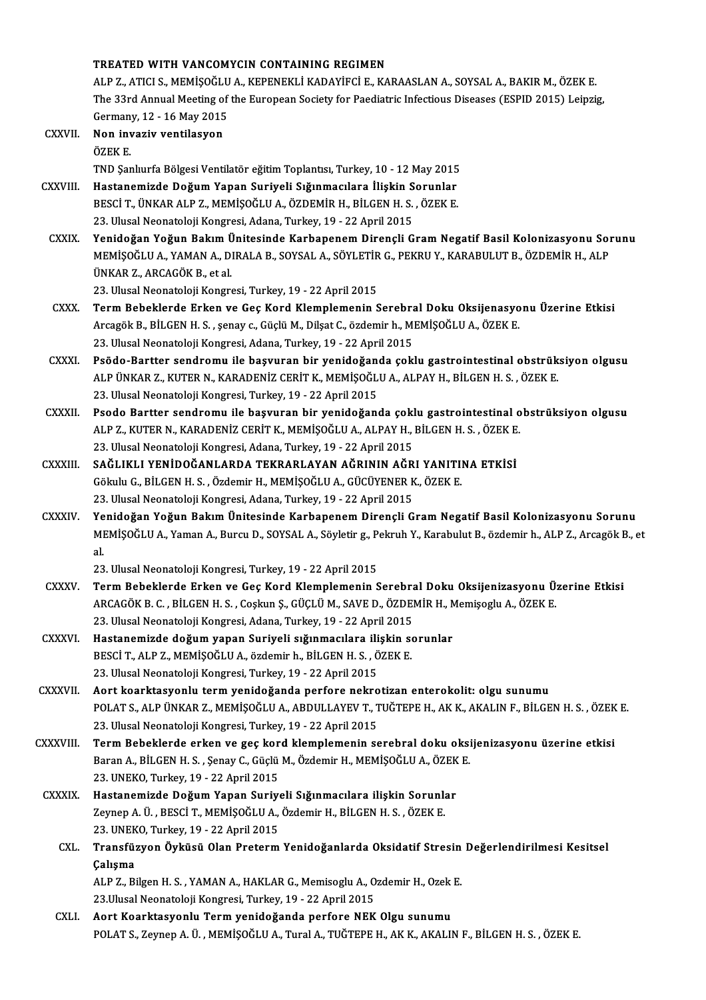### TREATED WITH VANCOMYCIN CONTAINING REGIMEN TREATED WITH VANCOMYCIN CONTAINING REGIMEN<br>ALP Z., ATICI S., MEMİŞOĞLU A., KEPENEKLİ KADAYİFCİ E., KARAASLAN A., SOYSAL A., BAKIR M., ÖZEK E.<br>The 33rd Annual Meeting of the Euronean Society for Poediatria Infectious Diseas TREATED WITH VANCOMYCIN CONTAINING REGIMEN<br>ALP Z., ATICI S., MEMIŞOĞLU A., KEPENEKLI KADAYIFCI E., KARAASLAN A., SOYSAL A., BAKIR M., ÖZEK E.<br>The 33rd Annual Meeting of the European Society for Paediatric Infectious Diseas ALP Z., ATICI S., MEMİŞOĞLU<br>The 33rd Annual Meeting of<br>Germany, 12 - 16 May 2015<br>Non-inveriy ventilesyen The 33rd Annual Meeting of<br>Germany, 12 - 16 May 2015<br>CXXVII. Non invaziv ventilasyon<br>ÖZEV E Germany, 12 - 16 May 2015<br>Non invaziv ventilasyon<br>ÖZEK E. Non invaziv ventilasyon<br>ÖZEK E.<br>TND Şanlıurfa Bölgesi Ventilatör eğitim Toplantısı, Turkey, 10 - 12 May 2015<br>Hastanemirde Doğum Yanan Suriyeli Sığınmasılara İlişkin Sorunlar ÖZEK E.<br>TND Şanlıurfa Bölgesi Ventilatör eğitim Toplantısı, Turkey, 10 - 12 May 2015<br>CXXVIII. Hastanemizde Doğum Yapan Suriyeli Sığınmacılara İlişkin Sorunlar<br>PESCİ T, ÜNKAR ALR Z, MEMİSOĞLU A, ÖZDEMİR H, RÜCEN H, S. Ö TND Şanlıurfa Bölgesi Ventilatör eğitim Toplantısı, Turkey, 10 - 12 May 2015<br>Hastanemizde Doğum Yapan Suriyeli Sığınmacılara İlişkin Sorunlar<br>BESCİ T., ÜNKAR ALP Z., MEMİŞOĞLU A., ÖZDEMİR H., BİLGEN H. S. , ÖZEK E.<br>22 Hluc Hastanemizde Doğum Yapan Suriyeli Sığınmacılara İlişkin Sorunlar<br>BESCİ T., ÜNKAR ALP Z., MEMİŞOĞLU A., ÖZDEMİR H., BİLGEN H. S. , ÖZEK E.<br>23. Ulusal Neonatoloji Kongresi, Adana, Turkey, 19 - 22 April 2015 BESCI T., ÜNKAR ALP Z., MEMIŞOĞLU A., ÖZDEMIR H., BİLGEN H. S. , ÖZEK E.<br>23. Ulusal Neonatoloji Kongresi, Adana, Turkey, 19 - 22 April 2015<br>CXXIX. Yenidoğan Yoğun Bakım Ünitesinde Karbapenem Dirençli Gram Negatif Basil 23. Ulusal Neonatoloji Kongresi, Adana, Turkey, 19 - 22 April 2015<br>Yenidoğan Yoğun Bakım Ünitesinde Karbapenem Dirençli Gram Negatif Basil Kolonizasyonu Sor<br>MEMİŞOĞLU A., YAMAN A., DIRALA B., SOYSAL A., SÖYLETİR G., PEKRU Yenidoğan Yoğun Bakım Ü<br>MEMİŞOĞLU A., YAMAN A., D.<br>ÜNKAR Z., ARCAGÖK B., et al.<br>22. Ulusal Neonatalaji Konsre MEMİŞOĞLU A., YAMAN A., DIRALA B., SOYSAL A., SÖYLETİR G., PEKRU Y., KARABULUT B., ÖZDEMİR H., ALP<br>ÜNKAR Z., ARCAGÖK B., et al.<br>23. Ulusal Neonatoloji Kongresi, Turkey, 19 - 22 April 2015 ÜNKAR Z., ARCAGÖK B., et al.<br>23. Ulusal Neonatoloji Kongresi, Turkey, 19 - 22 April 2015<br>CXXX. Term Bebeklerde Erken ve Geç Kord Klemplemenin Serebral Doku Oksijenasyonu Üzerine Etkisi 23. Ulusal Neonatoloji Kongresi, Turkey, 19 - 22 April 2015<br>Term Bebeklerde Erken ve Geç Kord Klemplemenin Serebral Doku Oksijenasyo<br>Arcagök B., BİLGEN H. S. , şenay c., Güçlü M., Dilşat C., özdemir h., MEMİŞOĞLU A., ÖZEK Arcagök B., BİLGEN H. S. , şenay c., Güçlü M., Dilşat C., özdemir h., MEMİŞOĞLU A., ÖZEK E.<br>23. Ulusal Neonatoloji Kongresi, Adana, Turkey, 19 - 22 April 2015 Arcagök B., BİLGEN H. S. , şenay c., Güçlü M., Dilşat C., özdemir h., MEMİŞOĞLU A., ÖZEK E.<br>23. Ulusal Neonatoloji Kongresi, Adana, Turkey, 19 - 22 April 2015<br>23. Psödo-Bartter sendromu ile başvuran bir yenidoğanda çoklu g 23. Ulusal Neonatoloji Kongresi, Adana, Turkey, 19 - 22 April 2015<br>Psödo-Bartter sendromu ile başvuran bir yenidoğanda çoklu gastrointestinal obstrük<br>ALP ÜNKAR Z., KUTER N., KARADENİZ CERİT K., MEMİŞOĞLU A., ALPAY H., BİLG ALP ÜNKAR Z., KUTER N., KARADENİZ CERİT K., MEMİŞOĞLU A., ALPAY H., BİLGEN H. S. , ÖZEK E.<br>23. Ulusal Neonatoloji Kongresi, Turkey, 19 - 22 April 2015 ALP ÜNKAR Z., KUTER N., KARADENİZ CERİT K., MEMİŞOĞLU A., ALPAY H., BİLGEN H. S. , ÖZEK E.<br>23. Ulusal Neonatoloji Kongresi, Turkey, 19 - 22 April 2015<br>CXXXII. Psodo Bartter sendromu ile başvuran bir yenidoğanda çoklu g 23. Ulusal Neonatoloji Kongresi, Turkey, 19 - 22 April 2015<br>Psodo Bartter sendromu ile başvuran bir yenidoğanda çoklu gastrointestinal o<br>ALP Z., KUTER N., KARADENİZ CERİT K., MEMİŞOĞLU A., ALPAY H., BİLGEN H. S. , ÖZEK E.<br> ALP Z., KUTER N., KARADENİZ CERİT K., MEMİŞOĞLU A., ALPAY H., BİLGEN H. S. , ÖZEK E.<br>23. Ulusal Neonatoloji Kongresi, Adana, Turkey, 19 - 22 April 2015

- ALP Z., KUTER N., KARADENİZ CERİT K., MEMİŞOĞLU A., ALPAY H., BİLGEN H. S. , ÖZEK E<br>23. Ulusal Neonatoloji Kongresi, Adana, Turkey, 19 22 April 2015<br>CXXXIII. SAĞLIKLI YENİDOĞANLARDA TEKRARLAYAN AĞRININ AĞRI YANITINA ETKİ 23. Ulusal Neonatoloji Kongresi, Adana, Turkey, 19 - 22 April 2015<br>SAĞLIKLI YENİDOĞANLARDA TEKRARLAYAN AĞRININ AĞRI YANITI!<br>Gökulu G., BİLGEN H. S. , Özdemir H., MEMİŞOĞLU A., GÜCÜYENER K., ÖZEK E.<br>22. Ulusal Neonatoloji K Gökulu G., BİLGEN H. S. , Özdemir H., MEMİŞOĞLU A., GÜCÜYENER K., ÖZEK E.<br>23. Ulusal Neonatoloji Kongresi, Adana, Turkey, 19 - 22 April 2015
- CXXXIV. Yenidoğan Yoğun Bakım Ünitesinde Karbapenem Dirençli Gram Negatif Basil Kolonizasyonu Sorunu 23. Ulusal Neonatoloji Kongresi, Adana, Turkey, 19 - 22 April 2015<br>Yenidoğan Yoğun Bakım Ünitesinde Karbapenem Dirençli Gram Negatif Basil Kolonizasyonu Sorunu<br>MEMİŞOĞLU A., Yaman A., Burcu D., SOYSAL A., Söyletir g., Pekr Ye<br>MI<br>al<br>22 MEMİŞOĞLU A., Yaman A., Burcu D., SOYSAL A., Söyletir g., P<br>al.<br>23. Ulusal Neonatoloji Kongresi, Turkey, 19 - 22 April 2015<br>Term Bebeklarde Erken ve Cee Kord Klamplemenin S al.<br>23. Ulusal Neonatoloji Kongresi, Turkey, 19 - 22 April 2015<br>CXXXV. Term Bebeklerde Erken ve Geç Kord Klemplemenin Serebral Doku Oksijenizasyonu Üzerine Etkisi

- 23. Ulusal Neonatoloji Kongresi, Turkey, 19 22 April 2015<br>Term Bebeklerde Erken ve Geç Kord Klemplemenin Serebral Doku Oksijenizasyonu Ü:<br>ARCAGÖK B. C. , BİLGEN H. S. , Coşkun Ş., GÜÇLÜ M., SAVE D., ÖZDEMİR H., Memişoglu Term Bebeklerde Erken ve Geç Kord Klemplemenin Serebra<br>ARCAGÖK B. C. , BİLGEN H. S. , Coşkun Ş., GÜÇLÜ M., SAVE D., ÖZDEI<br>23. Ulusal Neonatoloji Kongresi, Adana, Turkey, 19 - 22 April 2015<br>Hestanamirde değum yanan Suniveli ARCAGÖK B. C. , BİLGEN H. S. , Coşkun Ş., GÜÇLÜ M., SAVE D., ÖZDEMİR H., N<br>23. Ulusal Neonatoloji Kongresi, Adana, Turkey, 19 - 22 April 2015<br>CXXXVI. Hastanemizde doğum yapan Suriyeli sığınmacılara ilişkin sorunlar<br>PES
- 23. Ulusal Neonatoloji Kongresi, Adana, Turkey, 19 22 April 2015<br>Hastanemizde doğum yapan Suriyeli sığınmacılara ilişkin se<br>BESCİ T., ALP Z., MEMİŞOĞLU A., özdemir h., BİLGEN H. S. , ÖZEK E.<br>22. Ulusal Neonatoloji Kongre Hastanemizde doğum yapan Suriyeli sığınmacılara ili<br>BESCİ T., ALP Z., MEMİŞOĞLU A., özdemir h., BİLGEN H. S. , Ö<br>23. Ulusal Neonatoloji Kongresi, Turkey, 19 - 22 April 2015<br>Aart kaarktasyonlu tarm yanidağanda narfara nakna
- 23. Ulusal Neonatoloji Kongresi, Turkey, 19 22 April 2015<br>CXXXVII. Aort koarktasyonlu term yenidoğanda perfore nekrotizan enterokolit: olgu sunumu 23. Ulusal Neonatoloji Kongresi, Turkey, 19 - 22 April 2015<br>Aort koarktasyonlu term yenidoğanda perfore nekrotizan enterokolit: olgu sunumu<br>POLAT S., ALP ÜNKAR Z., MEMİŞOĞLU A., ABDULLAYEV T., TUĞTEPE H., AK K., AKALIN F., Aort koarktasyonlu term yenidoğanda perfore nekro<br>POLAT S., ALP ÜNKAR Z., MEMİŞOĞLU A., ABDULLAYEV T., 1<br>23. Ulusal Neonatoloji Kongresi, Turkey, 19 - 22 April 2015<br>Term Bebeklerde erken ve 5es kard klemplemenin ss POLAT S., ALP ÜNKAR Z., MEMIŞOĞLU A., ABDULLAYEV T., TUĞTEPE H., AK K., AKALIN F., BİLGEN H. S. , ÖZEK<br>23. Ulusal Neonatoloji Kongresi, Turkey, 19 - 22 April 2015<br>CXXXVIII. Term Bebeklerde erken ve geç kord klemplemeni
- 23. Ulusal Neonatoloji Kongresi, Turkey, 19 22 April 2015<br>Term Bebeklerde erken ve geç kord klemplemenin serebral doku oksi<br>Baran A., BİLGEN H. S. , Şenay C., Güçlü M., Özdemir H., MEMİŞOĞLU A., ÖZEK E.<br>22. UNEKO Turkey, Term Bebeklerde erken ve geç kor<br>Baran A., BİLGEN H. S. , Şenay C., Güçlü<br>23. UNEKO, Turkey, 19 - 22 April 2015<br>Hastanamirda Dağum Yanan Suriy Baran A., BİLGEN H. S. , Şenay C., Güçlü M., Özdemir H., MEMİŞOĞLU A., ÖZEK<br>23. UNEKO, Turkey, 19 - 22 April 2015<br>CXXXIX. Hastanemizde Doğum Yapan Suriyeli Sığınmacılara ilişkin Sorunlar<br>7. Taman A. Ü. BESCİ T. MEMİŞOĞLU A
- 23. UNEKO, Turkey, 19 22 April 2015<br>Hastanemizde Doğum Yapan Suriyeli Sığınmacılara ilişkin Sorunlı<br>Zeynep A. Ü. , BESCİ T., MEMİŞOĞLU A., Özdemir H., BİLGEN H. S. , ÖZEK E.<br>22. UNEKO Turkey, 19 22 April 2015 Hastanemizde Doğum Yapan Suriye<br>Zeynep A. Ü. , BESCİ T., MEMİŞOĞLU A.,<br>23. UNEKO, Turkey, 19 - 22 April 2015<br>Tranafüzyon Öyltüsü Olan Bratarım 23. UNEKO, Turkey, 19 - 22 April 2015

# Zeynep A. Ü. , BESCİ T., MEMİŞOĞLU A., Özdemir H., BİLGEN H. S. , ÖZEK E.<br>23. UNEKO, Turkey, 19 - 22 April 2015<br>CXL. Transfüzyon Öyküsü Olan Preterm Yenidoğanlarda Oksidatif Stresin Değerlendirilmesi Kesitsel<br>Calışma Transfüzyon Öyküsü Olan Preterm Yenidoğanlarda Oksidatif Stresin<br>Çalışma<br>ALP Z., Bilgen H. S. , YAMAN A., HAKLAR G., Memisoglu A., Ozdemir H., Ozek E.<br>22 Ulusal Neonatoleji Kongresi Turkey 19, 22 April 2015 **Çalışma**<br>ALP Z., Bilgen H. S. , YAMAN A., HAKLAR G., Memisoglu A., O<br>23.Ulusal Neonatoloji Kongresi, Turkey, 19 - 22 April 2015<br>Aert Keerktesvenly Term venideğende nerfore NEK

CXLI. Aort Koarktasyonlu Termyenidoğanda perfore NEK Olgu sunumu POLAT S., Zeynep A. Ü., MEMİŞOĞLU A., Tural A., TUĞTEPE H., AK K., AKALIN F., BİLGEN H. S., ÖZEK E.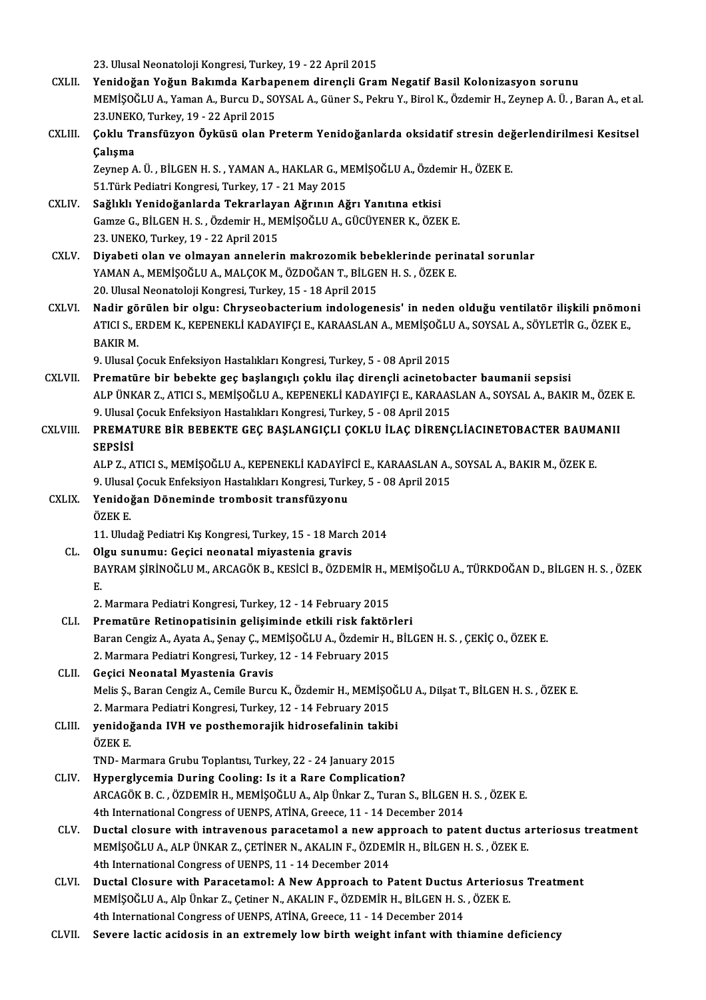23. Ulusal Neonatoloji Kongresi, Turkey, 19 - 22 April 2015

- CXLII. Yenidoğan Yoğun Bakımda Karbapenem dirençli Gram Negatif Basil Kolonizasyon sorunu 23. Ulusal Neonatoloji Kongresi, Turkey, 19 - 22 April 2015<br>Yenidoğan Yoğun Bakımda Karbapenem dirençli Gram Negatif Basil Kolonizasyon sorunu<br>MEMİŞOĞLU A., Yaman A., Burcu D., SOYSAL A., Güner S., Pekru Y., Birol K., Özde Yenidoğan Yoğun Bakımda Karbap<br>MEMİŞOĞLU A., Yaman A., Burcu D., SO<br>23.UNEKO, Turkey, 19 - 22 April 2015<br>Seklu Transfüzyen Öyküsü olan Pı MEMİŞOĞLU A., Yaman A., Burcu D., SOYSAL A., Güner S., Pekru Y., Birol K., Özdemir H., Zeynep A. Ü. , Baran A., et al<br>23.UNEKO, Turkey, 19 - 22 April 2015<br>CXLIII. Coklu Transfüzyon Öyküsü olan Preterm Yenidoğanlarda oksida
- 23.UNEKO, Turkey, 19 22 April 2015<br>Çoklu Transfüzyon Öyküsü olan P<br>Çalışma Çoklu Transfüzyon Öyküsü olan Preterm Yenidoğanlarda oksidatif stresin değ<br>Çalışma<br>Zeynep A. Ü. , BİLGEN H. S. , YAMAN A., HAKLAR G., MEMİŞOĞLU A., Özdemir H., ÖZEK E.<br>51 Türk Podiatri Kongresi Turkey 17 - 21 Mey 2015

Zeynep A. Ü. , BİLGEN H. S. , YAMAN A., HAKLAR G., MEMİŞOĞLU A., Özdemir H., ÖZEK E.<br>51.Türk Pediatri Kongresi, Turkey, 17 - 21 May 2015 Zeynep A. Ü. , BİLGEN H. S. , YAMAN A., HAKLAR G., MEMİŞOĞLU A., Özden<br>51.Türk Pediatri Kongresi, Turkey, 17 - 21 May 2015<br>CXLIV. Sağlıklı Yenidoğanlarda Tekrarlayan Ağrının Ağrı Yanıtına etkisi

- Gamze G., BİLGEN H. S. , Özdemir H., MEMİŞOĞLU A., GÜCÜYENER K., ÖZEK E.<br>23. UNEKO, Turkey, 19 22 April 2015 Sağlıklı Yenidoğanlarda Tekrarlaya<br>Gamze G., BİLGEN H. S. , Özdemir H., ME<br>23. UNEKO, Turkey, 19 - 22 April 2015<br>Divebeti elen ve elmayan anneleril
- CXLV. Diyabeti olan ve olmayan annelerinmakrozomik bebeklerinde perinatal sorunlar YAMAN A., MEMİŞOĞLU A., MALÇOK M., ÖZDOĞAN T., BİLGEN H. S., ÖZEK E. 20. Ulusal Neonatoloji Kongresi, Turkey, 15 - 18 April 2015
- CXLVI. Nadir görülen bir olgu: Chryseobacteriumindologenesis' in neden olduğu ventilatör ilişkili pnömoni 20. Ulusal Neonatoloji Kongresi, Turkey, 15 - 18 April 2015<br>Nadir görülen bir olgu: Chryseobacterium indologenesis' in neden olduğu ventilatör ilişkili pnömol<br>ATICI S., ERDEM K., KEPENEKLİ KADAYIFÇI E., KARAASLAN A., MEMİŞ Nadir gö<br>ATICI S., E<br>BAKIR M.<br>9. Ulucal ( ATICI S., ERDEM K., KEPENEKLİ KADAYIFÇI E., KARAASLAN A., MEMİŞOĞLU<br>BAKIR M.<br>9. Ulusal Çocuk Enfeksiyon Hastalıkları Kongresi, Turkey, 5 - 08 April 2015<br>Prematüre bir behalta ses baslansıslı saltlı iles dinanali asinateha

- BAKIR M.<br>9. Ulusal Çocuk Enfeksiyon Hastalıkları Kongresi, Turkey, 5 08 April 2015<br>CXLVII. Prematüre bir bebekte geç başlangıçlı çoklu ilaç dirençli acinetobacter baumanii sepsisi<br>ALRÜNKAR Z ATICLS MEMISOČLUA, KERE 9. Ulusal Çocuk Enfeksiyon Hastalıkları Kongresi, Turkey, 5 - 08 April 2015<br>Prematüre bir bebekte geç başlangıçlı çoklu ilaç dirençli acinetobacter baumanii sepsisi<br>ALP ÜNKAR Z., ATICI S., MEMİŞOĞLU A., KEPENEKLİ KADAYIFÇI Prematüre bir bebekte geç başlangıçlı çoklu ilaç dirençli acinetoba<br>ALP ÜNKAR Z., ATICI S., MEMİŞOĞLU A., KEPENEKLİ KADAYIFÇI E., KARAAS<br>9. Ulusal Çocuk Enfeksiyon Hastalıkları Kongresi, Turkey, 5 - 08 April 2015<br>PREMATURE ALP ÜNKAR Z., ATICI S., MEMİŞOĞLU A., KEPENEKLİ KADAYIFÇI E., KARAASLAN A., SOYSAL A., BAKIR M., ÖZEK<br>9. Ulusal Çocuk Enfeksiyon Hastalıkları Kongresi, Turkey, 5 - 08 April 2015<br>CXLVIII. PREMATURE BİR BEBEKTE GEÇ BAŞLANGIÇ
- 9. Ulusal<br>PREMAT<br>SEPSİSİ<br><sup>AL R 7</sup>. A PREMATURE BİR BEBEKTE GEÇ BAŞLANGIÇLI ÇOKLU İLAÇ DİRENÇLİACINETOBACTER BAUM.<br>SEPSİSİ<br>ALP Z., ATICI S., MEMİŞOĞLU A., KEPENEKLİ KADAYİFCİ E., KARAASLAN A., SOYSAL A., BAKIR M., ÖZEK E.<br>9. Ulucal Cosuk Enfaksiyan Hastalıklar SEPSİSİ<br>ALP Z., ATICI S., MEMİŞOĞLU A., KEPENEKLİ KADAYİFCİ E., KARAASLAN A., SOYSAL A., BAKIR M., ÖZEK E.

9. Ulusal Çocuk Enfeksiyon Hastalıkları Kongresi, Turkey, 5 - 08 April 2015

CXLIX. Yenidoğan Döneminde trombosit transfüzyonu

11. Uludağ Pediatri Kış Kongresi, Turkey, 15 - 18 March 2014

CL. Olgu sunumu: Geçici neonatalmiyastenia gravis BAYRAM ŞİRİNOĞLU M., ARCAGÖK B., KESİCİ B., ÖZDEMİR H., MEMİŞOĞLU A., TÜRKDOĞAN D., BİLGEN H. S. , ÖZEK<br>E. 01<br>B/<br>E.

2. Marmara Pediatri Kongresi, Turkey, 12 - 14 February 2015

- CLI. Prematüre Retinopatisinin gelişiminde etkili risk faktörleri Baran Cengiz A., Ayata A., Şenay Ç., MEMİŞOĞLU A., Özdemir H., BİLGEN H. S., ÇEKİÇ O., ÖZEK E. 2. Marmara Pediatri Kongresi, Turkey, 12 - 14 February 2015
- CLII. Geçici Neonatal Myastenia Gravis Melis Ş., Baran Cengiz A., Cemile Burcu K., Özdemir H., MEMİŞOĞLU A., Dilşat T., BİLGEN H. S., ÖZEK E. Geçici Neonatal Myastenia Gravis<br>Melis Ş., Baran Cengiz A., Cemile Burcu K., Özdemir H., MEMİŞO<br>2. Marmara Pediatri Kongresi, Turkey, 12 - 14 February 2015<br>venideğanda IVH ve nesthemerajik bidressfalinin takih Melis Ş., Baran Cengiz A., Cemile Burcu K., Özdemir H., MEMİŞOĞ<br>2. Marmara Pediatri Kongresi, Turkey, 12 - 14 February 2015<br>CLIII. 9enidoğanda IVH ve posthemorajik hidrosefalinin takibi
- 2. Marm<br><mark>yenido</mark>ğ<br>ÖZEK E.<br>TND. M yenidoğanda IVH ve posthemorajik hidrosefalinin takibi<br>ÖZEK E.<br>TND- Marmara Grubu Toplantısı, Turkey, 22 - 24 January 2015<br>Hunorglucemia During Cooling: Is it a Bare Complication

- ÖZEK E.<br>TND- Marmara Grubu Toplantisi, Turkey, 22 24 January 2015<br>CLIV. Hyperglycemia During Cooling: Is it a Rare Complication?<br>ARCACÖV B.C. ÖZDEMİR H. MEMİSQĞLU A. Alp Ünkar Z. Turan TND- Marmara Grubu Toplantısı, Turkey, 22 - 24 January 2015<br>Hyperglycemia During Cooling: Is it a Rare Complication?<br>ARCAGÖK B. C. , ÖZDEMİR H., MEMİŞOĞLU A., Alp Ünkar Z., Turan S., BİLGEN H. S. , ÖZEK E.<br>4th Internationa Hyperglycemia During Cooling: Is it a Rare Complication?<br>ARCAGÖK B. C. , ÖZDEMİR H., MEMİŞOĞLU A., Alp Ünkar Z., Turan S., BİLGEN H<br>4th International Congress of UENPS, ATİNA, Greece, 11 - 14 December 2014<br>Dustal slasure w ARCAGÖK B. C. , ÖZDEMİR H., MEMİŞOĞLU A., Alp Ünkar Z., Turan S., BİLGEN H. S. , ÖZEK E.<br>4th International Congress of UENPS, ATİNA, Greece, 11 - 14 December 2014<br>CLV. Ductal closure with intravenous paracetamol a new appr
- 4th International Congress of UENPS, ATİNA, Greece, 11 14 December 2014<br>Ductal closure with intravenous paracetamol a new approach to patent ductus a<br>MEMİŞOĞLU A., ALP ÜNKAR Z., ÇETİNER N., AKALIN F., ÖZDEMİR H., BİLGEN MEMIȘOĞLU A., ALP ÜNKAR Z., ÇETİNER N., AKALIN F., ÖZDEMİR H., BİLGEN H. S. , ÖZEK E.<br>4th International Congress of UENPS, 11 - 14 December 2014
- CLVI. Ductal Closure with Paracetamol: A NewApproach to Patent Ductus Arteriosus Treatment 4th International Congress of UENPS, 11 - 14 December 2014<br>Ductal Closure with Paracetamol: A New Approach to Patent Ductus Arterios<br>MEMİŞOĞLU A., Alp Ünkar Z., Çetiner N., AKALIN F., ÖZDEMİR H., BİLGEN H. S. , ÖZEK E.<br>4th Ductal Closure with Paracetamol: A New Approach to Patent Ductus<br>MEMİŞOĞLU A., Alp Ünkar Z., Çetiner N., AKALIN F., ÖZDEMİR H., BİLGEN H. S.<br>4th International Congress of UENPS, ATİNA, Greece, 11 - 14 December 2014<br>Sevena
- 4th International Congress of UENPS, ATINA, Greece, 11 14 December 2014<br>CLVII. Severe lactic acidosis in an extremely low birth weight infant with thiamine deficiency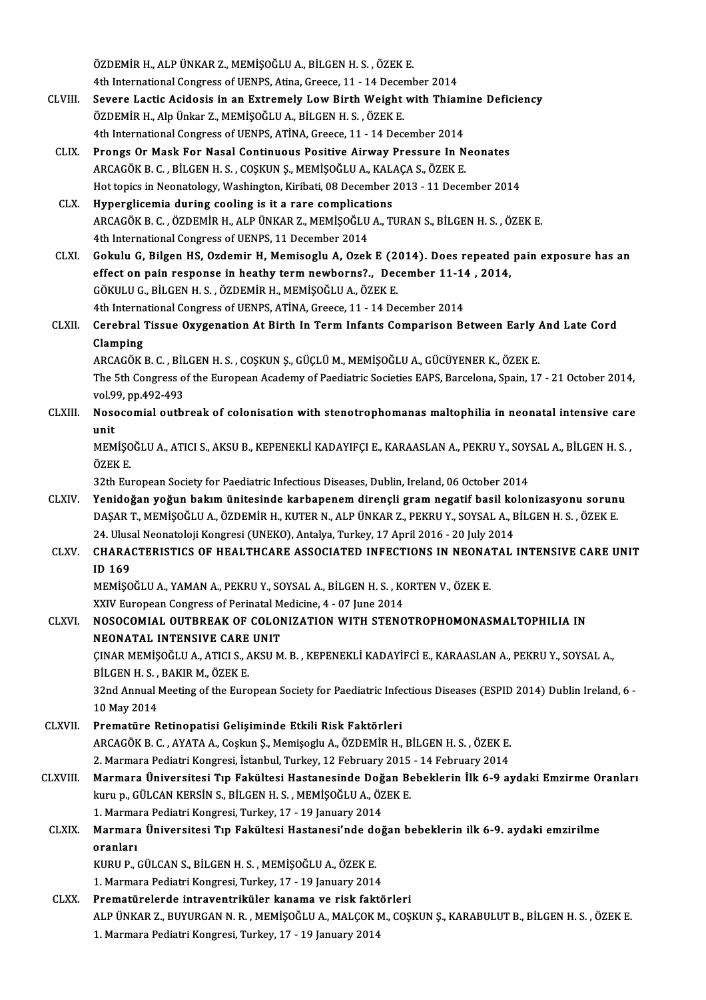ÖZDEMİRH.,ALPÜNKARZ.,MEMİŞOĞLUA.,BİLGENH.S. ,ÖZEKE. ÖZDEMİR H., ALP ÜNKAR Z., MEMİŞOĞLU A., BİLGEN H. S. , ÖZEK E.<br>4th International Congress of UENPS, Atina, Greece, 11 - 14 December 2014<br>Severe Lastis Asidesis in an Eytramely Lew Birth Weight with Thiar

- ÖZDEMİR H., ALP ÜNKAR Z., MEMİŞOĞLU A., BİLGEN H. S. , ÖZEK E.<br>4th International Congress of UENPS, Atina, Greece, 11 14 December 2014<br>CLVIII. Severe Lactic Acidosis in an Extremely Low Birth Weight with Thiamine Deficie 4th International Congress of UENPS, Atina, Greece, 11 - 14 Decentral<br>Severe Lactic Acidosis in an Extremely Low Birth Weight<br>ÖZDEMİR H., Alp Ünkar Z., MEMİŞOĞLU A., BİLGEN H. S. , ÖZEK E.<br>4th International Congress of UEN Severe Lactic Acidosis in an Extremely Low Birth Weight with Thiam<br>ÖZDEMİR H., Alp Ünkar Z., MEMİŞOĞLU A., BİLGEN H. S. , ÖZEK E.<br>4th International Congress of UENPS, ATİNA, Greece, 11 - 14 December 2014<br>Prongs Or Mask For ÖZDEMİR H., Alp Ünkar Z., MEMİŞOĞLU A., BİLGEN H. S. , ÖZEK E.<br>4th International Congress of UENPS, ATİNA, Greece, 11 - 14 December 2014<br>CLIX. Prongs Or Mask For Nasal Continuous Positive Airway Pressure In Neonates<br>ABCACÖ
- 4th International Congress of UENPS, ATİNA, Greece, 11 14 December 2014<br>Prongs Or Mask For Nasal Continuous Positive Airway Pressure In Neonates<br>ARCAGÖK B. C. , BİLGEN H. S. , COŞKUN Ş., MEMİŞOĞLU A., KALAÇA S., ÖZEK E.<br> Prongs Or Mask For Nasal Continuous Positive Airway Pressure In Neonates<br>ARCAGÖK B. C. , BİLGEN H. S. , COŞKUN Ş., MEMİŞOĞLU A., KALAÇA S., ÖZEK E.<br>Hot topics in Neonatology, Washington, Kiribati, 08 December 2013 - 11 Dec ARCAGÖK B. C., BİLGEN H. S., COŞKUN Ş., MEMİŞOĞLU A., KAL<br>Hot topics in Neonatology, Washington, Kiribati, 08 December :<br>CLX. Hyperglicemia during cooling is it a rare complications
- ARCAGÖK B. C. , ÖZDEMİR H., ALP ÜNKAR Z., MEMİŞOĞLU A., TURAN S., BİLGEN H. S. , ÖZEK E.<br>4th International Congress of UENPS, 11 December 2014 Hyperglicemia during cooling is it a rare complication<br>ARCAGÖK B. C. , ÖZDEMİR H., ALP ÜNKAR Z., MEMİŞOĞLU<br>4th International Congress of UENPS, 11 December 2014<br>Coltulu G. Bilgan HS. Ozdemir H. Memisozlu A. Ozek
- CLXI. Gokulu G, Bilgen HS, Ozdemir H,Memisoglu A, Ozek E (2014). Does repeated pain exposure has an 4th International Congress of UENPS, 11 December 2014<br>Gokulu G, Bilgen HS, Ozdemir H, Memisoglu A, Ozek E (2014). Does repeated<br>effect on pain response in heathy term newborns?., December 11-14 , 2014,<br>CÖKULU C, PU CEN H, GÖKULUG.,BİLGENH.S. ,ÖZDEMİRH.,MEMİŞOĞLUA.,ÖZEKE. effect on pain response in heathy term newborns?., December 11-14<br>GÖKULU G., BİLGEN H. S. , ÖZDEMİR H., MEMİŞOĞLU A., ÖZEK E.<br>4th International Congress of UENPS, ATİNA, Greece, 11 - 14 December 2014<br>Conshnal Tissue Owygon GÖKULU G., BİLGEN H. S. , ÖZDEMİR H., MEMİŞOĞLU A., ÖZEK E.<br>4th International Congress of UENPS, ATİNA, Greece, 11 - 14 December 2014<br>CLXII. Cerebral Tissue Oxygenation At Birth In Term Infants Comparison Between Early
- 4th International Congress of UENPS, ATİNA, Greece, 11 14 December 2014<br>Cerebral Tissue Oxygenation At Birth In Term Infants Comparison Between Early *I*<br>Clamping<br>ARCAGÖK B. C. , BİLGEN H. S. , COSKUN S., GÜCLÜ M., MEMİS Cerebral Tissue Oxygenation At Birth In Term Infants Comparison Between Early <mark>.</mark><br>Clamping<br>ARCAGÖK B. C. , BİLGEN H. S. , COŞKUN Ş., GÜÇLÜ M., MEMİŞOĞLU A., GÜCÜYENER K., ÖZEK E.<br>The 5th Congress of the European Asademy of

Clamping<br>ARCAGÖK B. C. , BİLGEN H. S. , COŞKUN Ş., GÜÇLÜ M., MEMİŞOĞLU A., GÜCÜYENER K., ÖZEK E.<br>The 5th Congress of the European Academy of Paediatric Societies EAPS, Barcelona, Spain, 17 - 21 October 2014, ARCAGÖK B. C. , BİL<br>The 5th Congress o<br>vol.99, pp.492-493<br>Nasasamial outh The 5th Congress of the European Academy of Paediatric Societies EAPS, Barcelona, Spain, 17 - 21 October 2014,<br>vol.99, pp.492-493<br>CLXIII. Nosocomial outbreak of colonisation with stenotrophomanas maltophilia in neonatal in

vol.99, pp.492-493<br>CLXIII. Nosocomial outbreak of colonisation with stenotrophomanas maltophilia in neonatal intensive care<br>unit Nosocomial outbreak of colonisation with stenotrophomanas maltophilia in neonatal intensive care<br>unit<br>MEMİŞOĞLU A., ATICI S., AKSU B., KEPENEKLİ KADAYIFÇI E., KARAASLAN A., PEKRU Y., SOYSAL A., BİLGEN H. S. ,<br>ÖZEV E

unit<br>MEMİŞO<br>ÖZEK E.<br>22th Ew MEMİŞOĞLU A., ATICI S., AKSU B., KEPENEKLİ KADAYIFÇI E., KARAASLAN A., PEKRU Y., SOY.<br>ÖZEK E.<br>32th European Society for Paediatric Infectious Diseases, Dublin, Ireland, 06 October 2014<br>Yanidağan yağıyı bakım ünitesinde kar

ÖZEK E.<br>32th European Society for Paediatric Infectious Diseases, Dublin, Ireland, 06 October 2014<br>CLXIV. Yenidoğan yoğun bakım ünitesinde karbapenem dirençli gram negatif basil kolonizasyonu sorunu<br>DASAR T. MEMISOĞLU 32th European Society for Paediatric Infectious Diseases, Dublin, Ireland, 06 October 2014<br>Yenidoğan yoğun bakım ünitesinde karbapenem dirençli gram negatif basil kolonizasyonu sorun:<br>DAŞAR T., MEMİŞOĞLU A., ÖZDEMİR H., KU Yenidoğan yoğun bakım ünitesinde karbapenem dirençli gram negatif basil ko<br>DAŞAR T., MEMİŞOĞLU A., ÖZDEMİR H., KUTER N., ALP ÜNKAR Z., PEKRU Y., SOYSAL A., E<br>24. Ulusal Neonatoloji Kongresi (UNEKO), Antalya, Turkey, 17 Apr DAŞAR T., MEMİŞOĞLU A., ÖZDEMİR H., KUTER N., ALP ÜNKAR Z., PEKRU Y., SOYSAL A., BİLGEN H. S. , ÖZEK E.<br>24. Ulusal Neonatoloji Kongresi (UNEKO), Antalya, Turkey, 17 April 2016 - 20 July 2014<br>CLXV. CHARACTERISTICS OF HE

## 24. Ulus<br>CHARA<br>ID 169<br>MEMISO CHARACTERISTICS OF HEALTHCARE ASSOCIATED INFECTIONS IN NEONA'<br>ID 169<br>MEMİŞOĞLU A., YAMAN A., PEKRU Y., SOYSAL A., BİLGEN H. S. , KORTEN V., ÖZEK E.<br>YYIV European Cangress of Barinatal Medisine 4 , 97 June 2014 ID 169<br>MEMİŞOĞLU A., YAMAN A., PEKRU Y., SOYSAL A., BİLGEN H. S. , K(<br>XXIV European Congress of Perinatal Medicine, 4 - 07 June 2014<br>NOSOCOMIAL OUTRREAK OE COLONIZATION WITH STENO

## MEMIȘOĞLU A., YAMAN A., PEKRU Y., SOYSAL A., BİLGEN H. S. , KORTEN V., ÖZEK E.<br>XXIV European Congress of Perinatal Medicine, 4 - 07 June 2014<br>CLXVI. NOSOCOMIAL OUTBREAK OF COLONIZATION WITH STENOTROPHOMONASMALTOPHILIA IN<br>N XXIV European Congress of Perinatal M<br>NOSOCOMIAL OUTBREAK OF COLON<br>NEONATAL INTENSIVE CARE UNIT<br>CINAR MEMISOČIJJA ATICI S AVSUM NOSOCOMIAL OUTBREAK OF COLONIZATION WITH STENOTROPHOMONASMALTOPHILIA IN<br>NEONATAL INTENSIVE CARE UNIT<br>ÇINAR MEMİŞOĞLU A., ATICI S., AKSU M. B. , KEPENEKLİ KADAYİFCİ E., KARAASLAN A., PEKRU Y., SOYSAL A.,<br>PU CEN H. S., BAKIR

**NEONATAL INTENSIVE CARE<br>ÇINAR MEMİŞOĞLU A., ATICI S., A<br>BİLGEN H. S. , BAKIR M., ÖZEK E.<br>22nd Annual Meeting of the Euro** ÇINAR MEMİŞOĞLU A., ATICI S., AKSU M. B. , KEPENEKLİ KADAYİFCİ E., KARAASLAN A., PEKRU Y., SOYSAL A.,<br>BİLGEN H. S. , BAKIR M., ÖZEK E.<br>32nd Annual Meeting of the European Society for Paediatric Infectious Diseases (ESPID 2

BİLGEN H. S. , BAKIR M., ÖZEK E.<br>32nd Annual Meeting of the European Society for Paediatric Infectious Diseases (ESPID 2014) Dublin Ireland, 6 -<br>10 May 2014

- CLXVII. Prematüre Retinopatisi Gelişiminde Etkili Risk Faktörleri ARCAGÖKB.C. ,AYATAA.,CoşkunŞ.,MemişogluA.,ÖZDEMİRH.,BİLGENH.S. ,ÖZEKE. Prematüre Retinopatisi Gelişiminde Etkili Risk Faktörleri<br>ARCAGÖK B. C. , AYATA A., Coşkun Ş., Memişoglu A., ÖZDEMİR H., BİLGEN H. S. , ÖZEK E.<br>2. Marmara Pediatri Kongresi, İstanbul, Turkey, 12 February 2015 - 14 February
- ARCAGÖK B. C. , AYATA A., Coşkun Ş., Memişoglu A., ÖZDEMİR H., BİLGEN H. S. , ÖZEK E.<br>2. Marmara Pediatri Kongresi, İstanbul, Turkey, 12 February 2015 14 February 2014<br>2. Marmara Üniversitesi Tıp Fakültesi Hastanesinde D 2. Marmara Pediatri Kongresi, İstanbul, Turkey, 12 February 2015<br>Marmara Üniversitesi Tıp Fakültesi Hastanesinde Doğan Be<br>kuru p., GÜLCAN KERSİN S., BİLGEN H. S. , MEMİŞOĞLU A., ÖZEK E.<br>1. Marmara Pediatri Kongresi Turkey, Marmara Üniversitesi Tıp Fakültesi Hastanesinde Doğ<br>kuru p., GÜLCAN KERSİN S., BİLGEN H. S. , MEMİŞOĞLU A., ÖZ<br>1. Marmara Pediatri Kongresi, Turkey, 17 - 19 January 2014<br>Marmara Üniversitesi Tın Fakültesi Hastanesi'nde doğ kuru p., GÜLCAN KERSİN S., BİLGEN H. S. , MEMİŞOĞLU A., ÖZEK E.<br>1. Marmara Pediatri Kongresi, Turkey, 17 - 19 January 2014<br>CLXIX. Marmara Üniversitesi Tıp Fakültesi Hastanesi'nde doğan bebeklerin ilk 6-9. aydaki emziri

# 1. Marmara Pediatri Kongresi, Turkey, 17 - 19 January 2014<br>Marmara Üniversitesi Tıp Fakültesi Hastanesi'nde do<br>oranları<br>KURU P., GÜLCAN S., BİLGEN H. S. , MEMİŞOĞLU A., ÖZEK E. Marmara Üniversitesi Tıp Fakültesi Hastanesi'nde do<br>oranları<br>KURU P., GÜLCAN S., BİLGEN H. S. , MEMİŞOĞLU A., ÖZEK E.<br>1. Marmara Badiatri Kangrasi Turkay 17, 19 January 2014

1. Marmara Pediatri Kongresi, Turkey, 17 - 19 January 2014

CLXX. Prematürelerde intraventriküler kanama ve risk faktörleri 1. Marmara Pediatri Kongresi, Turkey, 17 - 19 January 2014<br>Prematürelerde intraventriküler kanama ve risk faktörleri<br>ALP ÜNKAR Z., BUYURGAN N. R. , MEMİŞOĞLU A., MALÇOK M., COŞKUN Ş., KARABULUT B., BİLGEN H. S. , ÖZEK E.<br>1 Prematürelerde intraventriküler kanama ve risk fakt<br>ALP ÜNKAR Z., BUYURGAN N. R. , MEMİŞOĞLU A., MALÇOK N<br>1. Marmara Pediatri Kongresi, Turkey, 17 - 19 January 2014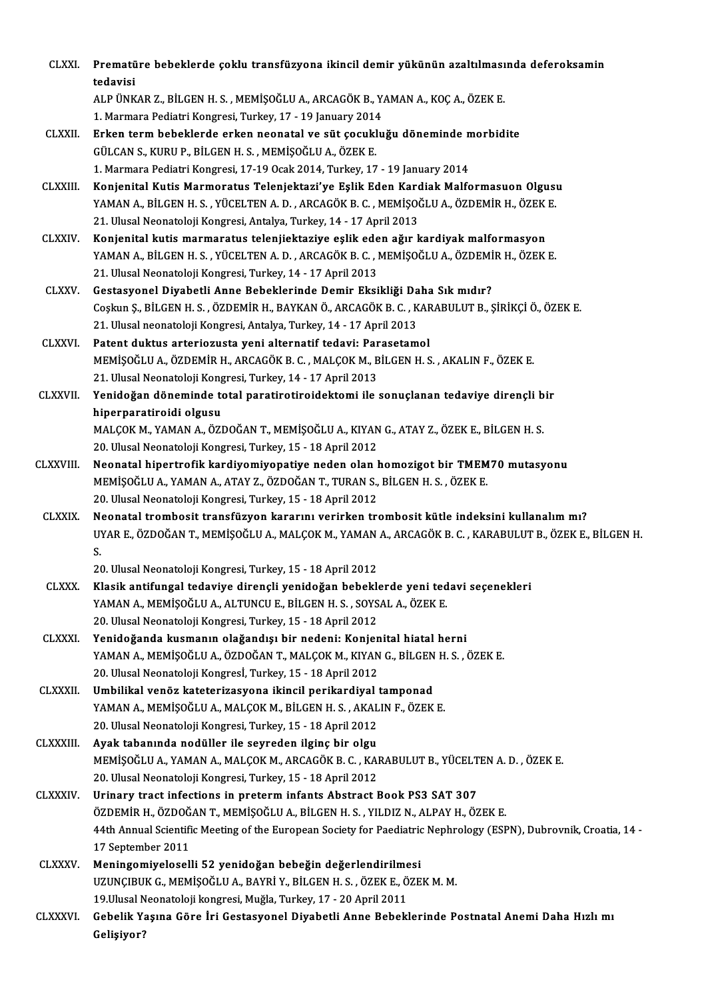| <b>CLXXI</b>    | Prematüre bebeklerde çoklu transfüzyona ikincil demir yükünün azaltılmasında deferoksamin                                                     |
|-----------------|-----------------------------------------------------------------------------------------------------------------------------------------------|
|                 | tedavisi<br>ALP ÜNKAR Z., BİLGEN H. S., MEMİŞOĞLU A., ARCAGÖK B., YAMAN A., KOÇ A., ÖZEK E.                                                   |
|                 | 1. Marmara Pediatri Kongresi, Turkey, 17 - 19 January 2014                                                                                    |
| <b>CLXXII.</b>  | Erken term bebeklerde erken neonatal ve süt çocukluğu döneminde morbidite                                                                     |
|                 | GÜLCAN S., KURU P., BİLGEN H. S., MEMİŞOĞLU A., ÖZEK E.                                                                                       |
|                 | 1. Marmara Pediatri Kongresi, 17-19 Ocak 2014, Turkey, 17 - 19 January 2014                                                                   |
| <b>CLXXIII.</b> | Konjenital Kutis Marmoratus Telenjektazi'ye Eşlik Eden Kardiak Malformasuon Olgusu                                                            |
|                 | YAMAN A., BİLGEN H. S., YÜCELTEN A. D., ARCAGÖK B. C., MEMİŞOĞLU A., ÖZDEMİR H., ÖZEK E.                                                      |
|                 | 21. Ulusal Neonatoloji Kongresi, Antalya, Turkey, 14 - 17 April 2013                                                                          |
| <b>CLXXIV</b>   | Konjenital kutis marmaratus telenjiektaziye eşlik eden ağır kardiyak malformasyon                                                             |
|                 | YAMAN A., BİLGEN H. S., YÜCELTEN A. D., ARCAGÖK B. C., MEMİŞOĞLU A., ÖZDEMİR H., ÖZEK E.                                                      |
|                 | 21. Ulusal Neonatoloji Kongresi, Turkey, 14 - 17 April 2013                                                                                   |
| <b>CLXXV</b>    | Gestasyonel Diyabetli Anne Bebeklerinde Demir Eksikliği Daha Sık mıdır?                                                                       |
|                 | Coşkun Ş., BİLGEN H. S., ÖZDEMİR H., BAYKAN Ö., ARCAGÖK B. C., KARABULUT B., ŞİRİKÇİ Ö., ÖZEK E.                                              |
|                 | 21. Ulusal neonatoloji Kongresi, Antalya, Turkey, 14 - 17 April 2013                                                                          |
| <b>CLXXVI</b>   | Patent duktus arteriozusta yeni alternatif tedavi: Parasetamol                                                                                |
|                 | MEMIȘOĞLU A., ÖZDEMIR H., ARCAGÖK B. C., MALÇOK M., BİLGEN H. S., AKALIN F., ÖZEK E.                                                          |
|                 | 21. Ulusal Neonatoloji Kongresi, Turkey, 14 - 17 April 2013                                                                                   |
| <b>CLXXVII.</b> | Yenidoğan döneminde total paratirotiroidektomi ile sonuçlanan tedaviye dirençli bir                                                           |
|                 | hiperparatiroidi olgusu                                                                                                                       |
|                 | MALÇOK M., YAMAN A., ÖZDOĞAN T., MEMİŞOĞLU A., KIYAN G., ATAY Z., ÖZEK E., BİLGEN H. S.                                                       |
|                 | 20. Ulusal Neonatoloji Kongresi, Turkey, 15 - 18 April 2012                                                                                   |
| CLXXVIII        | Neonatal hipertrofik kardiyomiyopatiye neden olan homozigot bir TMEM70 mutasyonu                                                              |
|                 | MEMIŞOĞLU A., YAMAN A., ATAY Z., ÖZDOĞAN T., TURAN S., BİLGEN H. S., ÖZEK E.                                                                  |
|                 | 20. Ulusal Neonatoloji Kongresi, Turkey, 15 - 18 April 2012                                                                                   |
| <b>CLXXIX</b>   | Neonatal trombosit transfüzyon kararını verirken trombosit kütle indeksini kullanalım mı?                                                     |
|                 | UYAR E., ÖZDOĞAN T., MEMİŞOĞLU A., MALÇOK M., YAMAN A., ARCAGÖK B. C., KARABULUT B., ÖZEK E., BİLGEN H.                                       |
|                 | S.                                                                                                                                            |
|                 | 20. Ulusal Neonatoloji Kongresi, Turkey, 15 - 18 April 2012                                                                                   |
| <b>CLXXX</b>    | Klasik antifungal tedaviye dirençli yenidoğan bebeklerde yeni tedavi seçenekleri                                                              |
|                 | YAMAN A., MEMIŞOĞLU A., ALTUNCU E., BİLGEN H. S., SOYSAL A., ÖZEK E.                                                                          |
|                 | 20. Ulusal Neonatoloji Kongresi, Turkey, 15 - 18 April 2012                                                                                   |
| <b>CLXXXI</b>   | Yenidoğanda kusmanın olağandışı bir nedeni: Konjenital hiatal herni                                                                           |
|                 | YAMAN A., MEMİŞOĞLU A., ÖZDOĞAN T., MALÇOK M., KIYAN G., BİLGEN H. S. , ÖZEK E.                                                               |
|                 | 20. Ulusal Neonatoloji Kongresl, Turkey, 15 - 18 April 2012                                                                                   |
| <b>CLXXXII</b>  | Umbilikal venöz kateterizasyona ikincil perikardiyal tamponad                                                                                 |
|                 | YAMAN A., MEMİŞOĞLU A., MALÇOK M., BİLGEN H. S., AKALIN F., ÖZEK E.                                                                           |
|                 | 20. Ulusal Neonatoloji Kongresi, Turkey, 15 - 18 April 2012                                                                                   |
| <b>CLXXXIII</b> | Ayak tabanında nodüller ile seyreden ilginç bir olgu                                                                                          |
|                 | MEMIȘOĞLU A., YAMAN A., MALÇOK M., ARCAGÖK B. C., KARABULUT B., YÜCELTEN A. D., ÖZEK E.                                                       |
|                 | 20. Ulusal Neonatoloji Kongresi, Turkey, 15 - 18 April 2012                                                                                   |
| <b>CLXXXIV</b>  | Urinary tract infections in preterm infants Abstract Book PS3 SAT 307                                                                         |
|                 | ÖZDEMİR H., ÖZDOĞAN T., MEMİŞOĞLU A., BİLGEN H. S., YILDIZ N., ALPAY H., ÖZEK E.                                                              |
|                 | 44th Annual Scientific Meeting of the European Society for Paediatric Nephrology (ESPN), Dubrovnik, Croatia, 14 -                             |
|                 | 17 September 2011                                                                                                                             |
| <b>CLXXXV.</b>  | Meningomiyeloselli 52 yenidoğan bebeğin değerlendirilmesi                                                                                     |
|                 | UZUNÇIBUK G., MEMİŞOĞLU A., BAYRİ Y., BİLGEN H. S., ÖZEK E., ÖZEK M. M.<br>19. Ulusal Neonatoloji kongresi, Muğla, Turkey, 17 - 20 April 2011 |
| <b>CLXXXVI.</b> | Gebelik Yaşına Göre İri Gestasyonel Diyabetli Anne Bebeklerinde Postnatal Anemi Daha Hızlı mı                                                 |
|                 | Gelişiyor?                                                                                                                                    |
|                 |                                                                                                                                               |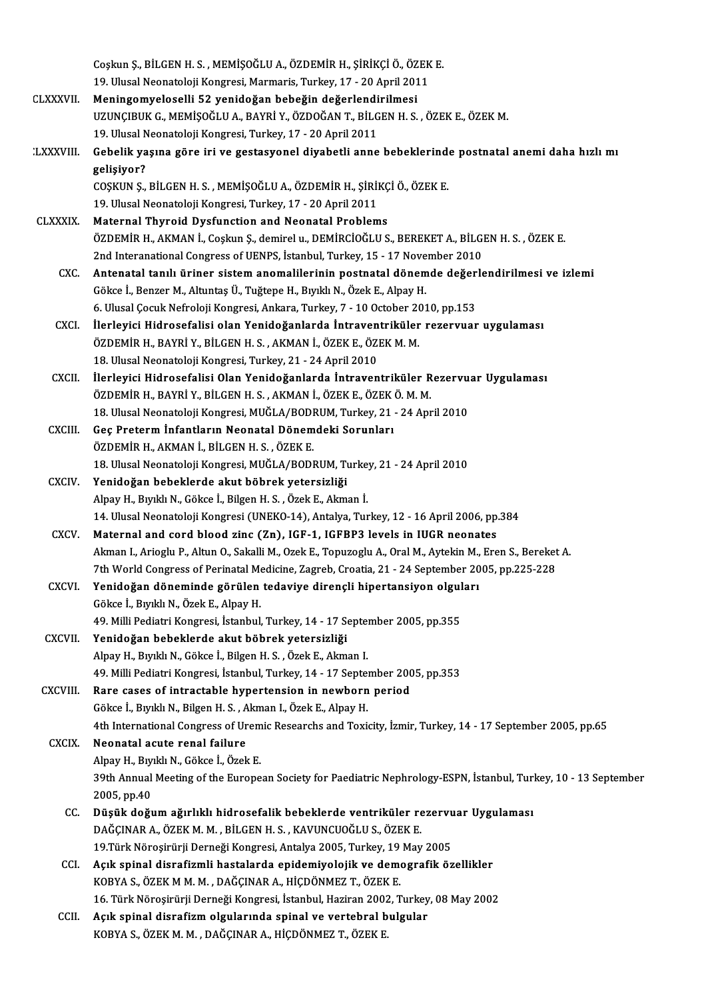|                  | Coşkun Ş., BİLGEN H. S., MEMİŞOĞLU A., ÖZDEMİR H., ŞİRİKÇİ Ö., ÖZEK E.                                                            |
|------------------|-----------------------------------------------------------------------------------------------------------------------------------|
|                  | 19. Ulusal Neonatoloji Kongresi, Marmaris, Turkey, 17 - 20 April 2011<br>Meningomyeloselli 52 yenidoğan bebeğin değerlendirilmesi |
| <b>CLXXXVII</b>  | UZUNÇIBUK G., MEMİŞOĞLU A., BAYRİ Y., ÖZDOĞAN T., BİLGEN H. S., ÖZEK E., ÖZEK M.                                                  |
|                  |                                                                                                                                   |
|                  | 19. Ulusal Neonatoloji Kongresi, Turkey, 17 - 20 April 2011                                                                       |
| <b>LXXXVIII.</b> | Gebelik yaşına göre iri ve gestasyonel diyabetli anne bebeklerinde postnatal anemi daha hızlı mı<br>gelişiyor?                    |
|                  | COŞKUN Ş., BİLGEN H. S., MEMİŞOĞLU A., ÖZDEMİR H., ŞİRİKÇİ Ö., ÖZEK E.                                                            |
|                  | 19. Ulusal Neonatoloji Kongresi, Turkey, 17 - 20 April 2011                                                                       |
| <b>CLXXXIX</b>   | Maternal Thyroid Dysfunction and Neonatal Problems                                                                                |
|                  | ÖZDEMİR H., AKMAN İ., Coşkun Ş., demirel u., DEMİRCİOĞLU S., BEREKET A., BİLGEN H. S. , ÖZEK E.                                   |
|                  | 2nd Interanational Congress of UENPS, İstanbul, Turkey, 15 - 17 November 2010                                                     |
| CXC.             | Antenatal tanılı üriner sistem anomalilerinin postnatal dönemde değerlendirilmesi ve izlemi                                       |
|                  | Gökce İ., Benzer M., Altuntaş Ü., Tuğtepe H., Bıyıklı N., Özek E., Alpay H.                                                       |
|                  | 6. Ulusal Çocuk Nefroloji Kongresi, Ankara, Turkey, 7 - 10 October 2010, pp.153                                                   |
| <b>CXCI</b>      | İlerleyici Hidrosefalisi olan Yenidoğanlarda İntraventriküler rezervuar uygulaması                                                |
|                  | ÖZDEMİR H., BAYRİ Y., BİLGEN H. S., AKMAN İ., ÖZEK E., ÖZEK M. M.                                                                 |
|                  | 18. Ulusal Neonatoloji Kongresi, Turkey, 21 - 24 April 2010                                                                       |
| <b>CXCII</b>     | İlerleyici Hidrosefalisi Olan Yenidoğanlarda İntraventriküler Rezervuar Uygulaması                                                |
|                  | ÖZDEMİR H., BAYRİ Y., BİLGEN H. S., AKMAN İ., ÖZEK E., ÖZEK Ö. M. M.                                                              |
|                  | 18. Ulusal Neonatoloji Kongresi, MUĞLA/BODRUM, Turkey, 21 - 24 April 2010                                                         |
| <b>CXCIII.</b>   | Geç Preterm İnfantların Neonatal Dönemdeki Sorunları                                                                              |
|                  | ÖZDEMİR H., AKMAN İ., BİLGEN H. S., ÖZEK E.                                                                                       |
|                  | 18. Ulusal Neonatoloji Kongresi, MUĞLA/BODRUM, Turkey, 21 - 24 April 2010                                                         |
| <b>CXCIV</b>     | Yenidoğan bebeklerde akut böbrek yetersizliği                                                                                     |
|                  | Alpay H., Bıyıklı N., Gökce İ., Bilgen H. S., Özek E., Akman İ.                                                                   |
|                  | 14. Ulusal Neonatoloji Kongresi (UNEKO-14), Antalya, Turkey, 12 - 16 April 2006, pp.384                                           |
| CXCV             | Maternal and cord blood zinc (Zn), IGF-1, IGFBP3 levels in IUGR neonates                                                          |
|                  | Akman I., Arioglu P., Altun O., Sakalli M., Ozek E., Topuzoglu A., Oral M., Aytekin M., Eren S., Bereket A.                       |
|                  | 7th World Congress of Perinatal Medicine, Zagreb, Croatia, 21 - 24 September 2005, pp.225-228                                     |
| <b>CXCVI</b>     | Yenidoğan döneminde görülen tedaviye dirençli hipertansiyon olguları                                                              |
|                  | Gökce İ., Bıyıklı N., Özek E., Alpay H.                                                                                           |
|                  | 49. Milli Pediatri Kongresi, İstanbul, Turkey, 14 - 17 September 2005, pp.355                                                     |
| <b>CXCVII</b>    | Yenidoğan bebeklerde akut böbrek yetersizliği                                                                                     |
|                  | Alpay H., Bıyıklı N., Gökce İ., Bilgen H. S., Özek E., Akman I.                                                                   |
|                  | 49. Milli Pediatri Kongresi, İstanbul, Turkey, 14 - 17 September 2005, pp.353                                                     |
| CXCVIII.         | Rare cases of intractable hypertension in newborn period                                                                          |
|                  | Gökce İ., Bıyıklı N., Bilgen H. S., Akman I., Özek E., Alpay H.                                                                   |
|                  | 4th International Congress of Uremic Researchs and Toxicity, İzmir, Turkey, 14 - 17 September 2005, pp.65                         |
| <b>CXCIX</b>     | Neonatal acute renal failure                                                                                                      |
|                  | Alpay H., Bıyıklı N., Gökce İ., Özek E.                                                                                           |
|                  | 39th Annual Meeting of the European Society for Paediatric Nephrology-ESPN, İstanbul, Turkey, 10 - 13 September                   |
|                  | 2005, pp 40                                                                                                                       |
| CC.              | Düşük doğum ağırlıklı hidrosefalik bebeklerde ventriküler rezervuar Uygulaması                                                    |
|                  | DAĞÇINAR A., ÖZEK M. M., BİLGEN H. S., KAVUNCUOĞLU S., ÖZEK E.                                                                    |
|                  | 19. Türk Nöroşirürji Derneği Kongresi, Antalya 2005, Turkey, 19 May 2005                                                          |
| CCI.             | Açık spinal disrafizmli hastalarda epidemiyolojik ve demografik özellikler                                                        |
|                  | KOBYA S., ÖZEK M M. M., DAĞÇINAR A., HİÇDÖNMEZ T., ÖZEK E.                                                                        |
|                  | 16. Türk Nöroşirürji Derneği Kongresi, İstanbul, Haziran 2002, Turkey, 08 May 2002                                                |
| CCII.            | Açık spinal disrafizm olgularında spinal ve vertebral bulgular                                                                    |
|                  | KOBYA S., ÖZEK M. M., DAĞÇINAR A., HİÇDÖNMEZ T., ÖZEK E.                                                                          |
|                  |                                                                                                                                   |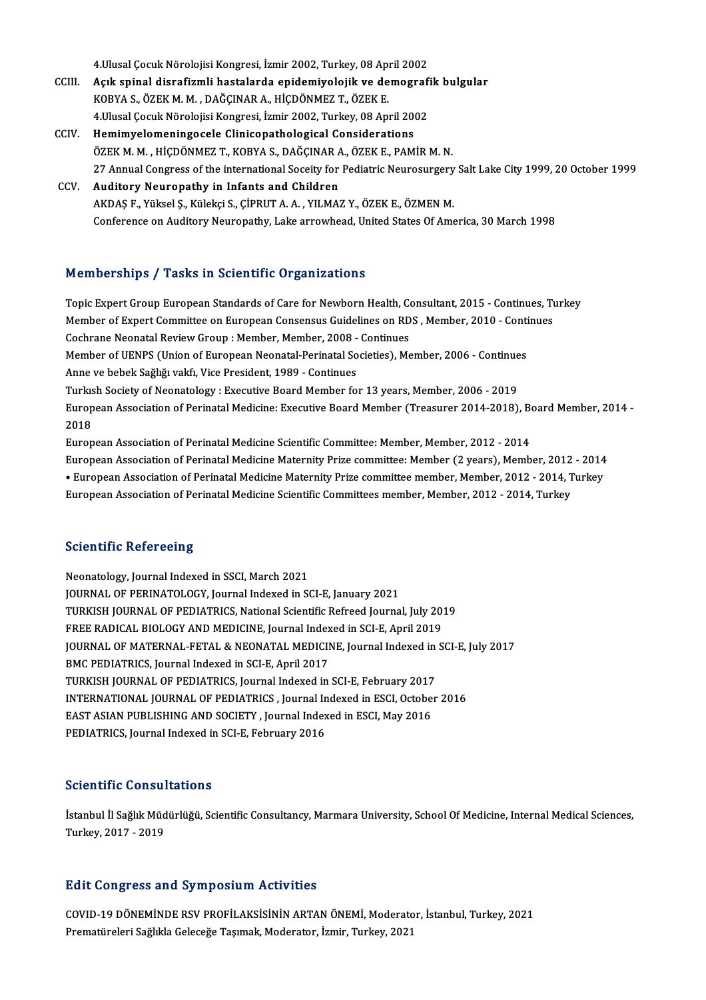4.Ulusal Çocuk Nörolojisi Kongresi, İzmir 2002, Turkey, 08 April 2002<br>Asık aninal diarafizmli həstələrdə ənidəmiyələjili və dəməsrafi

- 4.Ulusal Çocuk Nörolojisi Kongresi, İzmir 2002, Turkey, 08 April 2002<br>CCIII. Açık spinal disrafizmli hastalarda epidemiyolojik ve demografik bulgular<br>KORVA S. ÖZEK M.M., DAČCINAR A, HİÇDÖNMEZ T. ÖZEK E 4.Ulusal Çocuk Nörolojisi Kongresi, İzmir 2002, Turkey, 08 Apı<br>Açık spinal disrafizmli hastalarda epidemiyolojik ve de<br>KOBYA S., ÖZEK M. M. , DAĞÇINAR A., HİÇDÖNMEZ T., ÖZEK E.<br>4.Husal Cosuk Nörolojisi Kongresi, İsmir 2002 Açık spinal disrafizmli hastalarda epidemiyolojik ve demograf<br>KOBYA S., ÖZEK M. M. , DAĞÇINAR A., HİÇDÖNMEZ T., ÖZEK E.<br>4.Ulusal Çocuk Nörolojisi Kongresi, İzmir 2002, Turkey, 08 April 2002<br>Hamimualamaningasala Clinisanath KOBYA S., ÖZEK M. M. , DAĞÇINAR A., HİÇDÖNMEZ T., ÖZEK E.<br>4.Ulusal Çocuk Nörolojisi Kongresi, İzmir 2002, Turkey, 08 April 2002<br>CCIV. Hemimyelomeningocele Clinicopathological Considerations
- 4.Ulusal Çocuk Nörolojisi Kongresi, İzmir 2002, Turkey, 08 April 2002<br>Hemimyelomeningocele Clinicopathological Considerations<br>ÖZEK M. M. , HİÇDÖNMEZ T., KOBYA S., DAĞÇINAR A., ÖZEK E., PAMİR M. N.<br>27 Annual Congress of the Hemimyelomeningocele Clinicopathological Considerations<br>ÖZEK M. M. , HİÇDÖNMEZ T., KOBYA S., DAĞÇINAR A., ÖZEK E., PAMİR M. N.<br>27 Annual Congress of the international Soceity for Pediatric Neurosurgery Salt Lake City 1999, ÖZEK M. M., HİÇDÖNMEZ T., KOBYA S., DAĞÇINAR A<br>27 Annual Congress of the international Soceity for<br>CCV. Auditory Neuropathy in Infants and Children<br>AKDAS E. Vülgel S. Küleki S. CİBBUT A. A., VU MA
- 27 Annual Congress of the international Soceity for Pediatric Neurosurgery<br>Auditory Neuropathy in Infants and Children<br>AKDAŞ F., Yüksel Ş., Külekçi S., ÇİPRUT A.A., YILMAZ Y., ÖZEK E., ÖZMEN M.<br>Conference on Auditory Neuro Auditory Neuropathy in Infants and Children<br>AKDAŞ F., Yüksel Ş., Külekçi S., ÇİPRUT A. A. , YILMAZ Y., ÖZEK E., ÖZMEN M.<br>Conference on Auditory Neuropathy, Lake arrowhead, United States Of America, 30 March 1998

### Memberships / Tasks in Scientific Organizations

Memberships / Tasks in Scientific Organizations<br>Topic Expert Group European Standards of Care for Newborn Health, Consultant, 2015 - Continues, Turkey<br>Member of Eurert Committee on European Consensus Cuidelines on PDS, Mem Member ompet of Tables in Berentine organizations<br>Topic Expert Group European Standards of Care for Newborn Health, Consultant, 2015 - Continues, Tu<br>Member of Expert Committee on European Consensus Guidelines on RDS , Memb Topic Expert Group European Standards of Care for Newborn Health, Co.<br>Member of Expert Committee on European Consensus Guidelines on RD<br>Cochrane Neonatal Review Group : Member, Member, 2008 - Continues<br>Member of UENDS (Uni Member of Expert Committee on European Consensus Guidelines on RDS , Member, 2010 - Continues<br>Cochrane Neonatal Review Group : Member, Member, 2008 - Continues<br>Member of UENPS (Union of European Neonatal-Perinatal Societie Cochrane Neonatal Review Group : Member, Member, 2008 - Continues<br>Member of UENPS (Union of European Neonatal-Perinatal Societies), Member, 2006 - Continue<br>Anne ve bebek Sağlığı vakfı, Vice President, 1989 - Continues<br>Turk Member of UENPS (Union of European Neonatal-Perinatal Societies), Member, 2006 - Continues Anne ve bebek Sağlığı vakfı, Vice President, 1989 - Continues<br>Turkısh Society of Neonatology : Executive Board Member for 13 years, Member, 2006 - 2019<br>European Association of Perinatal Medicine: Executive Board Member (Tr Turkis<br>Europ<br>2018<br>Europ European Association of Perinatal Medicine: Executive Board Member (Treasurer 2014-2018), Be<br>2018<br>European Association of Perinatal Medicine Scientific Committee: Member, Member, 2012 - 2014<br>European Association of Perinat 2018<br>European Association of Perinatal Medicine Scientific Committee: Member, Member, 2012 - 2014<br>European Association of Perinatal Medicine Maternity Prize committee: Member (2 years), Member, 2012 - 2014<br>• European Assoc

European Association of Perinatal Medicine Scientific Committee: Member, Member, 2012 - 2014<br>European Association of Perinatal Medicine Maternity Prize committee: Member (2 years), Member, 2012 - 2014<br>• European Associatio European Association of Perinatal Medicine Maternity Prize committee: Member (2 years), Member, 2012<br>• European Association of Perinatal Medicine Maternity Prize committee member, Member, 2012 - 2014, T<br>European Associatio European Association of Perinatal Medicine Scientific Committees member, Member, 2012 - 2014, Turkey<br>Scientific Refereeing

Neonatology, Journal Indexed in SSCI, March 2021 JOURNAL OF PERINATOLOGY, Journal Indexed in SCI-E, January 2021 Neonatology, Journal Indexed in SSCI, March 2021<br>JOURNAL OF PERINATOLOGY, Journal Indexed in SCI-E, January 2021<br>TURKISH JOURNAL OF PEDIATRICS, National Scientific Refreed Journal, July 2019<br>EREE RADICAL PIOLOCY AND MEDICI JOURNAL OF PERINATOLOGY, Journal Indexed in SCI-E, January 2021<br>TURKISH JOURNAL OF PEDIATRICS, National Scientific Refreed Journal, July 201<br>FREE RADICAL BIOLOGY AND MEDICINE, Journal Indexed in SCI-E, April 2019<br>JOURNAL O TURKISH JOURNAL OF PEDIATRICS, National Scientific Refreed Journal, July 2019<br>FREE RADICAL BIOLOGY AND MEDICINE, Journal Indexed in SCI-E, April 2019<br>JOURNAL OF MATERNAL-FETAL & NEONATAL MEDICINE, Journal Indexed in SCI-E, FREE RADICAL BIOLOGY AND MEDICINE, Journal Indexed in SCI-E, April 2019<br>JOURNAL OF MATERNAL-FETAL & NEONATAL MEDICINE, Journal Indexed in SCI-E, July 2017<br>BMC PEDIATRICS, Journal Indexed in SCI-E, April 2017 JOURNAL OF MATERNAL-FETAL & NEONATAL MEDICINE, Journal Indexed in<br>BMC PEDIATRICS, Journal Indexed in SCI-E, April 2017<br>TURKISH JOURNAL OF PEDIATRICS, Journal Indexed in SCI-E, February 2017<br>INTERNATIONAL JOURNAL OF REDIATR INTERNATIONAL JOURNAL OF PEDIATRICS , Journal Indexed in ESCI, October 2016<br>EAST ASIAN PUBLISHING AND SOCIETY , Journal Indexed in ESCI, May 2016 TURKISH JOURNAL OF PEDIATRICS, Journal Indexed in SCI-E, February 2017<br>INTERNATIONAL JOURNAL OF PEDIATRICS , Journal Indexed in ESCI, Octobe<br>EAST ASIAN PUBLISHING AND SOCIETY , Journal Indexed in ESCI, May 2016<br>PEDIATRICS PEDIATRICS, Journal Indexed in SCI-E, February 2016

### Scientific Consultations

**Scientific Consultations**<br>İstanbul İl Sağlık Müdürlüğü, Scientific Consultancy, Marmara University, School Of Medicine, Internal Medical Sciences,<br>Turkay, 2017, 2019 Serentine Gonsur<br>İstanbul İl Sağlık Müd<br>Turkey, 2017 - 2019

# Turkey, 2017 - 2019<br>Edit Congress and Symposium Activities

Edit Congress and Symposium Activities<br>COVID-19 DÖNEMİNDE RSV PROFİLAKSİSİNİN ARTAN ÖNEMİ, Moderator, İstanbul, Turkey, 2021<br>Pramatüreleri Sağlıkla Celesağa Tasımak Moderator, İsmir, Turkey, 2021 Pare Gongi 666 ana bij mipooram neervines<br>COVID-19 DÖNEMİNDE RSV PROFİLAKSİSİNİN ARTAN ÖNEMİ, Moderato<br>Prematüreleri Sağlıkla Geleceğe Taşımak, Moderator, İzmir, Turkey, 2021